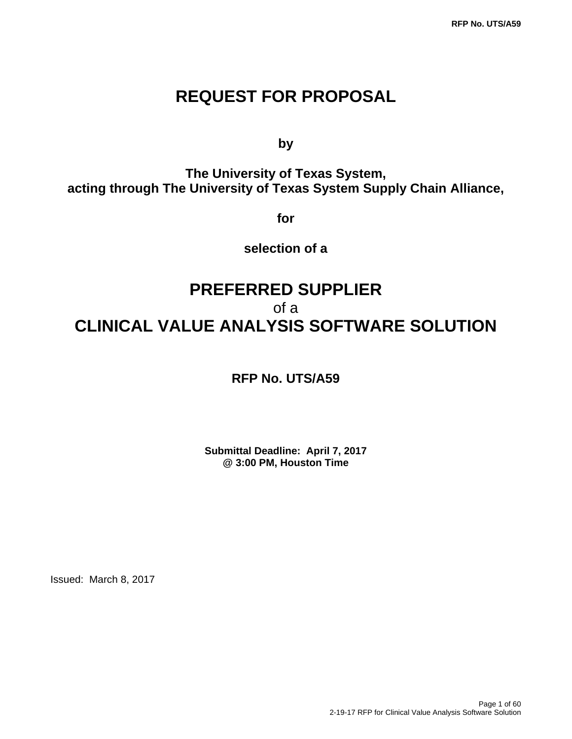# **REQUEST FOR PROPOSAL**

**by** by a bottom of  $\mathbf{b}$ 

**The University of Texas System, acting through The University of Texas System Supply Chain Alliance,** 

**for** 

**selection of a** 

# **PREFERRED SUPPLIER**  of a **CLINICAL VALUE ANALYSIS SOFTWARE SOLUTION**

**RFP No. UTS/A59** 

**Submittal Deadline: April 7, 2017 @ 3:00 PM, Houston Time**

Issued: March 8, 2017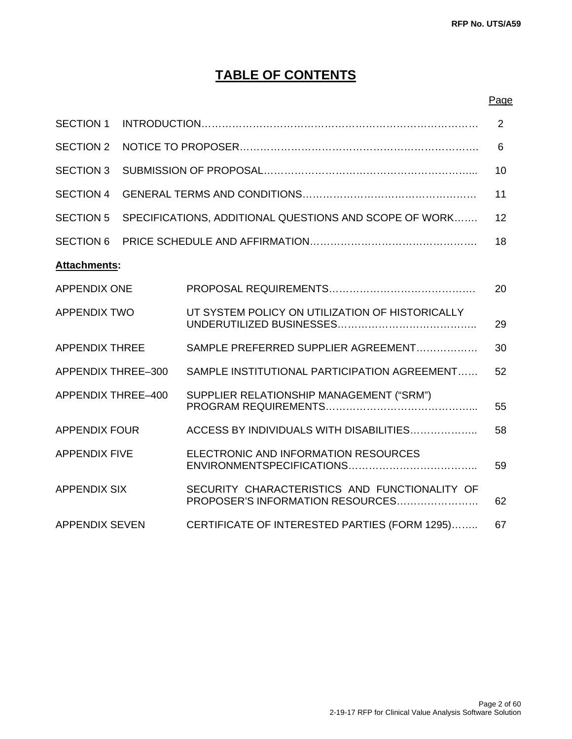# **TABLE OF CONTENTS**

#### <u>Page and the contract of the contract of the contract of the contract of the contract of the contract of the con</u>

| <b>SECTION 1</b>          | 2 |                                                                                   |    |
|---------------------------|---|-----------------------------------------------------------------------------------|----|
| <b>SECTION 2</b>          | 6 |                                                                                   |    |
| <b>SECTION 3</b>          |   |                                                                                   | 10 |
| <b>SECTION 4</b>          |   |                                                                                   | 11 |
| <b>SECTION 5</b>          |   | SPECIFICATIONS, ADDITIONAL QUESTIONS AND SCOPE OF WORK                            | 12 |
| <b>SECTION 6</b>          |   |                                                                                   | 18 |
| Attachments:              |   |                                                                                   |    |
| <b>APPENDIX ONE</b>       |   |                                                                                   | 20 |
| <b>APPENDIX TWO</b>       |   | UT SYSTEM POLICY ON UTILIZATION OF HISTORICALLY                                   | 29 |
| <b>APPENDIX THREE</b>     |   | SAMPLE PREFERRED SUPPLIER AGREEMENT                                               | 30 |
| <b>APPENDIX THREE-300</b> |   | SAMPLE INSTITUTIONAL PARTICIPATION AGREEMENT                                      | 52 |
| <b>APPENDIX THREE-400</b> |   | SUPPLIER RELATIONSHIP MANAGEMENT ("SRM")                                          | 55 |
| <b>APPENDIX FOUR</b>      |   | ACCESS BY INDIVIDUALS WITH DISABILITIES                                           | 58 |
| <b>APPENDIX FIVE</b>      |   | ELECTRONIC AND INFORMATION RESOURCES                                              | 59 |
| <b>APPENDIX SIX</b>       |   | SECURITY CHARACTERISTICS AND FUNCTIONALITY OF<br>PROPOSER'S INFORMATION RESOURCES | 62 |
| <b>APPENDIX SEVEN</b>     |   | CERTIFICATE OF INTERESTED PARTIES (FORM 1295)                                     | 67 |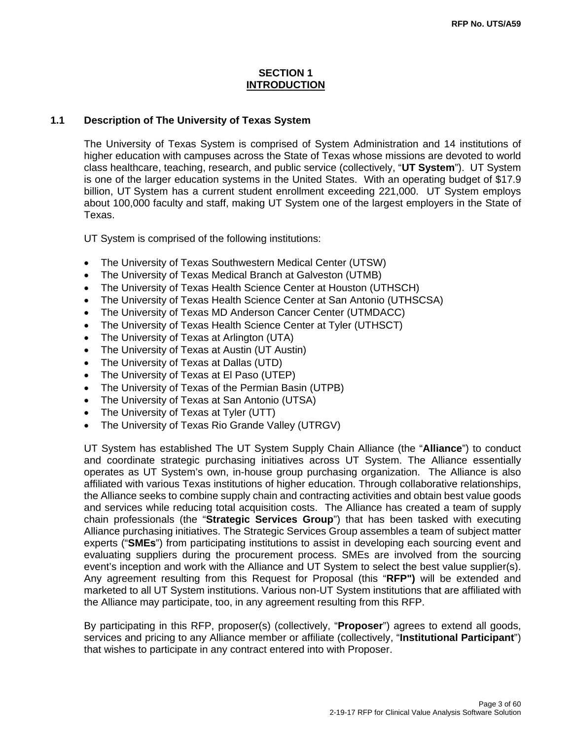#### **SECTION 1 INTRODUCTION**

#### **1.1 Description of The University of Texas System**

The University of Texas System is comprised of System Administration and 14 institutions of higher education with campuses across the State of Texas whose missions are devoted to world class healthcare, teaching, research, and public service (collectively, "**UT System**"). UT System is one of the larger education systems in the United States. With an operating budget of \$17.9 billion, UT System has a current student enrollment exceeding 221,000. UT System employs about 100,000 faculty and staff, making UT System one of the largest employers in the State of Texas.

UT System is comprised of the following institutions:

- The University of Texas Southwestern Medical Center (UTSW)
- The University of Texas Medical Branch at Galveston (UTMB)
- The University of Texas Health Science Center at Houston (UTHSCH)
- The University of Texas Health Science Center at San Antonio (UTHSCSA)
- The University of Texas MD Anderson Cancer Center (UTMDACC)
- The University of Texas Health Science Center at Tyler (UTHSCT)
- The University of Texas at Arlington (UTA)
- The University of Texas at Austin (UT Austin)
- The University of Texas at Dallas (UTD)
- The University of Texas at El Paso (UTEP)
- The University of Texas of the Permian Basin (UTPB)
- The University of Texas at San Antonio (UTSA)
- The University of Texas at Tyler (UTT)
- The University of Texas Rio Grande Valley (UTRGV)

UT System has established The UT System Supply Chain Alliance (the "**Alliance**") to conduct and coordinate strategic purchasing initiatives across UT System. The Alliance essentially operates as UT System's own, in-house group purchasing organization. The Alliance is also affiliated with various Texas institutions of higher education. Through collaborative relationships, the Alliance seeks to combine supply chain and contracting activities and obtain best value goods and services while reducing total acquisition costs. The Alliance has created a team of supply chain professionals (the "**Strategic Services Group**") that has been tasked with executing Alliance purchasing initiatives. The Strategic Services Group assembles a team of subject matter experts ("**SMEs**") from participating institutions to assist in developing each sourcing event and evaluating suppliers during the procurement process. SMEs are involved from the sourcing event's inception and work with the Alliance and UT System to select the best value supplier(s). Any agreement resulting from this Request for Proposal (this "**RFP")** will be extended and marketed to all UT System institutions. Various non-UT System institutions that are affiliated with the Alliance may participate, too, in any agreement resulting from this RFP.

By participating in this RFP, proposer(s) (collectively, "**Proposer**") agrees to extend all goods, services and pricing to any Alliance member or affiliate (collectively, "**Institutional Participant**") that wishes to participate in any contract entered into with Proposer.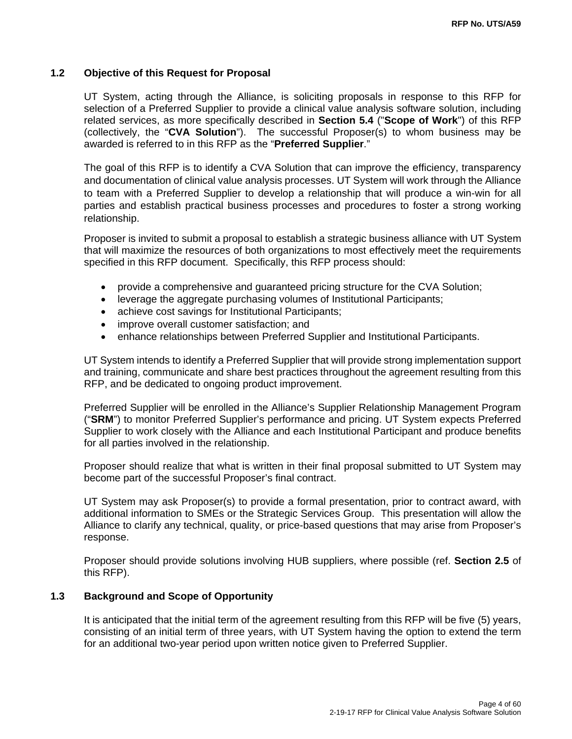#### **1.2 Objective of this Request for Proposal**

UT System, acting through the Alliance, is soliciting proposals in response to this RFP for selection of a Preferred Supplier to provide a clinical value analysis software solution, including related services, as more specifically described in **Section 5.4** ("**Scope of Work**") of this RFP (collectively, the "**CVA Solution**"). The successful Proposer(s) to whom business may be awarded is referred to in this RFP as the "**Preferred Supplier**."

The goal of this RFP is to identify a CVA Solution that can improve the efficiency, transparency and documentation of clinical value analysis processes. UT System will work through the Alliance to team with a Preferred Supplier to develop a relationship that will produce a win-win for all parties and establish practical business processes and procedures to foster a strong working relationship.

Proposer is invited to submit a proposal to establish a strategic business alliance with UT System that will maximize the resources of both organizations to most effectively meet the requirements specified in this RFP document. Specifically, this RFP process should:

- provide a comprehensive and guaranteed pricing structure for the CVA Solution;
- leverage the aggregate purchasing volumes of Institutional Participants;
- achieve cost savings for Institutional Participants;
- improve overall customer satisfaction; and
- enhance relationships between Preferred Supplier and Institutional Participants.

UT System intends to identify a Preferred Supplier that will provide strong implementation support and training, communicate and share best practices throughout the agreement resulting from this RFP, and be dedicated to ongoing product improvement.

Preferred Supplier will be enrolled in the Alliance's Supplier Relationship Management Program ("**SRM**") to monitor Preferred Supplier's performance and pricing. UT System expects Preferred Supplier to work closely with the Alliance and each Institutional Participant and produce benefits for all parties involved in the relationship.

Proposer should realize that what is written in their final proposal submitted to UT System may become part of the successful Proposer's final contract.

UT System may ask Proposer(s) to provide a formal presentation, prior to contract award, with additional information to SMEs or the Strategic Services Group. This presentation will allow the Alliance to clarify any technical, quality, or price-based questions that may arise from Proposer's response.

Proposer should provide solutions involving HUB suppliers, where possible (ref. **Section 2.5** of this RFP).

#### **1.3 Background and Scope of Opportunity**

It is anticipated that the initial term of the agreement resulting from this RFP will be five (5) years, consisting of an initial term of three years, with UT System having the option to extend the term for an additional two-year period upon written notice given to Preferred Supplier.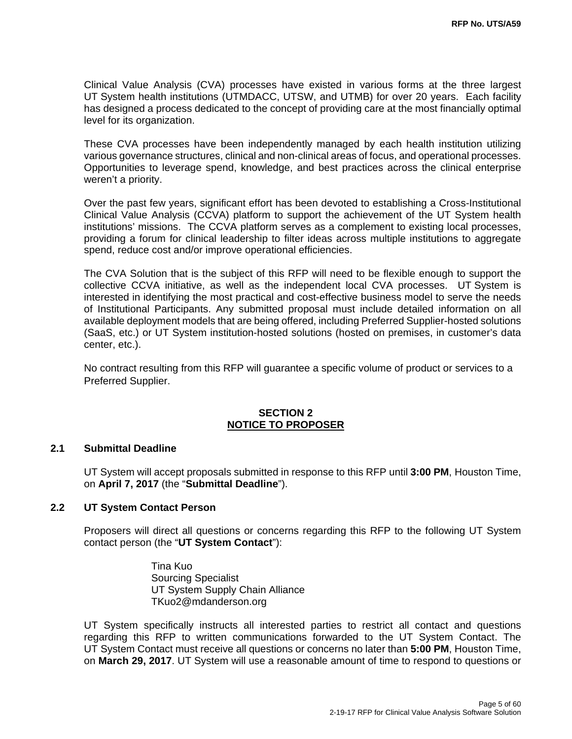Clinical Value Analysis (CVA) processes have existed in various forms at the three largest UT System health institutions (UTMDACC, UTSW, and UTMB) for over 20 years. Each facility has designed a process dedicated to the concept of providing care at the most financially optimal level for its organization.

These CVA processes have been independently managed by each health institution utilizing various governance structures, clinical and non-clinical areas of focus, and operational processes. Opportunities to leverage spend, knowledge, and best practices across the clinical enterprise weren't a priority.

Over the past few years, significant effort has been devoted to establishing a Cross-Institutional Clinical Value Analysis (CCVA) platform to support the achievement of the UT System health institutions' missions. The CCVA platform serves as a complement to existing local processes, providing a forum for clinical leadership to filter ideas across multiple institutions to aggregate spend, reduce cost and/or improve operational efficiencies.

The CVA Solution that is the subject of this RFP will need to be flexible enough to support the collective CCVA initiative, as well as the independent local CVA processes. UT System is interested in identifying the most practical and cost-effective business model to serve the needs of Institutional Participants. Any submitted proposal must include detailed information on all available deployment models that are being offered, including Preferred Supplier-hosted solutions (SaaS, etc.) or UT System institution-hosted solutions (hosted on premises, in customer's data center, etc.).

No contract resulting from this RFP will guarantee a specific volume of product or services to a Preferred Supplier.

#### **SECTION 2 NOTICE TO PROPOSER**

#### **2.1 Submittal Deadline**

UT System will accept proposals submitted in response to this RFP until **3:00 PM**, Houston Time, on **April 7, 2017** (the "**Submittal Deadline**").

#### **2.2 UT System Contact Person**

Proposers will direct all questions or concerns regarding this RFP to the following UT System contact person (the "**UT System Contact**"):

> Tina Kuo Sourcing Specialist UT System Supply Chain Alliance TKuo2@mdanderson.org

UT System specifically instructs all interested parties to restrict all contact and questions regarding this RFP to written communications forwarded to the UT System Contact. The UT System Contact must receive all questions or concerns no later than **5:00 PM**, Houston Time, on **March 29, 2017**. UT System will use a reasonable amount of time to respond to questions or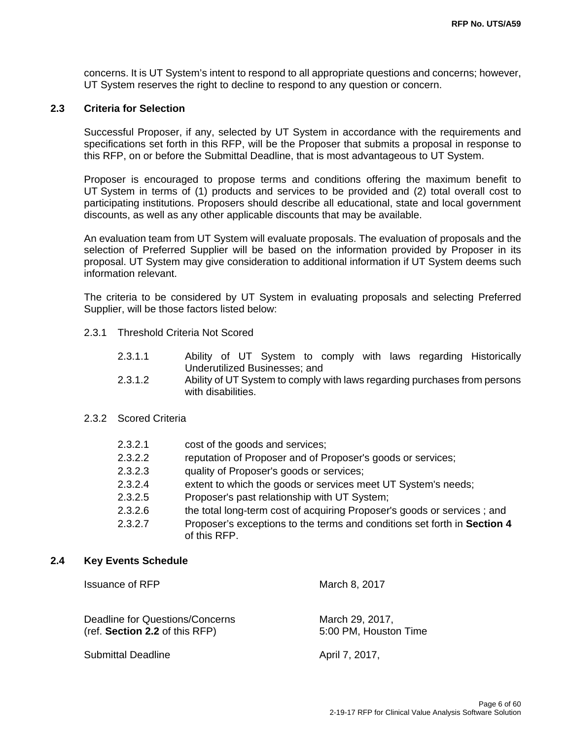concerns. It is UT System's intent to respond to all appropriate questions and concerns; however, UT System reserves the right to decline to respond to any question or concern.

#### **2.3 Criteria for Selection**

Successful Proposer, if any, selected by UT System in accordance with the requirements and specifications set forth in this RFP, will be the Proposer that submits a proposal in response to this RFP, on or before the Submittal Deadline, that is most advantageous to UT System.

Proposer is encouraged to propose terms and conditions offering the maximum benefit to UT System in terms of (1) products and services to be provided and (2) total overall cost to participating institutions. Proposers should describe all educational, state and local government discounts, as well as any other applicable discounts that may be available.

An evaluation team from UT System will evaluate proposals. The evaluation of proposals and the selection of Preferred Supplier will be based on the information provided by Proposer in its proposal. UT System may give consideration to additional information if UT System deems such information relevant.

The criteria to be considered by UT System in evaluating proposals and selecting Preferred Supplier, will be those factors listed below:

- 2.3.1 Threshold Criteria Not Scored
	- 2.3.1.1 Ability of UT System to comply with laws regarding Historically Underutilized Businesses; and
	- 2.3.1.2 Ability of UT System to comply with laws regarding purchases from persons with disabilities.

#### 2.3.2 Scored Criteria

| 2.3.2.1 | cost of the goods and services;                                                          |
|---------|------------------------------------------------------------------------------------------|
| 2.3.2.2 | reputation of Proposer and of Proposer's goods or services;                              |
| 2.3.2.3 | quality of Proposer's goods or services;                                                 |
| 2.3.2.4 | extent to which the goods or services meet UT System's needs;                            |
| 2.3.2.5 | Proposer's past relationship with UT System;                                             |
| 2.3.2.6 | the total long-term cost of acquiring Proposer's goods or services; and                  |
| 2.3.2.7 | Proposer's exceptions to the terms and conditions set forth in Section 4<br>of this RFP. |
|         |                                                                                          |

#### **2.4 Key Events Schedule**

Issuance of RFP March 8, 2017

| Deadline for Questions/Concerns | March 29, 2017,       |
|---------------------------------|-----------------------|
| (ref. Section 2.2 of this RFP)  | 5:00 PM, Houston Time |
|                                 |                       |

Submittal Deadline April 7, 2017,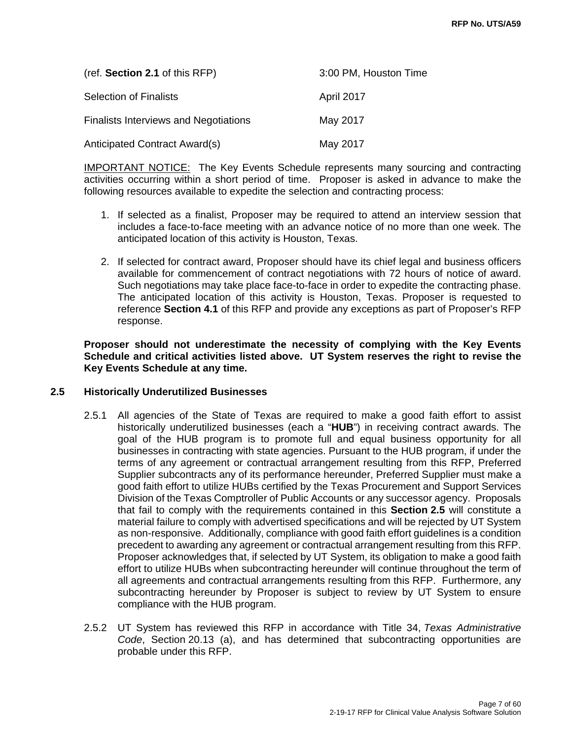| (ref. Section 2.1 of this RFP)               | 3:00 PM, Houston Time |
|----------------------------------------------|-----------------------|
| <b>Selection of Finalists</b>                | April 2017            |
| <b>Finalists Interviews and Negotiations</b> | May 2017              |
| Anticipated Contract Award(s)                | May 2017              |

IMPORTANT NOTICE: The Key Events Schedule represents many sourcing and contracting activities occurring within a short period of time. Proposer is asked in advance to make the following resources available to expedite the selection and contracting process:

- 1. If selected as a finalist, Proposer may be required to attend an interview session that includes a face-to-face meeting with an advance notice of no more than one week. The anticipated location of this activity is Houston, Texas.
- 2. If selected for contract award, Proposer should have its chief legal and business officers available for commencement of contract negotiations with 72 hours of notice of award. Such negotiations may take place face-to-face in order to expedite the contracting phase. The anticipated location of this activity is Houston, Texas. Proposer is requested to reference **Section 4.1** of this RFP and provide any exceptions as part of Proposer's RFP response.

**Proposer should not underestimate the necessity of complying with the Key Events Schedule and critical activities listed above. UT System reserves the right to revise the Key Events Schedule at any time.** 

#### **2.5 Historically Underutilized Businesses**

- 2.5.1 All agencies of the State of Texas are required to make a good faith effort to assist historically underutilized businesses (each a "**HUB**") in receiving contract awards. The goal of the HUB program is to promote full and equal business opportunity for all businesses in contracting with state agencies. Pursuant to the HUB program, if under the terms of any agreement or contractual arrangement resulting from this RFP, Preferred Supplier subcontracts any of its performance hereunder, Preferred Supplier must make a good faith effort to utilize HUBs certified by the Texas Procurement and Support Services Division of the Texas Comptroller of Public Accounts or any successor agency. Proposals that fail to comply with the requirements contained in this **Section 2.5** will constitute a material failure to comply with advertised specifications and will be rejected by UT System as non-responsive. Additionally, compliance with good faith effort guidelines is a condition precedent to awarding any agreement or contractual arrangement resulting from this RFP. Proposer acknowledges that, if selected by UT System, its obligation to make a good faith effort to utilize HUBs when subcontracting hereunder will continue throughout the term of all agreements and contractual arrangements resulting from this RFP. Furthermore, any subcontracting hereunder by Proposer is subject to review by UT System to ensure compliance with the HUB program.
- 2.5.2 UT System has reviewed this RFP in accordance with Title 34, *Texas Administrative Code*, Section 20.13 (a), and has determined that subcontracting opportunities are probable under this RFP.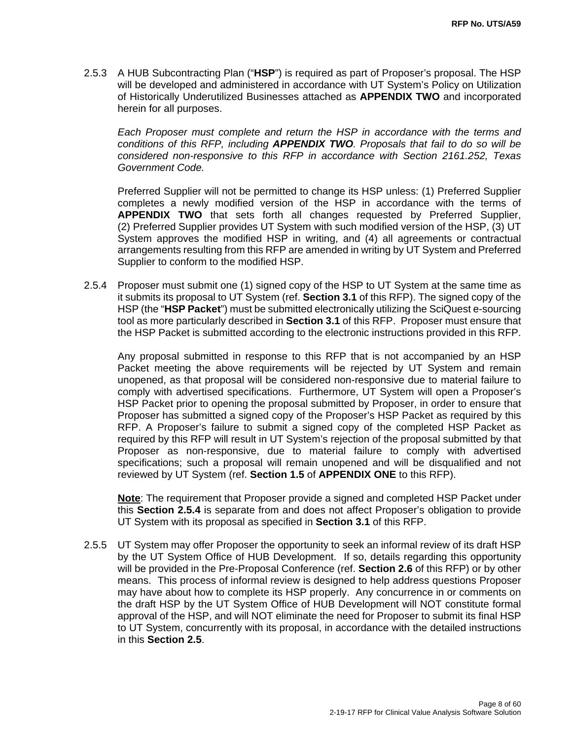2.5.3 A HUB Subcontracting Plan ("**HSP**") is required as part of Proposer's proposal. The HSP will be developed and administered in accordance with UT System's Policy on Utilization of Historically Underutilized Businesses attached as **APPENDIX TWO** and incorporated herein for all purposes.

*Each Proposer must complete and return the HSP in accordance with the terms and conditions of this RFP, including APPENDIX TWO. Proposals that fail to do so will be considered non-responsive to this RFP in accordance with Section 2161.252, Texas Government Code.*

Preferred Supplier will not be permitted to change its HSP unless: (1) Preferred Supplier completes a newly modified version of the HSP in accordance with the terms of **APPENDIX TWO** that sets forth all changes requested by Preferred Supplier, (2) Preferred Supplier provides UT System with such modified version of the HSP, (3) UT System approves the modified HSP in writing, and (4) all agreements or contractual arrangements resulting from this RFP are amended in writing by UT System and Preferred Supplier to conform to the modified HSP.

2.5.4 Proposer must submit one (1) signed copy of the HSP to UT System at the same time as it submits its proposal to UT System (ref. **Section 3.1** of this RFP). The signed copy of the HSP (the "**HSP Packet**") must be submitted electronically utilizing the SciQuest e-sourcing tool as more particularly described in **Section 3.1** of this RFP. Proposer must ensure that the HSP Packet is submitted according to the electronic instructions provided in this RFP.

Any proposal submitted in response to this RFP that is not accompanied by an HSP Packet meeting the above requirements will be rejected by UT System and remain unopened, as that proposal will be considered non-responsive due to material failure to comply with advertised specifications. Furthermore, UT System will open a Proposer's HSP Packet prior to opening the proposal submitted by Proposer, in order to ensure that Proposer has submitted a signed copy of the Proposer's HSP Packet as required by this RFP. A Proposer's failure to submit a signed copy of the completed HSP Packet as required by this RFP will result in UT System's rejection of the proposal submitted by that Proposer as non-responsive, due to material failure to comply with advertised specifications; such a proposal will remain unopened and will be disqualified and not reviewed by UT System (ref. **Section 1.5** of **APPENDIX ONE** to this RFP).

**Note**: The requirement that Proposer provide a signed and completed HSP Packet under this **Section 2.5.4** is separate from and does not affect Proposer's obligation to provide UT System with its proposal as specified in **Section 3.1** of this RFP.

2.5.5 UT System may offer Proposer the opportunity to seek an informal review of its draft HSP by the UT System Office of HUB Development. If so, details regarding this opportunity will be provided in the Pre-Proposal Conference (ref. **Section 2.6** of this RFP) or by other means. This process of informal review is designed to help address questions Proposer may have about how to complete its HSP properly. Any concurrence in or comments on the draft HSP by the UT System Office of HUB Development will NOT constitute formal approval of the HSP, and will NOT eliminate the need for Proposer to submit its final HSP to UT System, concurrently with its proposal, in accordance with the detailed instructions in this **Section 2.5**.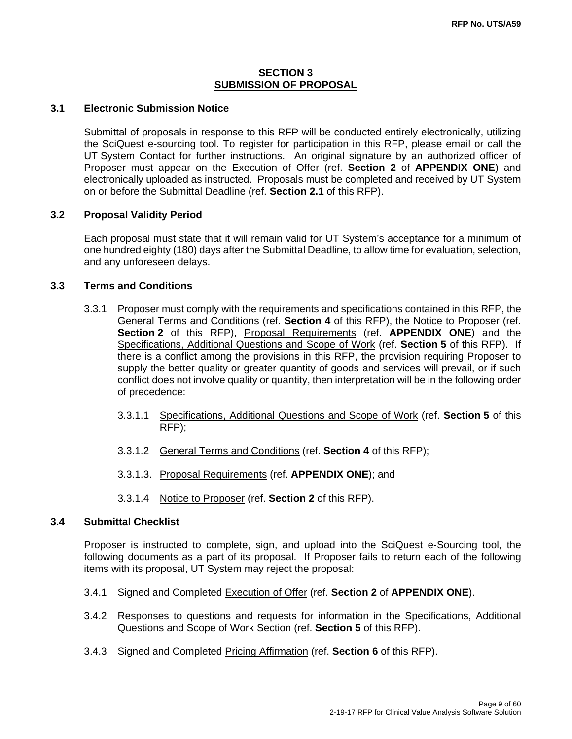#### **SECTION 3 SUBMISSION OF PROPOSAL**

#### **3.1 Electronic Submission Notice**

Submittal of proposals in response to this RFP will be conducted entirely electronically, utilizing the SciQuest e-sourcing tool. To register for participation in this RFP, please email or call the UT System Contact for further instructions. An original signature by an authorized officer of Proposer must appear on the Execution of Offer (ref. **Section 2** of **APPENDIX ONE**) and electronically uploaded as instructed. Proposals must be completed and received by UT System on or before the Submittal Deadline (ref. **Section 2.1** of this RFP).

#### **3.2 Proposal Validity Period**

Each proposal must state that it will remain valid for UT System's acceptance for a minimum of one hundred eighty (180) days after the Submittal Deadline, to allow time for evaluation, selection, and any unforeseen delays.

#### **3.3 Terms and Conditions**

- 3.3.1 Proposer must comply with the requirements and specifications contained in this RFP, the General Terms and Conditions (ref. **Section 4** of this RFP), the Notice to Proposer (ref. **Section 2** of this RFP), Proposal Requirements (ref. **APPENDIX ONE**) and the Specifications, Additional Questions and Scope of Work (ref. **Section 5** of this RFP). If there is a conflict among the provisions in this RFP, the provision requiring Proposer to supply the better quality or greater quantity of goods and services will prevail, or if such conflict does not involve quality or quantity, then interpretation will be in the following order of precedence:
	- 3.3.1.1 Specifications, Additional Questions and Scope of Work (ref. **Section 5** of this RFP);
	- 3.3.1.2 General Terms and Conditions (ref. **Section 4** of this RFP);
	- 3.3.1.3. Proposal Requirements (ref. **APPENDIX ONE**); and
	- 3.3.1.4 Notice to Proposer (ref. **Section 2** of this RFP).

#### **3.4 Submittal Checklist**

Proposer is instructed to complete, sign, and upload into the SciQuest e-Sourcing tool, the following documents as a part of its proposal. If Proposer fails to return each of the following items with its proposal, UT System may reject the proposal:

- 3.4.1 Signed and Completed Execution of Offer (ref. **Section 2** of **APPENDIX ONE**).
- 3.4.2 Responses to questions and requests for information in the Specifications, Additional Questions and Scope of Work Section (ref. **Section 5** of this RFP).
- 3.4.3 Signed and Completed Pricing Affirmation (ref. **Section 6** of this RFP).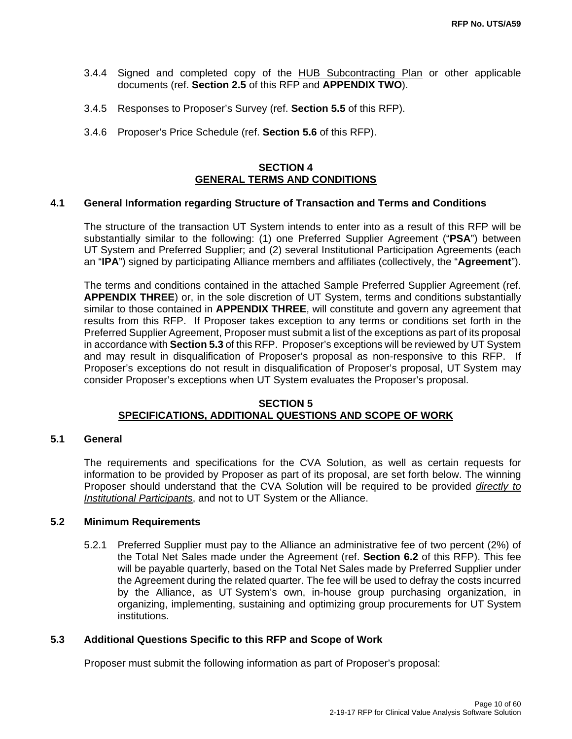- 3.4.4 Signed and completed copy of the HUB Subcontracting Plan or other applicable documents (ref. **Section 2.5** of this RFP and **APPENDIX TWO**).
- 3.4.5 Responses to Proposer's Survey (ref. **Section 5.5** of this RFP).
- 3.4.6 Proposer's Price Schedule (ref. **Section 5.6** of this RFP).

#### **SECTION 4 GENERAL TERMS AND CONDITIONS**

#### **4.1 General Information regarding Structure of Transaction and Terms and Conditions**

The structure of the transaction UT System intends to enter into as a result of this RFP will be substantially similar to the following: (1) one Preferred Supplier Agreement ("**PSA**") between UT System and Preferred Supplier; and (2) several Institutional Participation Agreements (each an "**IPA**") signed by participating Alliance members and affiliates (collectively, the "**Agreement**").

The terms and conditions contained in the attached Sample Preferred Supplier Agreement (ref. **APPENDIX THREE**) or, in the sole discretion of UT System, terms and conditions substantially similar to those contained in **APPENDIX THREE**, will constitute and govern any agreement that results from this RFP. If Proposer takes exception to any terms or conditions set forth in the Preferred Supplier Agreement, Proposer must submit a list of the exceptions as part of its proposal in accordance with **Section 5.3** of this RFP. Proposer's exceptions will be reviewed by UT System and may result in disqualification of Proposer's proposal as non-responsive to this RFP. If Proposer's exceptions do not result in disqualification of Proposer's proposal, UT System may consider Proposer's exceptions when UT System evaluates the Proposer's proposal.

#### **SECTION 5 SPECIFICATIONS, ADDITIONAL QUESTIONS AND SCOPE OF WORK**

#### **5.1 General**

The requirements and specifications for the CVA Solution, as well as certain requests for information to be provided by Proposer as part of its proposal, are set forth below. The winning Proposer should understand that the CVA Solution will be required to be provided *directly to Institutional Participants*, and not to UT System or the Alliance.

#### **5.2 Minimum Requirements**

5.2.1 Preferred Supplier must pay to the Alliance an administrative fee of two percent (2%) of the Total Net Sales made under the Agreement (ref. **Section 6.2** of this RFP). This fee will be payable quarterly, based on the Total Net Sales made by Preferred Supplier under the Agreement during the related quarter. The fee will be used to defray the costs incurred by the Alliance, as UT System's own, in-house group purchasing organization, in organizing, implementing, sustaining and optimizing group procurements for UT System institutions.

#### **5.3 Additional Questions Specific to this RFP and Scope of Work**

Proposer must submit the following information as part of Proposer's proposal: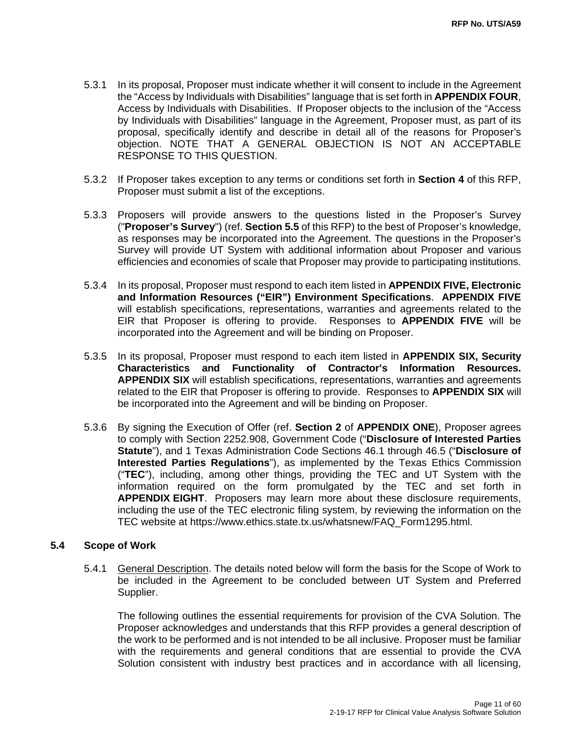- 5.3.1 In its proposal, Proposer must indicate whether it will consent to include in the Agreement the "Access by Individuals with Disabilities" language that is set forth in **APPENDIX FOUR**, Access by Individuals with Disabilities. If Proposer objects to the inclusion of the "Access by Individuals with Disabilities" language in the Agreement, Proposer must, as part of its proposal, specifically identify and describe in detail all of the reasons for Proposer's objection. NOTE THAT A GENERAL OBJECTION IS NOT AN ACCEPTABLE RESPONSE TO THIS QUESTION.
- 5.3.2 If Proposer takes exception to any terms or conditions set forth in **Section 4** of this RFP, Proposer must submit a list of the exceptions.
- 5.3.3 Proposers will provide answers to the questions listed in the Proposer's Survey ("**Proposer's Survey**") (ref. **Section 5.5** of this RFP) to the best of Proposer's knowledge, as responses may be incorporated into the Agreement. The questions in the Proposer's Survey will provide UT System with additional information about Proposer and various efficiencies and economies of scale that Proposer may provide to participating institutions.
- 5.3.4 In its proposal, Proposer must respond to each item listed in **APPENDIX FIVE, Electronic and Information Resources ("EIR") Environment Specifications**. **APPENDIX FIVE** will establish specifications, representations, warranties and agreements related to the EIR that Proposer is offering to provide. Responses to **APPENDIX FIVE** will be incorporated into the Agreement and will be binding on Proposer.
- 5.3.5 In its proposal, Proposer must respond to each item listed in **APPENDIX SIX, Security Characteristics and Functionality of Contractor's Information Resources. APPENDIX SIX** will establish specifications, representations, warranties and agreements related to the EIR that Proposer is offering to provide. Responses to **APPENDIX SIX** will be incorporated into the Agreement and will be binding on Proposer.
- 5.3.6 By signing the Execution of Offer (ref. **Section 2** of **APPENDIX ONE**), Proposer agrees to comply with Section 2252.908, Government Code ("**Disclosure of Interested Parties Statute**"), and 1 Texas Administration Code Sections 46.1 through 46.5 ("**Disclosure of Interested Parties Regulations**"), as implemented by the Texas Ethics Commission ("**TEC**"), including, among other things, providing the TEC and UT System with the information required on the form promulgated by the TEC and set forth in **APPENDIX EIGHT**.Proposers may learn more about these disclosure requirements, including the use of the TEC electronic filing system, by reviewing the information on the TEC website at https://www.ethics.state.tx.us/whatsnew/FAQ\_Form1295.html.

#### **5.4 Scope of Work**

5.4.1 General Description. The details noted below will form the basis for the Scope of Work to be included in the Agreement to be concluded between UT System and Preferred Supplier.

The following outlines the essential requirements for provision of the CVA Solution. The Proposer acknowledges and understands that this RFP provides a general description of the work to be performed and is not intended to be all inclusive. Proposer must be familiar with the requirements and general conditions that are essential to provide the CVA Solution consistent with industry best practices and in accordance with all licensing,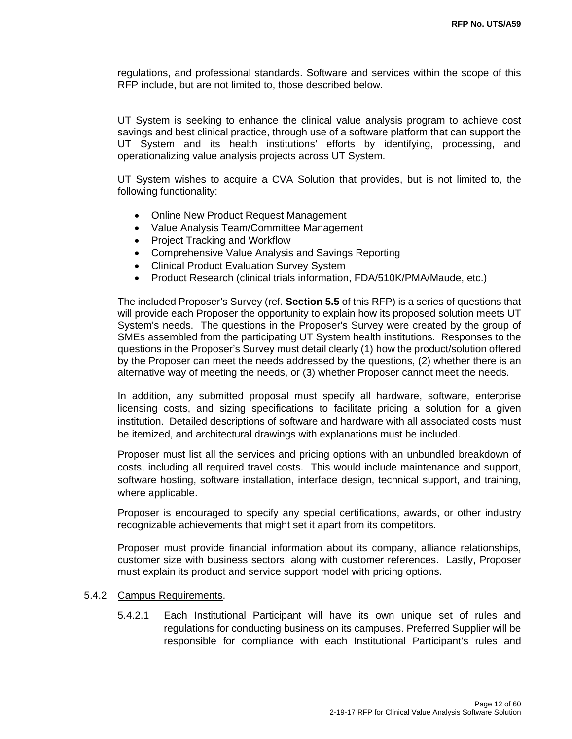regulations, and professional standards. Software and services within the scope of this RFP include, but are not limited to, those described below.

UT System is seeking to enhance the clinical value analysis program to achieve cost savings and best clinical practice, through use of a software platform that can support the UT System and its health institutions' efforts by identifying, processing, and operationalizing value analysis projects across UT System.

UT System wishes to acquire a CVA Solution that provides, but is not limited to, the following functionality:

- Online New Product Request Management
- Value Analysis Team/Committee Management
- Project Tracking and Workflow
- Comprehensive Value Analysis and Savings Reporting
- Clinical Product Evaluation Survey System
- Product Research (clinical trials information, FDA/510K/PMA/Maude, etc.)

The included Proposer's Survey (ref. **Section 5.5** of this RFP) is a series of questions that will provide each Proposer the opportunity to explain how its proposed solution meets UT System's needs. The questions in the Proposer's Survey were created by the group of SMEs assembled from the participating UT System health institutions. Responses to the questions in the Proposer's Survey must detail clearly (1) how the product/solution offered by the Proposer can meet the needs addressed by the questions, (2) whether there is an alternative way of meeting the needs, or (3) whether Proposer cannot meet the needs.

In addition, any submitted proposal must specify all hardware, software, enterprise licensing costs, and sizing specifications to facilitate pricing a solution for a given institution. Detailed descriptions of software and hardware with all associated costs must be itemized, and architectural drawings with explanations must be included.

Proposer must list all the services and pricing options with an unbundled breakdown of costs, including all required travel costs. This would include maintenance and support, software hosting, software installation, interface design, technical support, and training, where applicable.

Proposer is encouraged to specify any special certifications, awards, or other industry recognizable achievements that might set it apart from its competitors.

Proposer must provide financial information about its company, alliance relationships, customer size with business sectors, along with customer references. Lastly, Proposer must explain its product and service support model with pricing options.

#### 5.4.2 Campus Requirements.

 5.4.2.1 Each Institutional Participant will have its own unique set of rules and regulations for conducting business on its campuses. Preferred Supplier will be responsible for compliance with each Institutional Participant's rules and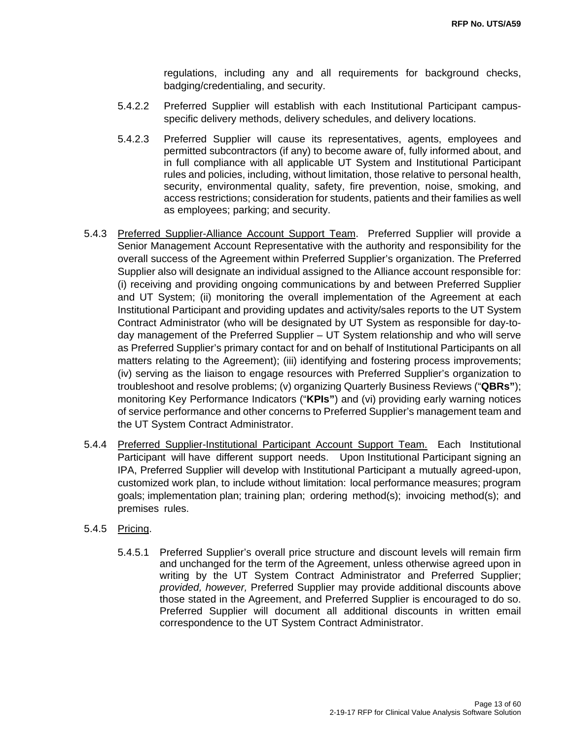regulations, including any and all requirements for background checks, badging/credentialing, and security.

- 5.4.2.2 Preferred Supplier will establish with each Institutional Participant campusspecific delivery methods, delivery schedules, and delivery locations.
- 5.4.2.3 Preferred Supplier will cause its representatives, agents, employees and permitted subcontractors (if any) to become aware of, fully informed about, and in full compliance with all applicable UT System and Institutional Participant rules and policies, including, without limitation, those relative to personal health, security, environmental quality, safety, fire prevention, noise, smoking, and access restrictions; consideration for students, patients and their families as well as employees; parking; and security.
- 5.4.3 Preferred Supplier-Alliance Account Support Team. Preferred Supplier will provide a Senior Management Account Representative with the authority and responsibility for the overall success of the Agreement within Preferred Supplier's organization. The Preferred Supplier also will designate an individual assigned to the Alliance account responsible for: (i) receiving and providing ongoing communications by and between Preferred Supplier and UT System; (ii) monitoring the overall implementation of the Agreement at each Institutional Participant and providing updates and activity/sales reports to the UT System Contract Administrator (who will be designated by UT System as responsible for day-today management of the Preferred Supplier – UT System relationship and who will serve as Preferred Supplier's primary contact for and on behalf of Institutional Participants on all matters relating to the Agreement); (iii) identifying and fostering process improvements; (iv) serving as the liaison to engage resources with Preferred Supplier's organization to troubleshoot and resolve problems; (v) organizing Quarterly Business Reviews ("**QBRs"**); monitoring Key Performance Indicators ("**KPIs"**) and (vi) providing early warning notices of service performance and other concerns to Preferred Supplier's management team and the UT System Contract Administrator.
- 5.4.4 Preferred Supplier-Institutional Participant Account Support Team. Each Institutional Participant will have different support needs. Upon Institutional Participant signing an IPA, Preferred Supplier will develop with Institutional Participant a mutually agreed-upon, customized work plan, to include without limitation: local performance measures; program goals; implementation plan; training plan; ordering method(s); invoicing method(s); and premises rules.

#### 5.4.5 Pricing.

 5.4.5.1 Preferred Supplier's overall price structure and discount levels will remain firm and unchanged for the term of the Agreement, unless otherwise agreed upon in writing by the UT System Contract Administrator and Preferred Supplier; *provided, however,* Preferred Supplier may provide additional discounts above those stated in the Agreement, and Preferred Supplier is encouraged to do so. Preferred Supplier will document all additional discounts in written email correspondence to the UT System Contract Administrator.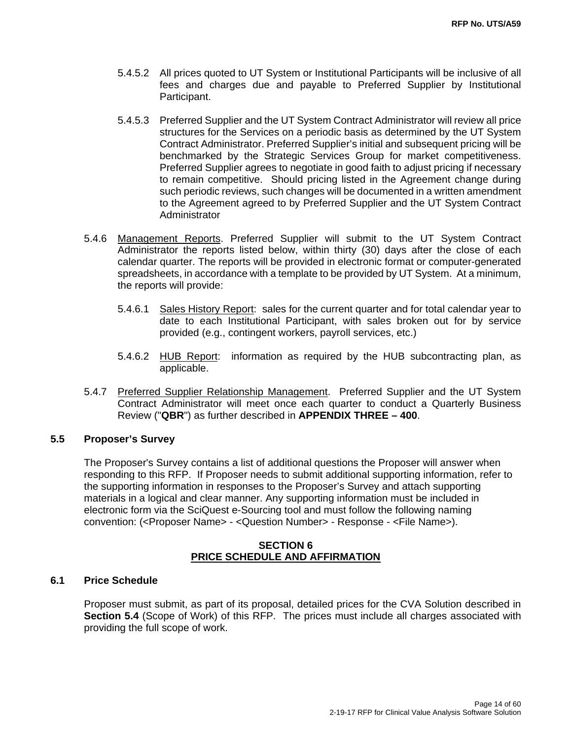- 5.4.5.2 All prices quoted to UT System or Institutional Participants will be inclusive of all fees and charges due and payable to Preferred Supplier by Institutional Participant.
- 5.4.5.3 Preferred Supplier and the UT System Contract Administrator will review all price structures for the Services on a periodic basis as determined by the UT System Contract Administrator. Preferred Supplier's initial and subsequent pricing will be benchmarked by the Strategic Services Group for market competitiveness. Preferred Supplier agrees to negotiate in good faith to adjust pricing if necessary to remain competitive. Should pricing listed in the Agreement change during such periodic reviews, such changes will be documented in a written amendment to the Agreement agreed to by Preferred Supplier and the UT System Contract **Administrator**
- 5.4.6 Management Reports. Preferred Supplier will submit to the UT System Contract Administrator the reports listed below, within thirty (30) days after the close of each calendar quarter. The reports will be provided in electronic format or computer-generated spreadsheets, in accordance with a template to be provided by UT System. At a minimum, the reports will provide:
	- 5.4.6.1 Sales History Report: sales for the current quarter and for total calendar year to date to each Institutional Participant, with sales broken out for by service provided (e.g., contingent workers, payroll services, etc.)
	- 5.4.6.2 HUB Report: information as required by the HUB subcontracting plan, as applicable.
- 5.4.7 Preferred Supplier Relationship Management. Preferred Supplier and the UT System Contract Administrator will meet once each quarter to conduct a Quarterly Business Review ("**QBR**") as further described in **APPENDIX THREE – 400**.

#### **5.5 Proposer's Survey**

The Proposer's Survey contains a list of additional questions the Proposer will answer when responding to this RFP. If Proposer needs to submit additional supporting information, refer to the supporting information in responses to the Proposer's Survey and attach supporting materials in a logical and clear manner. Any supporting information must be included in electronic form via the SciQuest e-Sourcing tool and must follow the following naming convention: (<Proposer Name> - <Question Number> - Response - <File Name>).

#### **SECTION 6 PRICE SCHEDULE AND AFFIRMATION**

#### **6.1 Price Schedule**

 Proposer must submit, as part of its proposal, detailed prices for the CVA Solution described in **Section 5.4** (Scope of Work) of this RFP. The prices must include all charges associated with providing the full scope of work.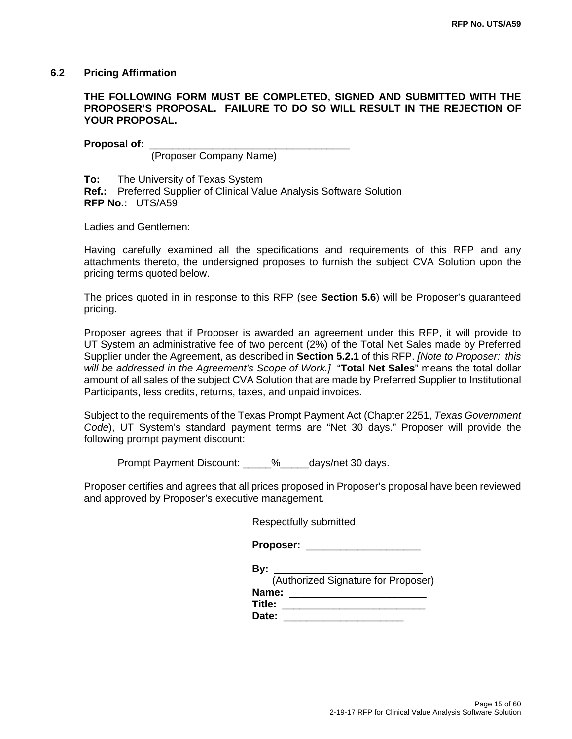#### **6.2 Pricing Affirmation**

#### **THE FOLLOWING FORM MUST BE COMPLETED, SIGNED AND SUBMITTED WITH THE PROPOSER'S PROPOSAL. FAILURE TO DO SO WILL RESULT IN THE REJECTION OF YOUR PROPOSAL.**

Proposal of:

(Proposer Company Name)

**To:** The University of Texas System **Ref.:** Preferred Supplier of Clinical Value Analysis Software Solution **RFP No.:** UTS/A59

Ladies and Gentlemen:

Having carefully examined all the specifications and requirements of this RFP and any attachments thereto, the undersigned proposes to furnish the subject CVA Solution upon the pricing terms quoted below.

The prices quoted in in response to this RFP (see **Section 5.6**) will be Proposer's guaranteed pricing.

Proposer agrees that if Proposer is awarded an agreement under this RFP, it will provide to UT System an administrative fee of two percent (2%) of the Total Net Sales made by Preferred Supplier under the Agreement, as described in **Section 5.2.1** of this RFP. *[Note to Proposer: this will be addressed in the Agreement's Scope of Work.]* "**Total Net Sales**" means the total dollar amount of all sales of the subject CVA Solution that are made by Preferred Supplier to Institutional Participants, less credits, returns, taxes, and unpaid invoices.

Subject to the requirements of the Texas Prompt Payment Act (Chapter 2251, *Texas Government Code*), UT System's standard payment terms are "Net 30 days." Proposer will provide the following prompt payment discount:

Prompt Payment Discount:  $\frac{9}{6}$  days/net 30 days.

Proposer certifies and agrees that all prices proposed in Proposer's proposal have been reviewed and approved by Proposer's executive management.

Respectfully submitted,

| Bv:                                 |
|-------------------------------------|
| (Authorized Signature for Proposer) |
| Name:                               |
| Title:                              |
| Date:                               |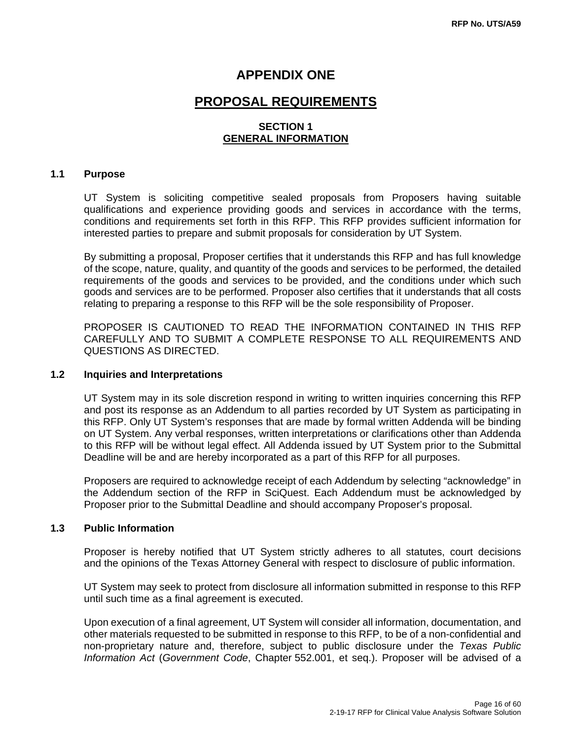### **APPENDIX ONE**

## **PROPOSAL REQUIREMENTS**

#### **SECTION 1 GENERAL INFORMATION**

#### **1.1 Purpose**

UT System is soliciting competitive sealed proposals from Proposers having suitable qualifications and experience providing goods and services in accordance with the terms, conditions and requirements set forth in this RFP. This RFP provides sufficient information for interested parties to prepare and submit proposals for consideration by UT System.

By submitting a proposal, Proposer certifies that it understands this RFP and has full knowledge of the scope, nature, quality, and quantity of the goods and services to be performed, the detailed requirements of the goods and services to be provided, and the conditions under which such goods and services are to be performed. Proposer also certifies that it understands that all costs relating to preparing a response to this RFP will be the sole responsibility of Proposer.

PROPOSER IS CAUTIONED TO READ THE INFORMATION CONTAINED IN THIS RFP CAREFULLY AND TO SUBMIT A COMPLETE RESPONSE TO ALL REQUIREMENTS AND QUESTIONS AS DIRECTED.

#### **1.2 Inquiries and Interpretations**

UT System may in its sole discretion respond in writing to written inquiries concerning this RFP and post its response as an Addendum to all parties recorded by UT System as participating in this RFP. Only UT System's responses that are made by formal written Addenda will be binding on UT System. Any verbal responses, written interpretations or clarifications other than Addenda to this RFP will be without legal effect. All Addenda issued by UT System prior to the Submittal Deadline will be and are hereby incorporated as a part of this RFP for all purposes.

Proposers are required to acknowledge receipt of each Addendum by selecting "acknowledge" in the Addendum section of the RFP in SciQuest. Each Addendum must be acknowledged by Proposer prior to the Submittal Deadline and should accompany Proposer's proposal.

#### **1.3 Public Information**

Proposer is hereby notified that UT System strictly adheres to all statutes, court decisions and the opinions of the Texas Attorney General with respect to disclosure of public information.

UT System may seek to protect from disclosure all information submitted in response to this RFP until such time as a final agreement is executed.

Upon execution of a final agreement, UT System will consider all information, documentation, and other materials requested to be submitted in response to this RFP, to be of a non-confidential and non-proprietary nature and, therefore, subject to public disclosure under the *Texas Public Information Act* (*Government Code*, Chapter 552.001, et seq.). Proposer will be advised of a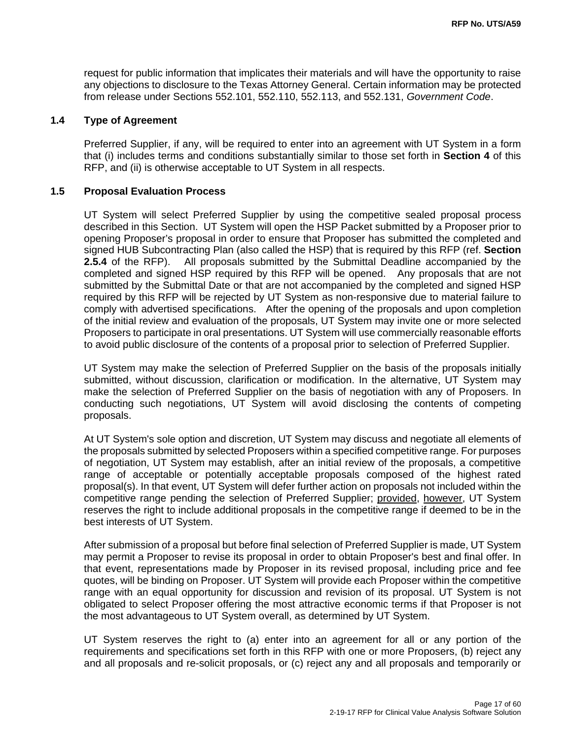request for public information that implicates their materials and will have the opportunity to raise any objections to disclosure to the Texas Attorney General. Certain information may be protected from release under Sections 552.101, 552.110, 552.113, and 552.131, *Government Code*.

#### **1.4 Type of Agreement**

Preferred Supplier, if any, will be required to enter into an agreement with UT System in a form that (i) includes terms and conditions substantially similar to those set forth in **Section 4** of this RFP, and (ii) is otherwise acceptable to UT System in all respects.

#### **1.5 Proposal Evaluation Process**

UT System will select Preferred Supplier by using the competitive sealed proposal process described in this Section. UT System will open the HSP Packet submitted by a Proposer prior to opening Proposer's proposal in order to ensure that Proposer has submitted the completed and signed HUB Subcontracting Plan (also called the HSP) that is required by this RFP (ref. **Section 2.5.4** of the RFP). All proposals submitted by the Submittal Deadline accompanied by the completed and signed HSP required by this RFP will be opened. Any proposals that are not submitted by the Submittal Date or that are not accompanied by the completed and signed HSP required by this RFP will be rejected by UT System as non-responsive due to material failure to comply with advertised specifications. After the opening of the proposals and upon completion of the initial review and evaluation of the proposals, UT System may invite one or more selected Proposers to participate in oral presentations. UT System will use commercially reasonable efforts to avoid public disclosure of the contents of a proposal prior to selection of Preferred Supplier.

UT System may make the selection of Preferred Supplier on the basis of the proposals initially submitted, without discussion, clarification or modification. In the alternative, UT System may make the selection of Preferred Supplier on the basis of negotiation with any of Proposers. In conducting such negotiations, UT System will avoid disclosing the contents of competing proposals.

At UT System's sole option and discretion, UT System may discuss and negotiate all elements of the proposals submitted by selected Proposers within a specified competitive range. For purposes of negotiation, UT System may establish, after an initial review of the proposals, a competitive range of acceptable or potentially acceptable proposals composed of the highest rated proposal(s). In that event, UT System will defer further action on proposals not included within the competitive range pending the selection of Preferred Supplier; provided, however, UT System reserves the right to include additional proposals in the competitive range if deemed to be in the best interests of UT System.

After submission of a proposal but before final selection of Preferred Supplier is made, UT System may permit a Proposer to revise its proposal in order to obtain Proposer's best and final offer. In that event, representations made by Proposer in its revised proposal, including price and fee quotes, will be binding on Proposer. UT System will provide each Proposer within the competitive range with an equal opportunity for discussion and revision of its proposal. UT System is not obligated to select Proposer offering the most attractive economic terms if that Proposer is not the most advantageous to UT System overall, as determined by UT System.

UT System reserves the right to (a) enter into an agreement for all or any portion of the requirements and specifications set forth in this RFP with one or more Proposers, (b) reject any and all proposals and re-solicit proposals, or (c) reject any and all proposals and temporarily or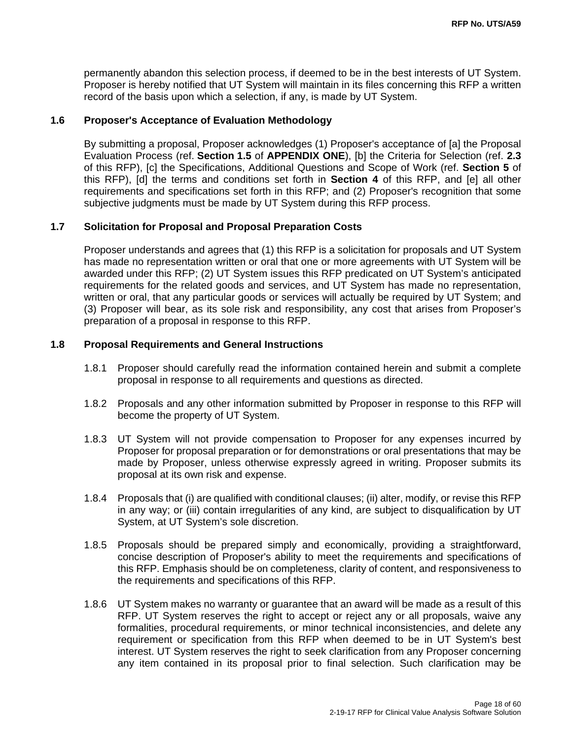permanently abandon this selection process, if deemed to be in the best interests of UT System. Proposer is hereby notified that UT System will maintain in its files concerning this RFP a written record of the basis upon which a selection, if any, is made by UT System.

#### **1.6 Proposer's Acceptance of Evaluation Methodology**

By submitting a proposal, Proposer acknowledges (1) Proposer's acceptance of [a] the Proposal Evaluation Process (ref. **Section 1.5** of **APPENDIX ONE**), [b] the Criteria for Selection (ref. **2.3**  of this RFP), [c] the Specifications, Additional Questions and Scope of Work (ref. **Section 5** of this RFP), [d] the terms and conditions set forth in **Section 4** of this RFP, and [e] all other requirements and specifications set forth in this RFP; and (2) Proposer's recognition that some subjective judgments must be made by UT System during this RFP process.

#### **1.7 Solicitation for Proposal and Proposal Preparation Costs**

Proposer understands and agrees that (1) this RFP is a solicitation for proposals and UT System has made no representation written or oral that one or more agreements with UT System will be awarded under this RFP; (2) UT System issues this RFP predicated on UT System's anticipated requirements for the related goods and services, and UT System has made no representation, written or oral, that any particular goods or services will actually be required by UT System; and (3) Proposer will bear, as its sole risk and responsibility, any cost that arises from Proposer's preparation of a proposal in response to this RFP.

#### **1.8 Proposal Requirements and General Instructions**

- 1.8.1 Proposer should carefully read the information contained herein and submit a complete proposal in response to all requirements and questions as directed.
- 1.8.2 Proposals and any other information submitted by Proposer in response to this RFP will become the property of UT System.
- 1.8.3 UT System will not provide compensation to Proposer for any expenses incurred by Proposer for proposal preparation or for demonstrations or oral presentations that may be made by Proposer, unless otherwise expressly agreed in writing. Proposer submits its proposal at its own risk and expense.
- 1.8.4 Proposals that (i) are qualified with conditional clauses; (ii) alter, modify, or revise this RFP in any way; or (iii) contain irregularities of any kind, are subject to disqualification by UT System, at UT System's sole discretion.
- 1.8.5 Proposals should be prepared simply and economically, providing a straightforward, concise description of Proposer's ability to meet the requirements and specifications of this RFP. Emphasis should be on completeness, clarity of content, and responsiveness to the requirements and specifications of this RFP.
- 1.8.6 UT System makes no warranty or guarantee that an award will be made as a result of this RFP. UT System reserves the right to accept or reject any or all proposals, waive any formalities, procedural requirements, or minor technical inconsistencies, and delete any requirement or specification from this RFP when deemed to be in UT System's best interest. UT System reserves the right to seek clarification from any Proposer concerning any item contained in its proposal prior to final selection. Such clarification may be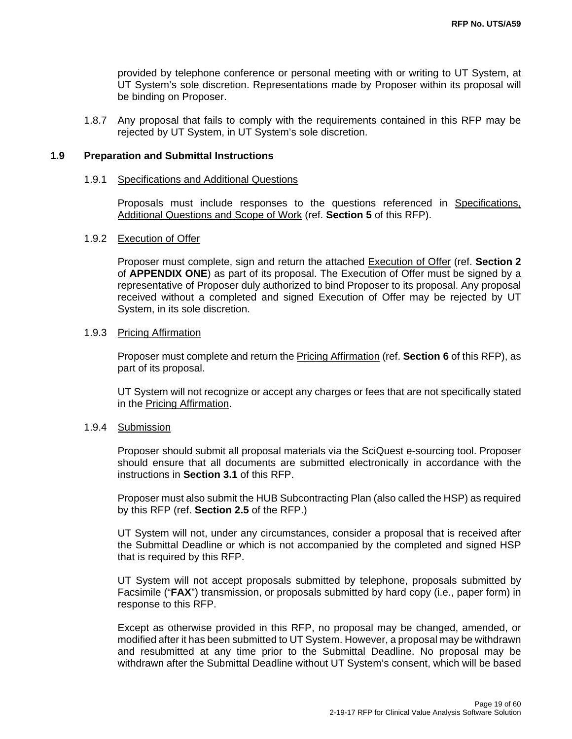provided by telephone conference or personal meeting with or writing to UT System, at UT System's sole discretion. Representations made by Proposer within its proposal will be binding on Proposer.

1.8.7 Any proposal that fails to comply with the requirements contained in this RFP may be rejected by UT System, in UT System's sole discretion.

#### **1.9 Preparation and Submittal Instructions**

#### 1.9.1 Specifications and Additional Questions

Proposals must include responses to the questions referenced in Specifications, Additional Questions and Scope of Work (ref. **Section 5** of this RFP).

#### 1.9.2 Execution of Offer

Proposer must complete, sign and return the attached Execution of Offer (ref. **Section 2**  of **APPENDIX ONE**) as part of its proposal. The Execution of Offer must be signed by a representative of Proposer duly authorized to bind Proposer to its proposal. Any proposal received without a completed and signed Execution of Offer may be rejected by UT System, in its sole discretion.

#### 1.9.3 Pricing Affirmation

Proposer must complete and return the Pricing Affirmation (ref. **Section 6** of this RFP), as part of its proposal.

UT System will not recognize or accept any charges or fees that are not specifically stated in the Pricing Affirmation.

#### 1.9.4 Submission

Proposer should submit all proposal materials via the SciQuest e-sourcing tool. Proposer should ensure that all documents are submitted electronically in accordance with the instructions in **Section 3.1** of this RFP.

Proposer must also submit the HUB Subcontracting Plan (also called the HSP) as required by this RFP (ref. **Section 2.5** of the RFP.)

UT System will not, under any circumstances, consider a proposal that is received after the Submittal Deadline or which is not accompanied by the completed and signed HSP that is required by this RFP.

UT System will not accept proposals submitted by telephone, proposals submitted by Facsimile ("**FAX**") transmission, or proposals submitted by hard copy (i.e., paper form) in response to this RFP.

Except as otherwise provided in this RFP, no proposal may be changed, amended, or modified after it has been submitted to UT System. However, a proposal may be withdrawn and resubmitted at any time prior to the Submittal Deadline. No proposal may be withdrawn after the Submittal Deadline without UT System's consent, which will be based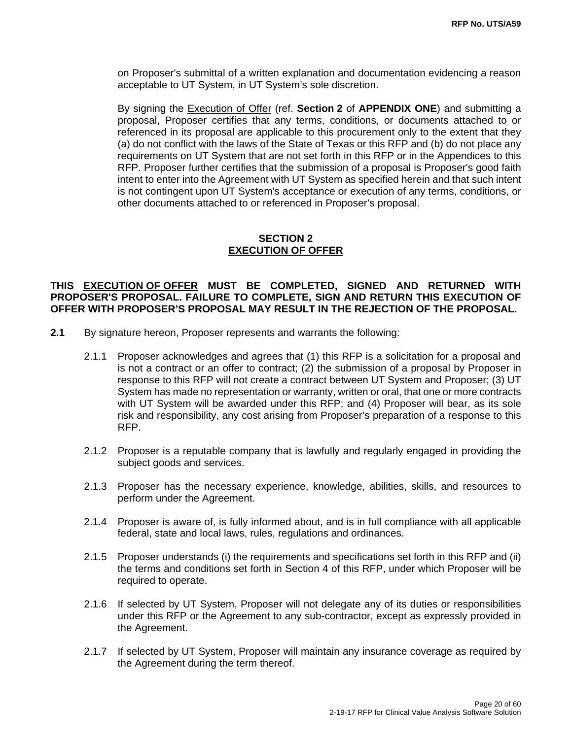on Proposer's submittal of a written explanation and documentation evidencing a reason acceptable to UT System, in UT System's sole discretion.

By signing the Execution of Offer (ref. **Section 2** of **APPENDIX ONE**) and submitting a proposal, Proposer certifies that any terms, conditions, or documents attached to or referenced in its proposal are applicable to this procurement only to the extent that they (a) do not conflict with the laws of the State of Texas or this RFP and (b) do not place any requirements on UT System that are not set forth in this RFP or in the Appendices to this RFP. Proposer further certifies that the submission of a proposal is Proposer's good faith intent to enter into the Agreement with UT System as specified herein and that such intent is not contingent upon UT System's acceptance or execution of any terms, conditions, or other documents attached to or referenced in Proposer's proposal.

#### **SECTION 2 EXECUTION OF OFFER**

#### **THIS EXECUTION OF OFFER MUST BE COMPLETED, SIGNED AND RETURNED WITH PROPOSER'S PROPOSAL. FAILURE TO COMPLETE, SIGN AND RETURN THIS EXECUTION OF OFFER WITH PROPOSER'S PROPOSAL MAY RESULT IN THE REJECTION OF THE PROPOSAL.**

- **2.1** By signature hereon, Proposer represents and warrants the following:
	- 2.1.1 Proposer acknowledges and agrees that (1) this RFP is a solicitation for a proposal and is not a contract or an offer to contract; (2) the submission of a proposal by Proposer in response to this RFP will not create a contract between UT System and Proposer; (3) UT System has made no representation or warranty, written or oral, that one or more contracts with UT System will be awarded under this RFP; and (4) Proposer will bear, as its sole risk and responsibility, any cost arising from Proposer's preparation of a response to this RFP.
	- 2.1.2 Proposer is a reputable company that is lawfully and regularly engaged in providing the subject goods and services.
	- 2.1.3 Proposer has the necessary experience, knowledge, abilities, skills, and resources to perform under the Agreement.
	- 2.1.4 Proposer is aware of, is fully informed about, and is in full compliance with all applicable federal, state and local laws, rules, regulations and ordinances.
	- 2.1.5 Proposer understands (i) the requirements and specifications set forth in this RFP and (ii) the terms and conditions set forth in Section 4 of this RFP, under which Proposer will be required to operate.
	- 2.1.6 If selected by UT System, Proposer will not delegate any of its duties or responsibilities under this RFP or the Agreement to any sub-contractor, except as expressly provided in the Agreement.
	- 2.1.7 If selected by UT System, Proposer will maintain any insurance coverage as required by the Agreement during the term thereof.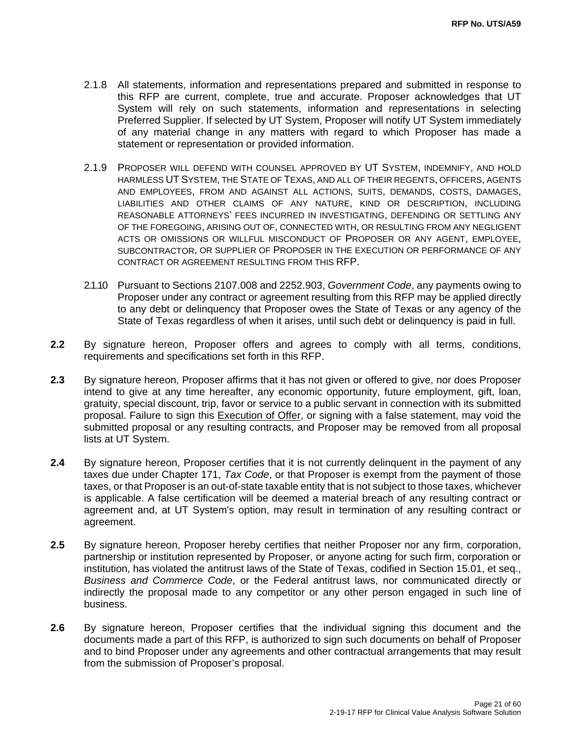- 2.1.8 All statements, information and representations prepared and submitted in response to this RFP are current, complete, true and accurate. Proposer acknowledges that UT System will rely on such statements, information and representations in selecting Preferred Supplier. If selected by UT System, Proposer will notify UT System immediately of any material change in any matters with regard to which Proposer has made a statement or representation or provided information.
- 2.1.9 PROPOSER WILL DEFEND WITH COUNSEL APPROVED BY UT SYSTEM, INDEMNIFY, AND HOLD HARMLESS UT SYSTEM, THE STATE OF TEXAS, AND ALL OF THEIR REGENTS, OFFICERS, AGENTS AND EMPLOYEES, FROM AND AGAINST ALL ACTIONS, SUITS, DEMANDS, COSTS, DAMAGES, LIABILITIES AND OTHER CLAIMS OF ANY NATURE, KIND OR DESCRIPTION, INCLUDING REASONABLE ATTORNEYS' FEES INCURRED IN INVESTIGATING, DEFENDING OR SETTLING ANY OF THE FOREGOING, ARISING OUT OF, CONNECTED WITH, OR RESULTING FROM ANY NEGLIGENT ACTS OR OMISSIONS OR WILLFUL MISCONDUCT OF PROPOSER OR ANY AGENT, EMPLOYEE, SUBCONTRACTOR, OR SUPPLIER OF PROPOSER IN THE EXECUTION OR PERFORMANCE OF ANY CONTRACT OR AGREEMENT RESULTING FROM THIS RFP.
- 2.1.10 Pursuant to Sections 2107.008 and 2252.903, *Government Code*, any payments owing to Proposer under any contract or agreement resulting from this RFP may be applied directly to any debt or delinquency that Proposer owes the State of Texas or any agency of the State of Texas regardless of when it arises, until such debt or delinquency is paid in full.
- **2.2** By signature hereon, Proposer offers and agrees to comply with all terms, conditions, requirements and specifications set forth in this RFP.
- **2.3** By signature hereon, Proposer affirms that it has not given or offered to give, nor does Proposer intend to give at any time hereafter, any economic opportunity, future employment, gift, loan, gratuity, special discount, trip, favor or service to a public servant in connection with its submitted proposal. Failure to sign this Execution of Offer, or signing with a false statement, may void the submitted proposal or any resulting contracts, and Proposer may be removed from all proposal lists at UT System.
- **2.4** By signature hereon, Proposer certifies that it is not currently delinquent in the payment of any taxes due under Chapter 171, *Tax Code*, or that Proposer is exempt from the payment of those taxes, or that Proposer is an out-of-state taxable entity that is not subject to those taxes, whichever is applicable. A false certification will be deemed a material breach of any resulting contract or agreement and, at UT System's option, may result in termination of any resulting contract or agreement.
- **2.5** By signature hereon, Proposer hereby certifies that neither Proposer nor any firm, corporation, partnership or institution represented by Proposer, or anyone acting for such firm, corporation or institution, has violated the antitrust laws of the State of Texas, codified in Section 15.01, et seq., *Business and Commerce Code*, or the Federal antitrust laws, nor communicated directly or indirectly the proposal made to any competitor or any other person engaged in such line of business.
- **2.6** By signature hereon, Proposer certifies that the individual signing this document and the documents made a part of this RFP, is authorized to sign such documents on behalf of Proposer and to bind Proposer under any agreements and other contractual arrangements that may result from the submission of Proposer's proposal.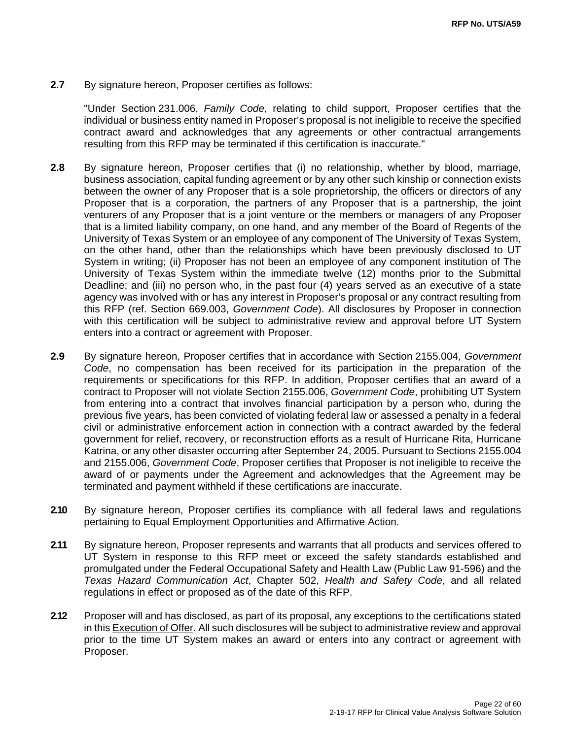**2.7** By signature hereon, Proposer certifies as follows:

"Under Section 231.006, *Family Code,* relating to child support, Proposer certifies that the individual or business entity named in Proposer's proposal is not ineligible to receive the specified contract award and acknowledges that any agreements or other contractual arrangements resulting from this RFP may be terminated if this certification is inaccurate."

- **2.8** By signature hereon, Proposer certifies that (i) no relationship, whether by blood, marriage, business association, capital funding agreement or by any other such kinship or connection exists between the owner of any Proposer that is a sole proprietorship, the officers or directors of any Proposer that is a corporation, the partners of any Proposer that is a partnership, the joint venturers of any Proposer that is a joint venture or the members or managers of any Proposer that is a limited liability company, on one hand, and any member of the Board of Regents of the University of Texas System or an employee of any component of The University of Texas System, on the other hand, other than the relationships which have been previously disclosed to UT System in writing; (ii) Proposer has not been an employee of any component institution of The University of Texas System within the immediate twelve (12) months prior to the Submittal Deadline; and (iii) no person who, in the past four (4) years served as an executive of a state agency was involved with or has any interest in Proposer's proposal or any contract resulting from this RFP (ref. Section 669.003, *Government Code*). All disclosures by Proposer in connection with this certification will be subject to administrative review and approval before UT System enters into a contract or agreement with Proposer.
- **2.9** By signature hereon, Proposer certifies that in accordance with Section 2155.004, *Government Code*, no compensation has been received for its participation in the preparation of the requirements or specifications for this RFP. In addition, Proposer certifies that an award of a contract to Proposer will not violate Section 2155.006, *Government Code*, prohibiting UT System from entering into a contract that involves financial participation by a person who, during the previous five years, has been convicted of violating federal law or assessed a penalty in a federal civil or administrative enforcement action in connection with a contract awarded by the federal government for relief, recovery, or reconstruction efforts as a result of Hurricane Rita, Hurricane Katrina, or any other disaster occurring after September 24, 2005. Pursuant to Sections 2155.004 and 2155.006, *Government Code*, Proposer certifies that Proposer is not ineligible to receive the award of or payments under the Agreement and acknowledges that the Agreement may be terminated and payment withheld if these certifications are inaccurate.
- **2.10** By signature hereon, Proposer certifies its compliance with all federal laws and regulations pertaining to Equal Employment Opportunities and Affirmative Action.
- **2.11** By signature hereon, Proposer represents and warrants that all products and services offered to UT System in response to this RFP meet or exceed the safety standards established and promulgated under the Federal Occupational Safety and Health Law (Public Law 91-596) and the *Texas Hazard Communication Act*, Chapter 502, *Health and Safety Code*, and all related regulations in effect or proposed as of the date of this RFP.
- **2.12** Proposer will and has disclosed, as part of its proposal, any exceptions to the certifications stated in this Execution of Offer. All such disclosures will be subject to administrative review and approval prior to the time UT System makes an award or enters into any contract or agreement with Proposer.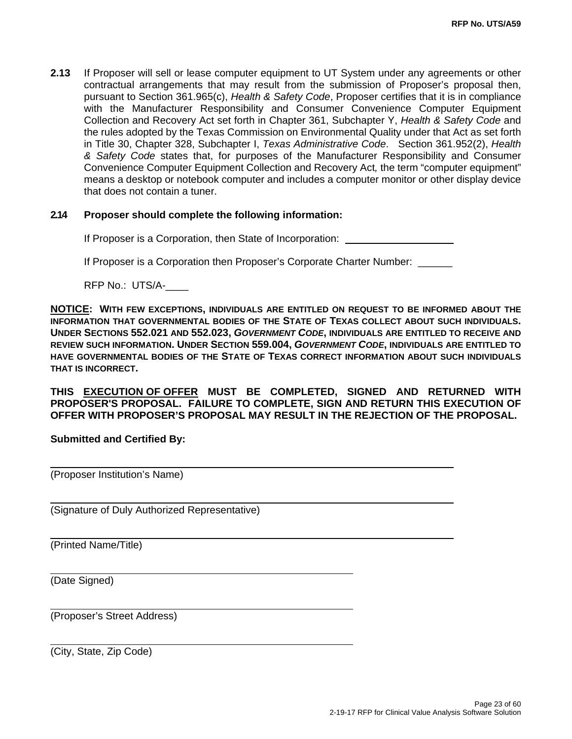**2.13** If Proposer will sell or lease computer equipment to UT System under any agreements or other contractual arrangements that may result from the submission of Proposer's proposal then, pursuant to Section 361.965(c), *Health & Safety Code*, Proposer certifies that it is in compliance with the Manufacturer Responsibility and Consumer Convenience Computer Equipment Collection and Recovery Act set forth in Chapter 361, Subchapter Y, *Health & Safety Code* and the rules adopted by the Texas Commission on Environmental Quality under that Act as set forth in Title 30, Chapter 328, Subchapter I, *Texas Administrative Code*. Section 361.952(2), *Health & Safety Code* states that, for purposes of the Manufacturer Responsibility and Consumer Convenience Computer Equipment Collection and Recovery Act*,* the term "computer equipment" means a desktop or notebook computer and includes a computer monitor or other display device that does not contain a tuner.

#### **2.14 Proposer should complete the following information:**

If Proposer is a Corporation, then State of Incorporation:

If Proposer is a Corporation then Proposer's Corporate Charter Number: \_\_\_\_\_\_

RFP No.: UTS/A-\_\_\_\_

**NOTICE: WITH FEW EXCEPTIONS, INDIVIDUALS ARE ENTITLED ON REQUEST TO BE INFORMED ABOUT THE INFORMATION THAT GOVERNMENTAL BODIES OF THE STATE OF TEXAS COLLECT ABOUT SUCH INDIVIDUALS. UNDER SECTIONS 552.021 AND 552.023,** *GOVERNMENT CODE***, INDIVIDUALS ARE ENTITLED TO RECEIVE AND REVIEW SUCH INFORMATION. UNDER SECTION 559.004,** *GOVERNMENT CODE***, INDIVIDUALS ARE ENTITLED TO HAVE GOVERNMENTAL BODIES OF THE STATE OF TEXAS CORRECT INFORMATION ABOUT SUCH INDIVIDUALS THAT IS INCORRECT.** 

**THIS EXECUTION OF OFFER MUST BE COMPLETED, SIGNED AND RETURNED WITH PROPOSER'S PROPOSAL. FAILURE TO COMPLETE, SIGN AND RETURN THIS EXECUTION OF OFFER WITH PROPOSER'S PROPOSAL MAY RESULT IN THE REJECTION OF THE PROPOSAL.** 

#### **Submitted and Certified By:**

(Proposer Institution's Name)

(Signature of Duly Authorized Representative)

(Printed Name/Title)

(Date Signed)

 $\overline{a}$ 

 $\overline{a}$ 

 $\overline{a}$ 

(Proposer's Street Address)

(City, State, Zip Code)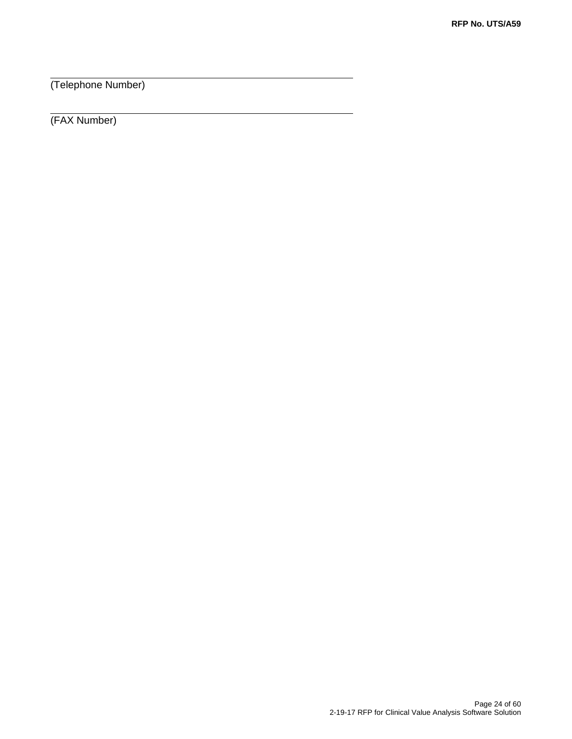(Telephone Number)

(FAX Number)

 $\overline{a}$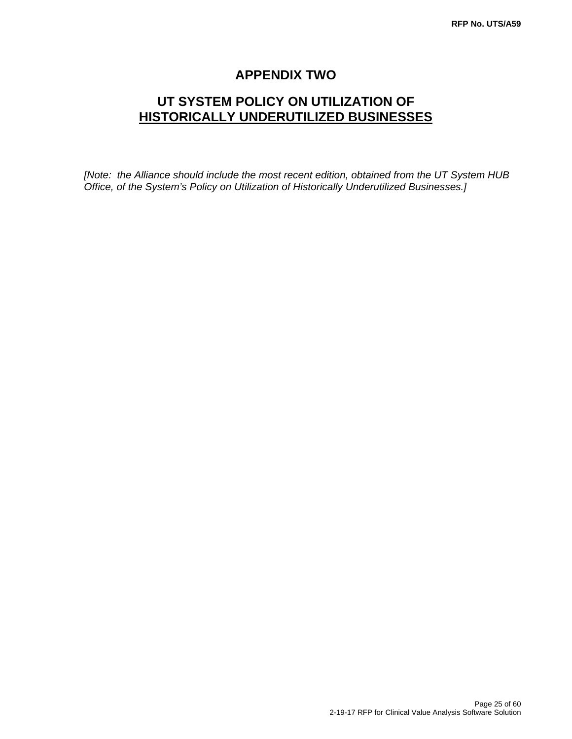## **APPENDIX TWO**

## **UT SYSTEM POLICY ON UTILIZATION OF HISTORICALLY UNDERUTILIZED BUSINESSES**

*[Note: the Alliance should include the most recent edition, obtained from the UT System HUB Office, of the System's Policy on Utilization of Historically Underutilized Businesses.]*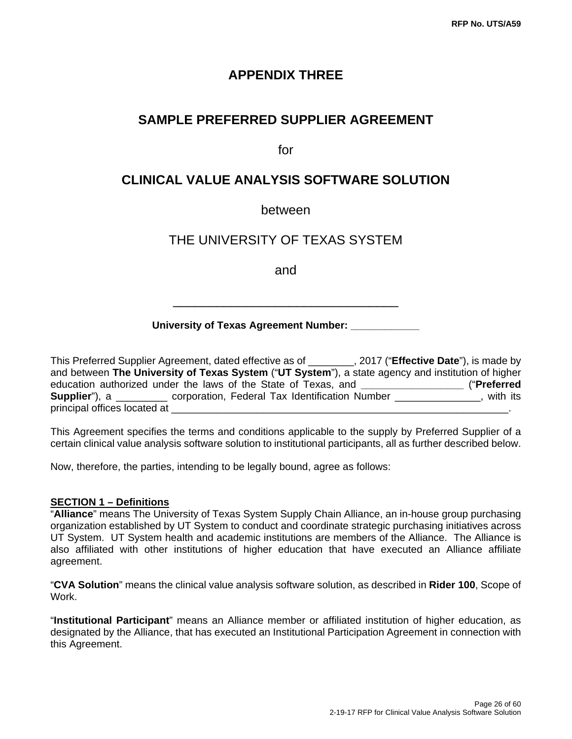## **APPENDIX THREE**

## **SAMPLE PREFERRED SUPPLIER AGREEMENT**

for

## **CLINICAL VALUE ANALYSIS SOFTWARE SOLUTION**

#### between

## THE UNIVERSITY OF TEXAS SYSTEM

and

#### **University of Texas Agreement Number:**

\_\_\_\_\_\_\_\_\_\_\_\_\_\_\_\_\_\_\_\_\_\_\_\_\_\_\_\_\_\_\_

This Preferred Supplier Agreement, dated effective as of \_\_\_\_\_\_\_\_, 2017 ("**Effective Date**"), is made by and between **The University of Texas System** ("**UT System**"), a state agency and institution of higher education authorized under the laws of the State of Texas, and **\_\_\_\_\_\_\_\_\_\_\_\_\_\_\_\_\_\_** ("**Preferred Supplier**"), a corporation, Federal Tax Identification Number \_\_\_\_\_\_\_\_\_\_\_\_\_, with its principal offices located at

This Agreement specifies the terms and conditions applicable to the supply by Preferred Supplier of a certain clinical value analysis software solution to institutional participants, all as further described below.

Now, therefore, the parties, intending to be legally bound, agree as follows:

#### **SECTION 1 – Definitions**

"**Alliance**" means The University of Texas System Supply Chain Alliance, an in-house group purchasing organization established by UT System to conduct and coordinate strategic purchasing initiatives across UT System. UT System health and academic institutions are members of the Alliance. The Alliance is also affiliated with other institutions of higher education that have executed an Alliance affiliate agreement.

"**CVA Solution**" means the clinical value analysis software solution, as described in **Rider 100**, Scope of Work.

"**Institutional Participant**" means an Alliance member or affiliated institution of higher education, as designated by the Alliance, that has executed an Institutional Participation Agreement in connection with this Agreement.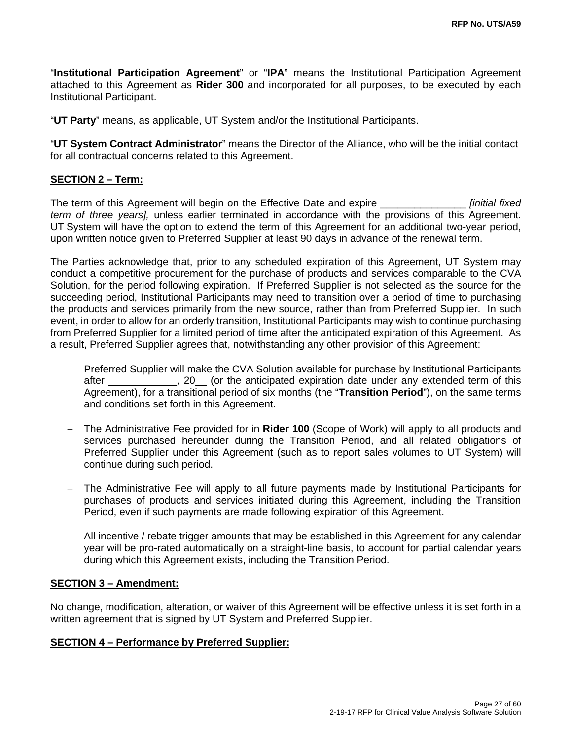"**Institutional Participation Agreement**" or "**IPA**" means the Institutional Participation Agreement attached to this Agreement as **Rider 300** and incorporated for all purposes, to be executed by each Institutional Participant.

"**UT Party**" means, as applicable, UT System and/or the Institutional Participants.

"**UT System Contract Administrator**" means the Director of the Alliance, who will be the initial contact for all contractual concerns related to this Agreement.

#### **SECTION 2 – Term:**

The term of this Agreement will begin on the Effective Date and expire \_\_\_\_\_\_\_\_\_\_\_\_\_\_\_ *[initial fixed term of three years],* unless earlier terminated in accordance with the provisions of this Agreement. UT System will have the option to extend the term of this Agreement for an additional two-year period, upon written notice given to Preferred Supplier at least 90 days in advance of the renewal term.

The Parties acknowledge that, prior to any scheduled expiration of this Agreement, UT System may conduct a competitive procurement for the purchase of products and services comparable to the CVA Solution, for the period following expiration. If Preferred Supplier is not selected as the source for the succeeding period, Institutional Participants may need to transition over a period of time to purchasing the products and services primarily from the new source, rather than from Preferred Supplier. In such event, in order to allow for an orderly transition, Institutional Participants may wish to continue purchasing from Preferred Supplier for a limited period of time after the anticipated expiration of this Agreement. As a result, Preferred Supplier agrees that, notwithstanding any other provision of this Agreement:

- Preferred Supplier will make the CVA Solution available for purchase by Institutional Participants after and all the anticipated expiration date under any extended term of this Agreement), for a transitional period of six months (the "**Transition Period**"), on the same terms and conditions set forth in this Agreement.
- The Administrative Fee provided for in **Rider 100** (Scope of Work) will apply to all products and services purchased hereunder during the Transition Period, and all related obligations of Preferred Supplier under this Agreement (such as to report sales volumes to UT System) will continue during such period.
- The Administrative Fee will apply to all future payments made by Institutional Participants for purchases of products and services initiated during this Agreement, including the Transition Period, even if such payments are made following expiration of this Agreement.
- All incentive / rebate trigger amounts that may be established in this Agreement for any calendar year will be pro-rated automatically on a straight-line basis, to account for partial calendar years during which this Agreement exists, including the Transition Period.

#### **SECTION 3 – Amendment:**

No change, modification, alteration, or waiver of this Agreement will be effective unless it is set forth in a written agreement that is signed by UT System and Preferred Supplier.

#### **SECTION 4 – Performance by Preferred Supplier:**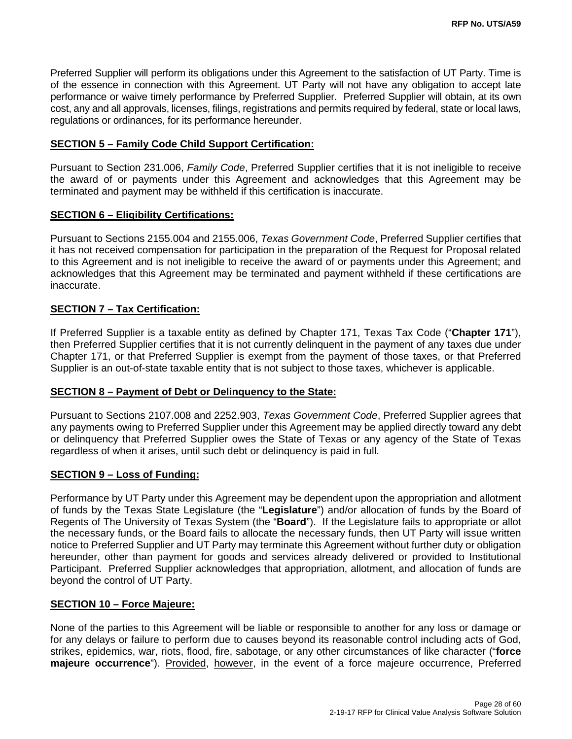Preferred Supplier will perform its obligations under this Agreement to the satisfaction of UT Party. Time is of the essence in connection with this Agreement. UT Party will not have any obligation to accept late performance or waive timely performance by Preferred Supplier. Preferred Supplier will obtain, at its own cost, any and all approvals, licenses, filings, registrations and permits required by federal, state or local laws, regulations or ordinances, for its performance hereunder.

#### **SECTION 5 – Family Code Child Support Certification:**

Pursuant to Section 231.006, *Family Code*, Preferred Supplier certifies that it is not ineligible to receive the award of or payments under this Agreement and acknowledges that this Agreement may be terminated and payment may be withheld if this certification is inaccurate.

#### **SECTION 6 – Eligibility Certifications:**

Pursuant to Sections 2155.004 and 2155.006, *Texas Government Code*, Preferred Supplier certifies that it has not received compensation for participation in the preparation of the Request for Proposal related to this Agreement and is not ineligible to receive the award of or payments under this Agreement; and acknowledges that this Agreement may be terminated and payment withheld if these certifications are inaccurate.

#### **SECTION 7 – Tax Certification:**

If Preferred Supplier is a taxable entity as defined by Chapter 171, Texas Tax Code ("**Chapter 171**"), then Preferred Supplier certifies that it is not currently delinquent in the payment of any taxes due under Chapter 171, or that Preferred Supplier is exempt from the payment of those taxes, or that Preferred Supplier is an out-of-state taxable entity that is not subject to those taxes, whichever is applicable.

#### **SECTION 8 – Payment of Debt or Delinquency to the State:**

Pursuant to Sections 2107.008 and 2252.903, *Texas Government Code*, Preferred Supplier agrees that any payments owing to Preferred Supplier under this Agreement may be applied directly toward any debt or delinquency that Preferred Supplier owes the State of Texas or any agency of the State of Texas regardless of when it arises, until such debt or delinquency is paid in full.

#### **SECTION 9 – Loss of Funding:**

Performance by UT Party under this Agreement may be dependent upon the appropriation and allotment of funds by the Texas State Legislature (the "**Legislature**") and/or allocation of funds by the Board of Regents of The University of Texas System (the "**Board**"). If the Legislature fails to appropriate or allot the necessary funds, or the Board fails to allocate the necessary funds, then UT Party will issue written notice to Preferred Supplier and UT Party may terminate this Agreement without further duty or obligation hereunder, other than payment for goods and services already delivered or provided to Institutional Participant. Preferred Supplier acknowledges that appropriation, allotment, and allocation of funds are beyond the control of UT Party.

#### **SECTION 10 – Force Majeure:**

None of the parties to this Agreement will be liable or responsible to another for any loss or damage or for any delays or failure to perform due to causes beyond its reasonable control including acts of God, strikes, epidemics, war, riots, flood, fire, sabotage, or any other circumstances of like character ("**force majeure occurrence**"). Provided, however, in the event of a force majeure occurrence, Preferred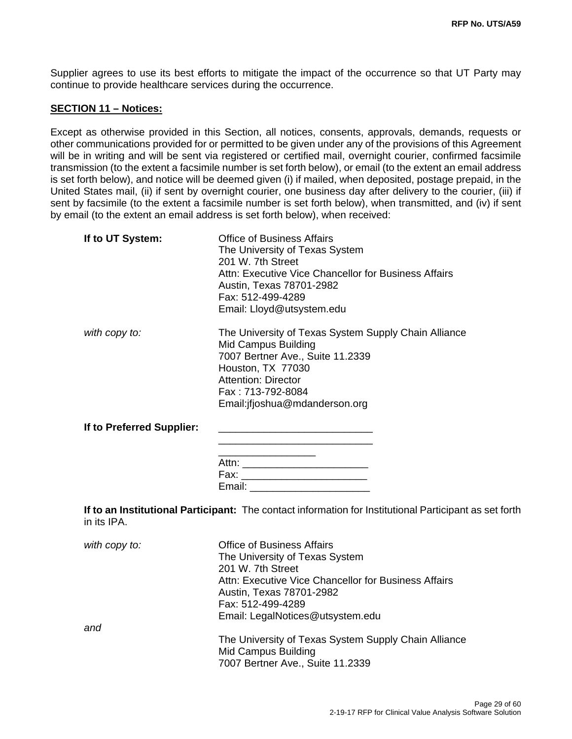Supplier agrees to use its best efforts to mitigate the impact of the occurrence so that UT Party may continue to provide healthcare services during the occurrence.

#### **SECTION 11 – Notices:**

Except as otherwise provided in this Section, all notices, consents, approvals, demands, requests or other communications provided for or permitted to be given under any of the provisions of this Agreement will be in writing and will be sent via registered or certified mail, overnight courier, confirmed facsimile transmission (to the extent a facsimile number is set forth below), or email (to the extent an email address is set forth below), and notice will be deemed given (i) if mailed, when deposited, postage prepaid, in the United States mail, (ii) if sent by overnight courier, one business day after delivery to the courier, (iii) if sent by facsimile (to the extent a facsimile number is set forth below), when transmitted, and (iv) if sent by email (to the extent an email address is set forth below), when received:

| If to UT System:          | <b>Office of Business Affairs</b><br>The University of Texas System<br>201 W. 7th Street<br>Attn: Executive Vice Chancellor for Business Affairs<br>Austin, Texas 78701-2982<br>Fax: 512-499-4289<br>Email: Lloyd@utsystem.edu |
|---------------------------|--------------------------------------------------------------------------------------------------------------------------------------------------------------------------------------------------------------------------------|
| with copy to:             | The University of Texas System Supply Chain Alliance<br>Mid Campus Building<br>7007 Bertner Ave., Suite 11.2339<br>Houston, TX 77030<br><b>Attention: Director</b><br>Fax: 713-792-8084<br>Email: if joshua@mdanderson.org     |
| If to Preferred Supplier: | Fax: ___________________________<br>Email:                                                                                                                                                                                     |

**If to an Institutional Participant:** The contact information for Institutional Participant as set forth in its IPA.

| with copy to: | <b>Office of Business Affairs</b>                    |
|---------------|------------------------------------------------------|
|               | The University of Texas System                       |
|               | 201 W. 7th Street                                    |
|               | Attn: Executive Vice Chancellor for Business Affairs |
|               | Austin, Texas 78701-2982                             |
|               | Fax: 512-499-4289                                    |
|               | Email: LegalNotices@utsystem.edu                     |
| and           |                                                      |
|               | The University of Texas System Supply Chain Alliance |
|               | <b>Mid Campus Building</b>                           |
|               | 7007 Bertner Ave., Suite 11.2339                     |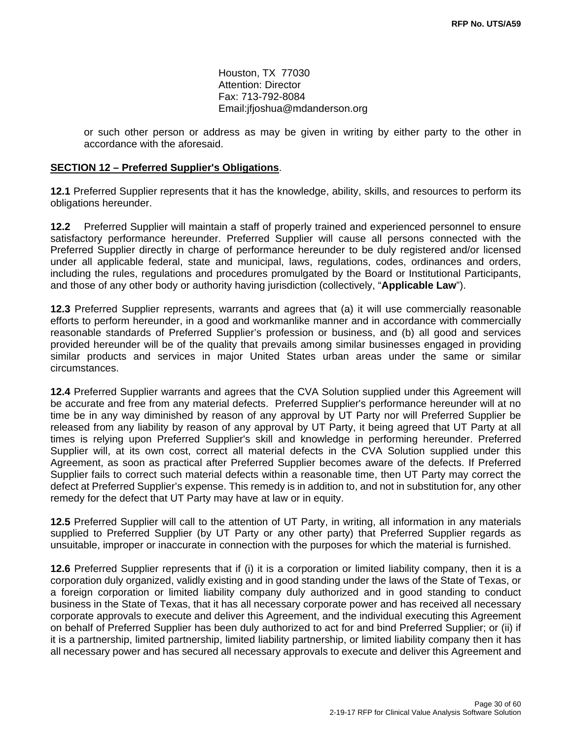Houston, TX 77030 Attention: Director Fax: 713-792-8084 Email:jfjoshua@mdanderson.org

or such other person or address as may be given in writing by either party to the other in accordance with the aforesaid.

#### **SECTION 12 – Preferred Supplier's Obligations**.

**12.1** Preferred Supplier represents that it has the knowledge, ability, skills, and resources to perform its obligations hereunder.

**12.2** Preferred Supplier will maintain a staff of properly trained and experienced personnel to ensure satisfactory performance hereunder. Preferred Supplier will cause all persons connected with the Preferred Supplier directly in charge of performance hereunder to be duly registered and/or licensed under all applicable federal, state and municipal, laws, regulations, codes, ordinances and orders, including the rules, regulations and procedures promulgated by the Board or Institutional Participants, and those of any other body or authority having jurisdiction (collectively, "**Applicable Law**").

**12.3** Preferred Supplier represents, warrants and agrees that (a) it will use commercially reasonable efforts to perform hereunder, in a good and workmanlike manner and in accordance with commercially reasonable standards of Preferred Supplier's profession or business, and (b) all good and services provided hereunder will be of the quality that prevails among similar businesses engaged in providing similar products and services in major United States urban areas under the same or similar circumstances.

**12.4** Preferred Supplier warrants and agrees that the CVA Solution supplied under this Agreement will be accurate and free from any material defects. Preferred Supplier's performance hereunder will at no time be in any way diminished by reason of any approval by UT Party nor will Preferred Supplier be released from any liability by reason of any approval by UT Party, it being agreed that UT Party at all times is relying upon Preferred Supplier's skill and knowledge in performing hereunder. Preferred Supplier will, at its own cost, correct all material defects in the CVA Solution supplied under this Agreement, as soon as practical after Preferred Supplier becomes aware of the defects. If Preferred Supplier fails to correct such material defects within a reasonable time, then UT Party may correct the defect at Preferred Supplier's expense. This remedy is in addition to, and not in substitution for, any other remedy for the defect that UT Party may have at law or in equity.

**12.5** Preferred Supplier will call to the attention of UT Party, in writing, all information in any materials supplied to Preferred Supplier (by UT Party or any other party) that Preferred Supplier regards as unsuitable, improper or inaccurate in connection with the purposes for which the material is furnished.

**12.6** Preferred Supplier represents that if (i) it is a corporation or limited liability company, then it is a corporation duly organized, validly existing and in good standing under the laws of the State of Texas, or a foreign corporation or limited liability company duly authorized and in good standing to conduct business in the State of Texas, that it has all necessary corporate power and has received all necessary corporate approvals to execute and deliver this Agreement, and the individual executing this Agreement on behalf of Preferred Supplier has been duly authorized to act for and bind Preferred Supplier; or (ii) if it is a partnership, limited partnership, limited liability partnership, or limited liability company then it has all necessary power and has secured all necessary approvals to execute and deliver this Agreement and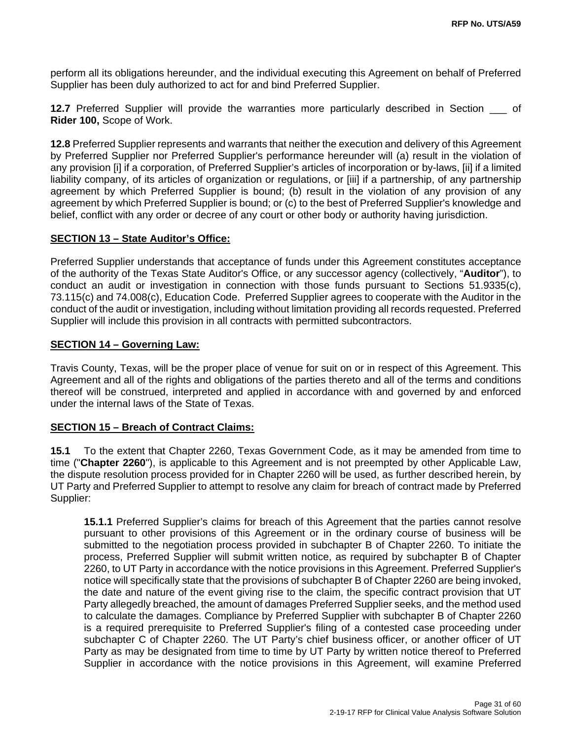perform all its obligations hereunder, and the individual executing this Agreement on behalf of Preferred Supplier has been duly authorized to act for and bind Preferred Supplier.

**12.7** Preferred Supplier will provide the warranties more particularly described in Section of **Rider 100,** Scope of Work.

**12.8** Preferred Supplier represents and warrants that neither the execution and delivery of this Agreement by Preferred Supplier nor Preferred Supplier's performance hereunder will (a) result in the violation of any provision [i] if a corporation, of Preferred Supplier's articles of incorporation or by-laws, [ii] if a limited liability company, of its articles of organization or regulations, or [iii] if a partnership, of any partnership agreement by which Preferred Supplier is bound; (b) result in the violation of any provision of any agreement by which Preferred Supplier is bound; or (c) to the best of Preferred Supplier's knowledge and belief, conflict with any order or decree of any court or other body or authority having jurisdiction.

#### **SECTION 13 – State Auditor's Office:**

Preferred Supplier understands that acceptance of funds under this Agreement constitutes acceptance of the authority of the Texas State Auditor's Office, or any successor agency (collectively, "**Auditor**"), to conduct an audit or investigation in connection with those funds pursuant to Sections 51.9335(c), 73.115(c) and 74.008(c), Education Code. Preferred Supplier agrees to cooperate with the Auditor in the conduct of the audit or investigation, including without limitation providing all records requested. Preferred Supplier will include this provision in all contracts with permitted subcontractors.

#### **SECTION 14 – Governing Law:**

Travis County, Texas, will be the proper place of venue for suit on or in respect of this Agreement. This Agreement and all of the rights and obligations of the parties thereto and all of the terms and conditions thereof will be construed, interpreted and applied in accordance with and governed by and enforced under the internal laws of the State of Texas.

#### **SECTION 15 – Breach of Contract Claims:**

**15.1** To the extent that Chapter 2260, Texas Government Code, as it may be amended from time to time ("**Chapter 2260**"), is applicable to this Agreement and is not preempted by other Applicable Law, the dispute resolution process provided for in Chapter 2260 will be used, as further described herein, by UT Party and Preferred Supplier to attempt to resolve any claim for breach of contract made by Preferred Supplier:

**15.1.1** Preferred Supplier's claims for breach of this Agreement that the parties cannot resolve pursuant to other provisions of this Agreement or in the ordinary course of business will be submitted to the negotiation process provided in subchapter B of Chapter 2260. To initiate the process, Preferred Supplier will submit written notice, as required by subchapter B of Chapter 2260, to UT Party in accordance with the notice provisions in this Agreement. Preferred Supplier's notice will specifically state that the provisions of subchapter B of Chapter 2260 are being invoked, the date and nature of the event giving rise to the claim, the specific contract provision that UT Party allegedly breached, the amount of damages Preferred Supplier seeks, and the method used to calculate the damages. Compliance by Preferred Supplier with subchapter B of Chapter 2260 is a required prerequisite to Preferred Supplier's filing of a contested case proceeding under subchapter C of Chapter 2260. The UT Party's chief business officer, or another officer of UT Party as may be designated from time to time by UT Party by written notice thereof to Preferred Supplier in accordance with the notice provisions in this Agreement, will examine Preferred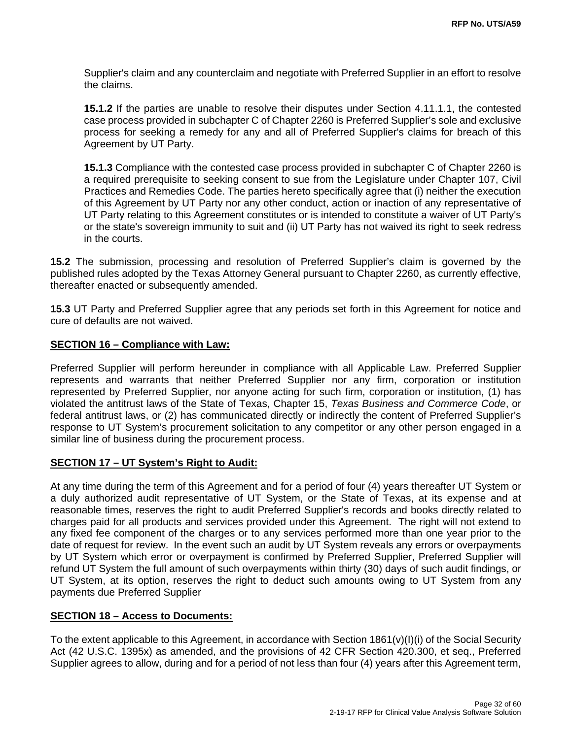Supplier's claim and any counterclaim and negotiate with Preferred Supplier in an effort to resolve the claims.

**15.1.2** If the parties are unable to resolve their disputes under Section 4.11.1.1, the contested case process provided in subchapter C of Chapter 2260 is Preferred Supplier's sole and exclusive process for seeking a remedy for any and all of Preferred Supplier's claims for breach of this Agreement by UT Party.

**15.1.3** Compliance with the contested case process provided in subchapter C of Chapter 2260 is a required prerequisite to seeking consent to sue from the Legislature under Chapter 107, Civil Practices and Remedies Code. The parties hereto specifically agree that (i) neither the execution of this Agreement by UT Party nor any other conduct, action or inaction of any representative of UT Party relating to this Agreement constitutes or is intended to constitute a waiver of UT Party's or the state's sovereign immunity to suit and (ii) UT Party has not waived its right to seek redress in the courts.

**15.2** The submission, processing and resolution of Preferred Supplier's claim is governed by the published rules adopted by the Texas Attorney General pursuant to Chapter 2260, as currently effective, thereafter enacted or subsequently amended.

**15.3** UT Party and Preferred Supplier agree that any periods set forth in this Agreement for notice and cure of defaults are not waived.

#### **SECTION 16 – Compliance with Law:**

Preferred Supplier will perform hereunder in compliance with all Applicable Law. Preferred Supplier represents and warrants that neither Preferred Supplier nor any firm, corporation or institution represented by Preferred Supplier, nor anyone acting for such firm, corporation or institution, (1) has violated the antitrust laws of the State of Texas, Chapter 15, *Texas Business and Commerce Code*, or federal antitrust laws, or (2) has communicated directly or indirectly the content of Preferred Supplier's response to UT System's procurement solicitation to any competitor or any other person engaged in a similar line of business during the procurement process.

#### **SECTION 17 – UT System's Right to Audit:**

At any time during the term of this Agreement and for a period of four (4) years thereafter UT System or a duly authorized audit representative of UT System, or the State of Texas, at its expense and at reasonable times, reserves the right to audit Preferred Supplier's records and books directly related to charges paid for all products and services provided under this Agreement. The right will not extend to any fixed fee component of the charges or to any services performed more than one year prior to the date of request for review. In the event such an audit by UT System reveals any errors or overpayments by UT System which error or overpayment is confirmed by Preferred Supplier, Preferred Supplier will refund UT System the full amount of such overpayments within thirty (30) days of such audit findings, or UT System, at its option, reserves the right to deduct such amounts owing to UT System from any payments due Preferred Supplier

#### **SECTION 18 – Access to Documents:**

To the extent applicable to this Agreement, in accordance with Section 1861(v)(I)(i) of the Social Security Act (42 U.S.C. 1395x) as amended, and the provisions of 42 CFR Section 420.300, et seq., Preferred Supplier agrees to allow, during and for a period of not less than four (4) years after this Agreement term,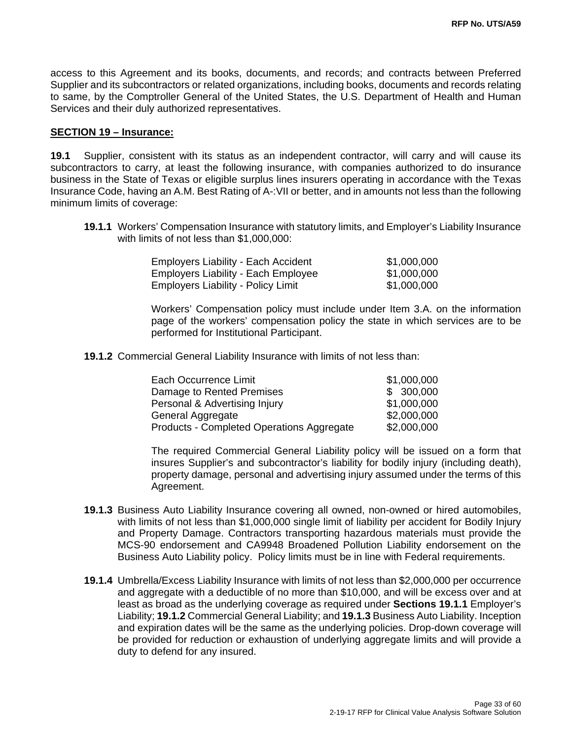access to this Agreement and its books, documents, and records; and contracts between Preferred Supplier and its subcontractors or related organizations, including books, documents and records relating to same, by the Comptroller General of the United States, the U.S. Department of Health and Human Services and their duly authorized representatives.

#### **SECTION 19 – Insurance:**

**19.1** Supplier, consistent with its status as an independent contractor, will carry and will cause its subcontractors to carry, at least the following insurance, with companies authorized to do insurance business in the State of Texas or eligible surplus lines insurers operating in accordance with the Texas Insurance Code, having an A.M. Best Rating of A-:VII or better, and in amounts not less than the following minimum limits of coverage:

**19.1.1** Workers' Compensation Insurance with statutory limits, and Employer's Liability Insurance with limits of not less than \$1,000,000:

| <b>Employers Liability - Each Accident</b> | \$1,000,000 |
|--------------------------------------------|-------------|
| <b>Employers Liability - Each Employee</b> | \$1,000,000 |
| <b>Employers Liability - Policy Limit</b>  | \$1,000,000 |

Workers' Compensation policy must include under Item 3.A. on the information page of the workers' compensation policy the state in which services are to be performed for Institutional Participant.

**19.1.2** Commercial General Liability Insurance with limits of not less than:

| Each Occurrence Limit                     | \$1,000,000 |
|-------------------------------------------|-------------|
| Damage to Rented Premises                 | \$ 300,000  |
| Personal & Advertising Injury             | \$1,000,000 |
| General Aggregate                         | \$2,000,000 |
| Products - Completed Operations Aggregate | \$2,000,000 |

The required Commercial General Liability policy will be issued on a form that insures Supplier's and subcontractor's liability for bodily injury (including death), property damage, personal and advertising injury assumed under the terms of this Agreement.

- **19.1.3** Business Auto Liability Insurance covering all owned, non-owned or hired automobiles, with limits of not less than \$1,000,000 single limit of liability per accident for Bodily Injury and Property Damage. Contractors transporting hazardous materials must provide the MCS-90 endorsement and CA9948 Broadened Pollution Liability endorsement on the Business Auto Liability policy. Policy limits must be in line with Federal requirements.
- **19.1.4** Umbrella/Excess Liability Insurance with limits of not less than \$2,000,000 per occurrence and aggregate with a deductible of no more than \$10,000, and will be excess over and at least as broad as the underlying coverage as required under **Sections 19.1.1** Employer's Liability; **19.1.2** Commercial General Liability; and **19.1.3** Business Auto Liability. Inception and expiration dates will be the same as the underlying policies. Drop-down coverage will be provided for reduction or exhaustion of underlying aggregate limits and will provide a duty to defend for any insured.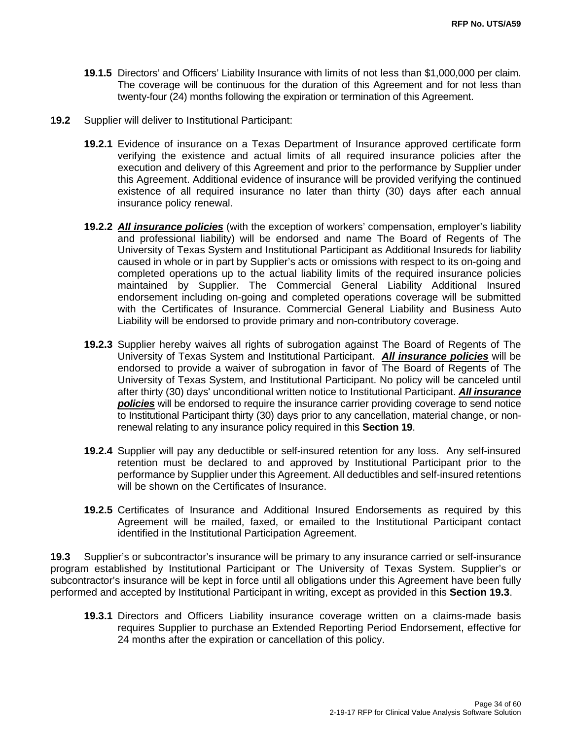- **19.1.5** Directors' and Officers' Liability Insurance with limits of not less than \$1,000,000 per claim. The coverage will be continuous for the duration of this Agreement and for not less than twenty-four (24) months following the expiration or termination of this Agreement.
- **19.2** Supplier will deliver to Institutional Participant:
	- **19.2.1** Evidence of insurance on a Texas Department of Insurance approved certificate form verifying the existence and actual limits of all required insurance policies after the execution and delivery of this Agreement and prior to the performance by Supplier under this Agreement. Additional evidence of insurance will be provided verifying the continued existence of all required insurance no later than thirty (30) days after each annual insurance policy renewal.
	- **19.2.2** *All insurance policies* (with the exception of workers' compensation, employer's liability and professional liability) will be endorsed and name The Board of Regents of The University of Texas System and Institutional Participant as Additional Insureds for liability caused in whole or in part by Supplier's acts or omissions with respect to its on-going and completed operations up to the actual liability limits of the required insurance policies maintained by Supplier. The Commercial General Liability Additional Insured endorsement including on-going and completed operations coverage will be submitted with the Certificates of Insurance. Commercial General Liability and Business Auto Liability will be endorsed to provide primary and non-contributory coverage.
	- **19.2.3** Supplier hereby waives all rights of subrogation against The Board of Regents of The University of Texas System and Institutional Participant. *All insurance policies* will be endorsed to provide a waiver of subrogation in favor of The Board of Regents of The University of Texas System, and Institutional Participant. No policy will be canceled until after thirty (30) days' unconditional written notice to Institutional Participant. *All insurance policies* will be endorsed to require the insurance carrier providing coverage to send notice to Institutional Participant thirty (30) days prior to any cancellation, material change, or nonrenewal relating to any insurance policy required in this **Section 19**.
	- **19.2.4** Supplier will pay any deductible or self-insured retention for any loss. Any self-insured retention must be declared to and approved by Institutional Participant prior to the performance by Supplier under this Agreement. All deductibles and self-insured retentions will be shown on the Certificates of Insurance.
	- **19.2.5** Certificates of Insurance and Additional Insured Endorsements as required by this Agreement will be mailed, faxed, or emailed to the Institutional Participant contact identified in the Institutional Participation Agreement.

**19.3** Supplier's or subcontractor's insurance will be primary to any insurance carried or self-insurance program established by Institutional Participant or The University of Texas System. Supplier's or subcontractor's insurance will be kept in force until all obligations under this Agreement have been fully performed and accepted by Institutional Participant in writing, except as provided in this **Section 19.3**.

**19.3.1** Directors and Officers Liability insurance coverage written on a claims-made basis requires Supplier to purchase an Extended Reporting Period Endorsement, effective for 24 months after the expiration or cancellation of this policy.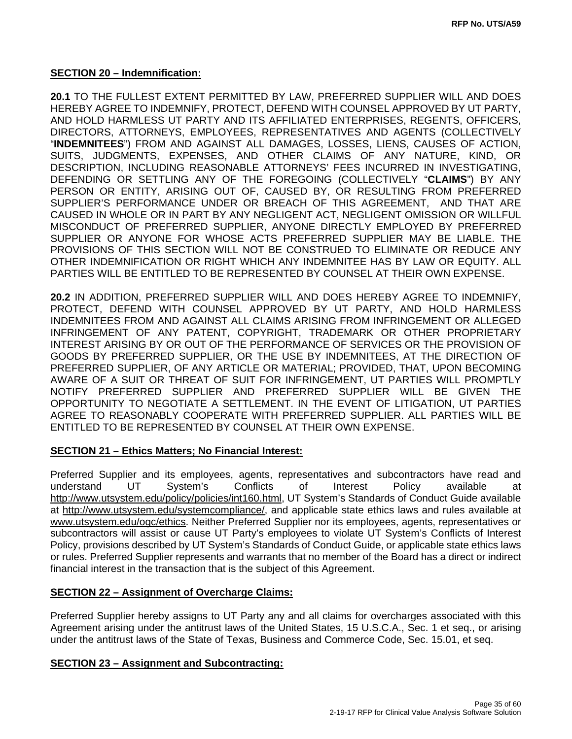#### **SECTION 20 – Indemnification:**

**20.1** TO THE FULLEST EXTENT PERMITTED BY LAW, PREFERRED SUPPLIER WILL AND DOES HEREBY AGREE TO INDEMNIFY, PROTECT, DEFEND WITH COUNSEL APPROVED BY UT PARTY, AND HOLD HARMLESS UT PARTY AND ITS AFFILIATED ENTERPRISES, REGENTS, OFFICERS, DIRECTORS, ATTORNEYS, EMPLOYEES, REPRESENTATIVES AND AGENTS (COLLECTIVELY "**INDEMNITEES**") FROM AND AGAINST ALL DAMAGES, LOSSES, LIENS, CAUSES OF ACTION, SUITS, JUDGMENTS, EXPENSES, AND OTHER CLAIMS OF ANY NATURE, KIND, OR DESCRIPTION, INCLUDING REASONABLE ATTORNEYS' FEES INCURRED IN INVESTIGATING, DEFENDING OR SETTLING ANY OF THE FOREGOING (COLLECTIVELY "**CLAIMS**") BY ANY PERSON OR ENTITY, ARISING OUT OF, CAUSED BY, OR RESULTING FROM PREFERRED SUPPLIER'S PERFORMANCE UNDER OR BREACH OF THIS AGREEMENT, AND THAT ARE CAUSED IN WHOLE OR IN PART BY ANY NEGLIGENT ACT, NEGLIGENT OMISSION OR WILLFUL MISCONDUCT OF PREFERRED SUPPLIER, ANYONE DIRECTLY EMPLOYED BY PREFERRED SUPPLIER OR ANYONE FOR WHOSE ACTS PREFERRED SUPPLIER MAY BE LIABLE. THE PROVISIONS OF THIS SECTION WILL NOT BE CONSTRUED TO ELIMINATE OR REDUCE ANY OTHER INDEMNIFICATION OR RIGHT WHICH ANY INDEMNITEE HAS BY LAW OR EQUITY. ALL PARTIES WILL BE ENTITLED TO BE REPRESENTED BY COUNSEL AT THEIR OWN EXPENSE.

**20.2** IN ADDITION, PREFERRED SUPPLIER WILL AND DOES HEREBY AGREE TO INDEMNIFY, PROTECT, DEFEND WITH COUNSEL APPROVED BY UT PARTY, AND HOLD HARMLESS INDEMNITEES FROM AND AGAINST ALL CLAIMS ARISING FROM INFRINGEMENT OR ALLEGED INFRINGEMENT OF ANY PATENT, COPYRIGHT, TRADEMARK OR OTHER PROPRIETARY INTEREST ARISING BY OR OUT OF THE PERFORMANCE OF SERVICES OR THE PROVISION OF GOODS BY PREFERRED SUPPLIER, OR THE USE BY INDEMNITEES, AT THE DIRECTION OF PREFERRED SUPPLIER, OF ANY ARTICLE OR MATERIAL; PROVIDED, THAT, UPON BECOMING AWARE OF A SUIT OR THREAT OF SUIT FOR INFRINGEMENT, UT PARTIES WILL PROMPTLY NOTIFY PREFERRED SUPPLIER AND PREFERRED SUPPLIER WILL BE GIVEN THE OPPORTUNITY TO NEGOTIATE A SETTLEMENT. IN THE EVENT OF LITIGATION, UT PARTIES AGREE TO REASONABLY COOPERATE WITH PREFERRED SUPPLIER. ALL PARTIES WILL BE ENTITLED TO BE REPRESENTED BY COUNSEL AT THEIR OWN EXPENSE.

#### **SECTION 21 – Ethics Matters; No Financial Interest:**

Preferred Supplier and its employees, agents, representatives and subcontractors have read and understand UT System's Conflicts of Interest Policy available at http://www.utsystem.edu/policy/policies/int160.html, UT System's Standards of Conduct Guide available at http://www.utsystem.edu/systemcompliance/, and applicable state ethics laws and rules available at www.utsystem.edu/ogc/ethics. Neither Preferred Supplier nor its employees, agents, representatives or subcontractors will assist or cause UT Party's employees to violate UT System's Conflicts of Interest Policy, provisions described by UT System's Standards of Conduct Guide, or applicable state ethics laws or rules. Preferred Supplier represents and warrants that no member of the Board has a direct or indirect financial interest in the transaction that is the subject of this Agreement.

#### **SECTION 22 – Assignment of Overcharge Claims:**

Preferred Supplier hereby assigns to UT Party any and all claims for overcharges associated with this Agreement arising under the antitrust laws of the United States, 15 U.S.C.A., Sec. 1 et seq., or arising under the antitrust laws of the State of Texas, Business and Commerce Code, Sec. 15.01, et seq.

#### **SECTION 23 – Assignment and Subcontracting:**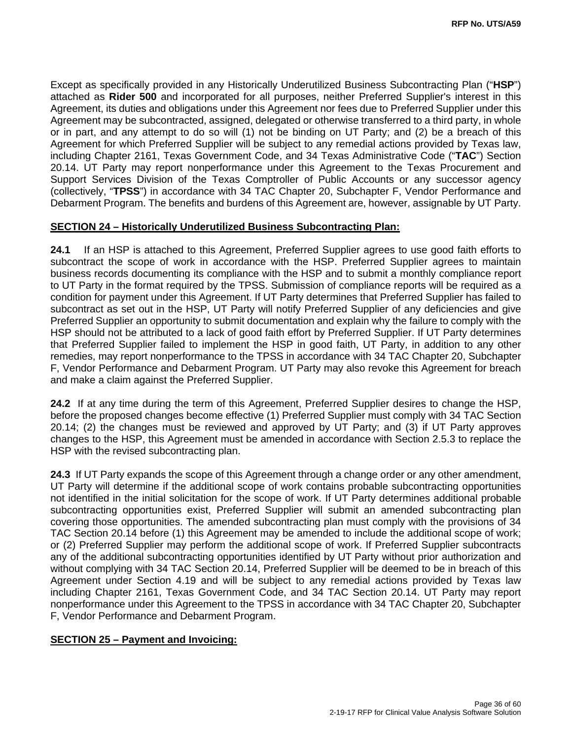Except as specifically provided in any Historically Underutilized Business Subcontracting Plan ("**HSP**") attached as **Rider 500** and incorporated for all purposes, neither Preferred Supplier's interest in this Agreement, its duties and obligations under this Agreement nor fees due to Preferred Supplier under this Agreement may be subcontracted, assigned, delegated or otherwise transferred to a third party, in whole or in part, and any attempt to do so will (1) not be binding on UT Party; and (2) be a breach of this Agreement for which Preferred Supplier will be subject to any remedial actions provided by Texas law, including Chapter 2161, Texas Government Code, and 34 Texas Administrative Code ("**TAC**") Section 20.14. UT Party may report nonperformance under this Agreement to the Texas Procurement and Support Services Division of the Texas Comptroller of Public Accounts or any successor agency (collectively, "**TPSS**") in accordance with 34 TAC Chapter 20, Subchapter F, Vendor Performance and Debarment Program. The benefits and burdens of this Agreement are, however, assignable by UT Party.

#### **SECTION 24 – Historically Underutilized Business Subcontracting Plan:**

**24.1** If an HSP is attached to this Agreement, Preferred Supplier agrees to use good faith efforts to subcontract the scope of work in accordance with the HSP. Preferred Supplier agrees to maintain business records documenting its compliance with the HSP and to submit a monthly compliance report to UT Party in the format required by the TPSS. Submission of compliance reports will be required as a condition for payment under this Agreement. If UT Party determines that Preferred Supplier has failed to subcontract as set out in the HSP, UT Party will notify Preferred Supplier of any deficiencies and give Preferred Supplier an opportunity to submit documentation and explain why the failure to comply with the HSP should not be attributed to a lack of good faith effort by Preferred Supplier. If UT Party determines that Preferred Supplier failed to implement the HSP in good faith, UT Party, in addition to any other remedies, may report nonperformance to the TPSS in accordance with 34 TAC Chapter 20, Subchapter F, Vendor Performance and Debarment Program. UT Party may also revoke this Agreement for breach and make a claim against the Preferred Supplier.

**24.2** If at any time during the term of this Agreement, Preferred Supplier desires to change the HSP, before the proposed changes become effective (1) Preferred Supplier must comply with 34 TAC Section 20.14; (2) the changes must be reviewed and approved by UT Party; and (3) if UT Party approves changes to the HSP, this Agreement must be amended in accordance with Section 2.5.3 to replace the HSP with the revised subcontracting plan.

**24.3** If UT Party expands the scope of this Agreement through a change order or any other amendment, UT Party will determine if the additional scope of work contains probable subcontracting opportunities not identified in the initial solicitation for the scope of work. If UT Party determines additional probable subcontracting opportunities exist, Preferred Supplier will submit an amended subcontracting plan covering those opportunities. The amended subcontracting plan must comply with the provisions of 34 TAC Section 20.14 before (1) this Agreement may be amended to include the additional scope of work; or (2) Preferred Supplier may perform the additional scope of work. If Preferred Supplier subcontracts any of the additional subcontracting opportunities identified by UT Party without prior authorization and without complying with 34 TAC Section 20.14, Preferred Supplier will be deemed to be in breach of this Agreement under Section 4.19 and will be subject to any remedial actions provided by Texas law including Chapter 2161, Texas Government Code, and 34 TAC Section 20.14. UT Party may report nonperformance under this Agreement to the TPSS in accordance with 34 TAC Chapter 20, Subchapter F, Vendor Performance and Debarment Program.

#### **SECTION 25 – Payment and Invoicing:**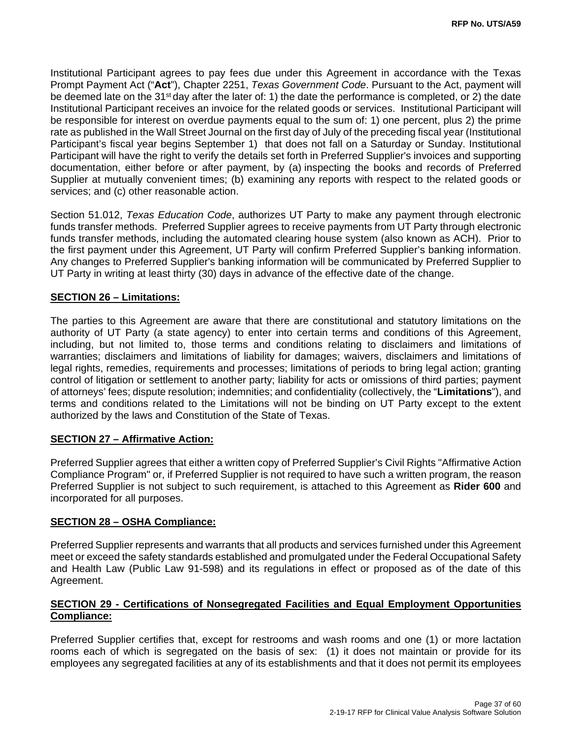Institutional Participant agrees to pay fees due under this Agreement in accordance with the Texas Prompt Payment Act ("**Act**"), Chapter 2251, *Texas Government Code*. Pursuant to the Act, payment will be deemed late on the 31<sup>st</sup> day after the later of: 1) the date the performance is completed, or 2) the date Institutional Participant receives an invoice for the related goods or services. Institutional Participant will be responsible for interest on overdue payments equal to the sum of: 1) one percent, plus 2) the prime rate as published in the Wall Street Journal on the first day of July of the preceding fiscal year (Institutional Participant's fiscal year begins September 1) that does not fall on a Saturday or Sunday. Institutional Participant will have the right to verify the details set forth in Preferred Supplier's invoices and supporting documentation, either before or after payment, by (a) inspecting the books and records of Preferred Supplier at mutually convenient times; (b) examining any reports with respect to the related goods or services; and (c) other reasonable action.

Section 51.012, *Texas Education Code*, authorizes UT Party to make any payment through electronic funds transfer methods. Preferred Supplier agrees to receive payments from UT Party through electronic funds transfer methods, including the automated clearing house system (also known as ACH). Prior to the first payment under this Agreement, UT Party will confirm Preferred Supplier's banking information. Any changes to Preferred Supplier's banking information will be communicated by Preferred Supplier to UT Party in writing at least thirty (30) days in advance of the effective date of the change.

#### **SECTION 26 – Limitations:**

The parties to this Agreement are aware that there are constitutional and statutory limitations on the authority of UT Party (a state agency) to enter into certain terms and conditions of this Agreement, including, but not limited to, those terms and conditions relating to disclaimers and limitations of warranties; disclaimers and limitations of liability for damages; waivers, disclaimers and limitations of legal rights, remedies, requirements and processes; limitations of periods to bring legal action; granting control of litigation or settlement to another party; liability for acts or omissions of third parties; payment of attorneys' fees; dispute resolution; indemnities; and confidentiality (collectively, the "**Limitations**"), and terms and conditions related to the Limitations will not be binding on UT Party except to the extent authorized by the laws and Constitution of the State of Texas.

#### **SECTION 27 – Affirmative Action:**

Preferred Supplier agrees that either a written copy of Preferred Supplier's Civil Rights "Affirmative Action Compliance Program" or, if Preferred Supplier is not required to have such a written program, the reason Preferred Supplier is not subject to such requirement, is attached to this Agreement as **Rider 600** and incorporated for all purposes.

#### **SECTION 28 – OSHA Compliance:**

Preferred Supplier represents and warrants that all products and services furnished under this Agreement meet or exceed the safety standards established and promulgated under the Federal Occupational Safety and Health Law (Public Law 91-598) and its regulations in effect or proposed as of the date of this Agreement.

#### **SECTION 29 - Certifications of Nonsegregated Facilities and Equal Employment Opportunities Compliance:**

Preferred Supplier certifies that, except for restrooms and wash rooms and one (1) or more lactation rooms each of which is segregated on the basis of sex: (1) it does not maintain or provide for its employees any segregated facilities at any of its establishments and that it does not permit its employees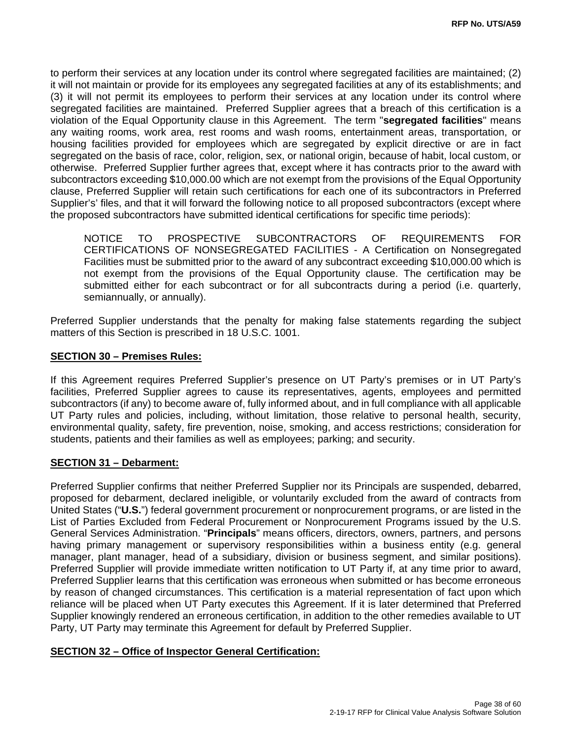to perform their services at any location under its control where segregated facilities are maintained; (2) it will not maintain or provide for its employees any segregated facilities at any of its establishments; and (3) it will not permit its employees to perform their services at any location under its control where segregated facilities are maintained. Preferred Supplier agrees that a breach of this certification is a violation of the Equal Opportunity clause in this Agreement. The term "**segregated facilities**" means any waiting rooms, work area, rest rooms and wash rooms, entertainment areas, transportation, or housing facilities provided for employees which are segregated by explicit directive or are in fact segregated on the basis of race, color, religion, sex, or national origin, because of habit, local custom, or otherwise. Preferred Supplier further agrees that, except where it has contracts prior to the award with subcontractors exceeding \$10,000.00 which are not exempt from the provisions of the Equal Opportunity clause, Preferred Supplier will retain such certifications for each one of its subcontractors in Preferred Supplier's' files, and that it will forward the following notice to all proposed subcontractors (except where the proposed subcontractors have submitted identical certifications for specific time periods):

NOTICE TO PROSPECTIVE SUBCONTRACTORS OF REQUIREMENTS FOR CERTIFICATIONS OF NONSEGREGATED FACILITIES - A Certification on Nonsegregated Facilities must be submitted prior to the award of any subcontract exceeding \$10,000.00 which is not exempt from the provisions of the Equal Opportunity clause. The certification may be submitted either for each subcontract or for all subcontracts during a period (i.e. quarterly, semiannually, or annually).

Preferred Supplier understands that the penalty for making false statements regarding the subject matters of this Section is prescribed in 18 U.S.C. 1001.

#### **SECTION 30 – Premises Rules:**

If this Agreement requires Preferred Supplier's presence on UT Party's premises or in UT Party's facilities, Preferred Supplier agrees to cause its representatives, agents, employees and permitted subcontractors (if any) to become aware of, fully informed about, and in full compliance with all applicable UT Party rules and policies, including, without limitation, those relative to personal health, security, environmental quality, safety, fire prevention, noise, smoking, and access restrictions; consideration for students, patients and their families as well as employees; parking; and security.

#### **SECTION 31 – Debarment:**

Preferred Supplier confirms that neither Preferred Supplier nor its Principals are suspended, debarred, proposed for debarment, declared ineligible, or voluntarily excluded from the award of contracts from United States ("**U.S.**") federal government procurement or nonprocurement programs, or are listed in the List of Parties Excluded from Federal Procurement or Nonprocurement Programs issued by the U.S. General Services Administration. "**Principals**" means officers, directors, owners, partners, and persons having primary management or supervisory responsibilities within a business entity (e.g. general manager, plant manager, head of a subsidiary, division or business segment, and similar positions). Preferred Supplier will provide immediate written notification to UT Party if, at any time prior to award, Preferred Supplier learns that this certification was erroneous when submitted or has become erroneous by reason of changed circumstances. This certification is a material representation of fact upon which reliance will be placed when UT Party executes this Agreement. If it is later determined that Preferred Supplier knowingly rendered an erroneous certification, in addition to the other remedies available to UT Party, UT Party may terminate this Agreement for default by Preferred Supplier.

#### **SECTION 32 – Office of Inspector General Certification:**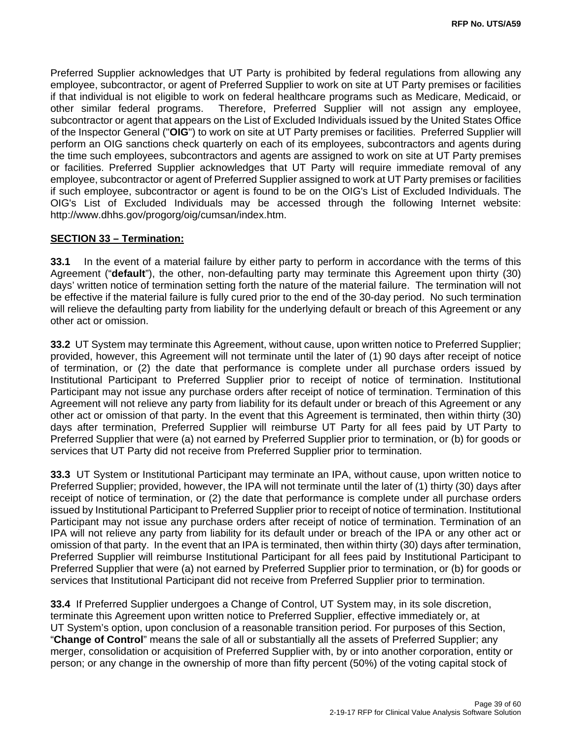Preferred Supplier acknowledges that UT Party is prohibited by federal regulations from allowing any employee, subcontractor, or agent of Preferred Supplier to work on site at UT Party premises or facilities if that individual is not eligible to work on federal healthcare programs such as Medicare, Medicaid, or other similar federal programs. Therefore, Preferred Supplier will not assign any employee, subcontractor or agent that appears on the List of Excluded Individuals issued by the United States Office of the Inspector General ("**OIG**") to work on site at UT Party premises or facilities. Preferred Supplier will perform an OIG sanctions check quarterly on each of its employees, subcontractors and agents during the time such employees, subcontractors and agents are assigned to work on site at UT Party premises or facilities. Preferred Supplier acknowledges that UT Party will require immediate removal of any employee, subcontractor or agent of Preferred Supplier assigned to work at UT Party premises or facilities if such employee, subcontractor or agent is found to be on the OIG's List of Excluded Individuals. The OIG's List of Excluded Individuals may be accessed through the following Internet website: http://www.dhhs.gov/progorg/oig/cumsan/index.htm.

#### **SECTION 33 – Termination:**

**33.1** In the event of a material failure by either party to perform in accordance with the terms of this Agreement ("**default**"), the other, non-defaulting party may terminate this Agreement upon thirty (30) days' written notice of termination setting forth the nature of the material failure. The termination will not be effective if the material failure is fully cured prior to the end of the 30-day period. No such termination will relieve the defaulting party from liability for the underlying default or breach of this Agreement or any other act or omission.

**33.2** UT System may terminate this Agreement, without cause, upon written notice to Preferred Supplier; provided, however, this Agreement will not terminate until the later of (1) 90 days after receipt of notice of termination, or (2) the date that performance is complete under all purchase orders issued by Institutional Participant to Preferred Supplier prior to receipt of notice of termination. Institutional Participant may not issue any purchase orders after receipt of notice of termination. Termination of this Agreement will not relieve any party from liability for its default under or breach of this Agreement or any other act or omission of that party. In the event that this Agreement is terminated, then within thirty (30) days after termination, Preferred Supplier will reimburse UT Party for all fees paid by UT Party to Preferred Supplier that were (a) not earned by Preferred Supplier prior to termination, or (b) for goods or services that UT Party did not receive from Preferred Supplier prior to termination.

**33.3** UT System or Institutional Participant may terminate an IPA, without cause, upon written notice to Preferred Supplier; provided, however, the IPA will not terminate until the later of (1) thirty (30) days after receipt of notice of termination, or (2) the date that performance is complete under all purchase orders issued by Institutional Participant to Preferred Supplier prior to receipt of notice of termination. Institutional Participant may not issue any purchase orders after receipt of notice of termination. Termination of an IPA will not relieve any party from liability for its default under or breach of the IPA or any other act or omission of that party. In the event that an IPA is terminated, then within thirty (30) days after termination, Preferred Supplier will reimburse Institutional Participant for all fees paid by Institutional Participant to Preferred Supplier that were (a) not earned by Preferred Supplier prior to termination, or (b) for goods or services that Institutional Participant did not receive from Preferred Supplier prior to termination.

**33.4** If Preferred Supplier undergoes a Change of Control, UT System may, in its sole discretion, terminate this Agreement upon written notice to Preferred Supplier, effective immediately or, at UT System's option, upon conclusion of a reasonable transition period. For purposes of this Section, "**Change of Control**" means the sale of all or substantially all the assets of Preferred Supplier; any merger, consolidation or acquisition of Preferred Supplier with, by or into another corporation, entity or person; or any change in the ownership of more than fifty percent (50%) of the voting capital stock of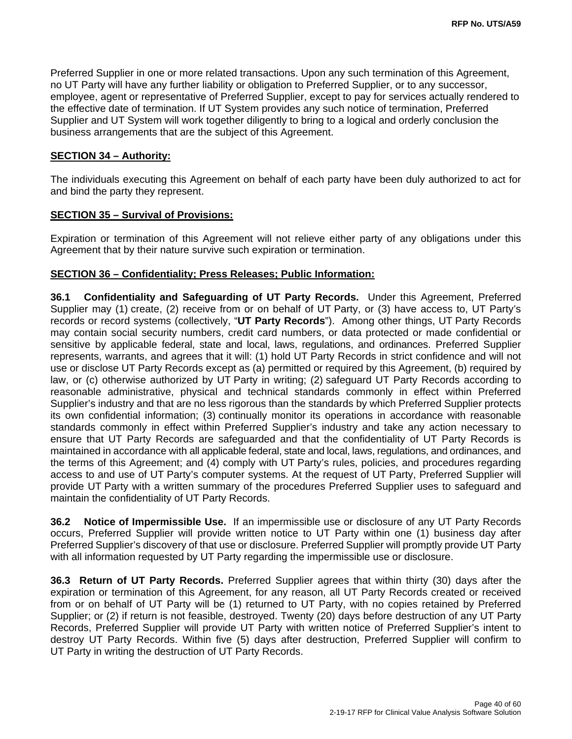Preferred Supplier in one or more related transactions. Upon any such termination of this Agreement, no UT Party will have any further liability or obligation to Preferred Supplier, or to any successor, employee, agent or representative of Preferred Supplier, except to pay for services actually rendered to the effective date of termination. If UT System provides any such notice of termination, Preferred Supplier and UT System will work together diligently to bring to a logical and orderly conclusion the business arrangements that are the subject of this Agreement.

#### **SECTION 34 – Authority:**

The individuals executing this Agreement on behalf of each party have been duly authorized to act for and bind the party they represent.

#### **SECTION 35 – Survival of Provisions:**

Expiration or termination of this Agreement will not relieve either party of any obligations under this Agreement that by their nature survive such expiration or termination.

#### **SECTION 36 – Confidentiality; Press Releases; Public Information:**

**36.1 Confidentiality and Safeguarding of UT Party Records.** Under this Agreement, Preferred Supplier may (1) create, (2) receive from or on behalf of UT Party, or (3) have access to, UT Party's records or record systems (collectively, "**UT Party Records**"). Among other things, UT Party Records may contain social security numbers, credit card numbers, or data protected or made confidential or sensitive by applicable federal, state and local, laws, regulations, and ordinances. Preferred Supplier represents, warrants, and agrees that it will: (1) hold UT Party Records in strict confidence and will not use or disclose UT Party Records except as (a) permitted or required by this Agreement, (b) required by law, or (c) otherwise authorized by UT Party in writing; (2) safeguard UT Party Records according to reasonable administrative, physical and technical standards commonly in effect within Preferred Supplier's industry and that are no less rigorous than the standards by which Preferred Supplier protects its own confidential information; (3) continually monitor its operations in accordance with reasonable standards commonly in effect within Preferred Supplier's industry and take any action necessary to ensure that UT Party Records are safeguarded and that the confidentiality of UT Party Records is maintained in accordance with all applicable federal, state and local, laws, regulations, and ordinances, and the terms of this Agreement; and (4) comply with UT Party's rules, policies, and procedures regarding access to and use of UT Party's computer systems. At the request of UT Party, Preferred Supplier will provide UT Party with a written summary of the procedures Preferred Supplier uses to safeguard and maintain the confidentiality of UT Party Records.

**36.2 Notice of Impermissible Use.** If an impermissible use or disclosure of any UT Party Records occurs, Preferred Supplier will provide written notice to UT Party within one (1) business day after Preferred Supplier's discovery of that use or disclosure. Preferred Supplier will promptly provide UT Party with all information requested by UT Party regarding the impermissible use or disclosure.

**36.3 Return of UT Party Records.** Preferred Supplier agrees that within thirty (30) days after the expiration or termination of this Agreement, for any reason, all UT Party Records created or received from or on behalf of UT Party will be (1) returned to UT Party, with no copies retained by Preferred Supplier; or (2) if return is not feasible, destroyed. Twenty (20) days before destruction of any UT Party Records, Preferred Supplier will provide UT Party with written notice of Preferred Supplier's intent to destroy UT Party Records. Within five (5) days after destruction, Preferred Supplier will confirm to UT Party in writing the destruction of UT Party Records.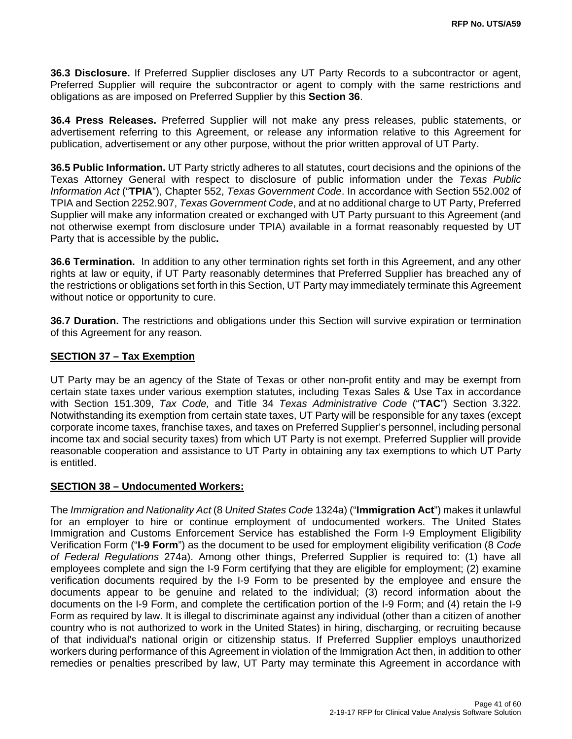**36.3 Disclosure.** If Preferred Supplier discloses any UT Party Records to a subcontractor or agent, Preferred Supplier will require the subcontractor or agent to comply with the same restrictions and obligations as are imposed on Preferred Supplier by this **Section 36**.

**36.4 Press Releases.** Preferred Supplier will not make any press releases, public statements, or advertisement referring to this Agreement, or release any information relative to this Agreement for publication, advertisement or any other purpose, without the prior written approval of UT Party.

**36.5 Public Information.** UT Party strictly adheres to all statutes, court decisions and the opinions of the Texas Attorney General with respect to disclosure of public information under the *Texas Public Information Act* ("**TPIA**"), Chapter 552, *Texas Government Code*. In accordance with Section 552.002 of TPIA and Section 2252.907, *Texas Government Code*, and at no additional charge to UT Party, Preferred Supplier will make any information created or exchanged with UT Party pursuant to this Agreement (and not otherwise exempt from disclosure under TPIA) available in a format reasonably requested by UT Party that is accessible by the public**.** 

**36.6 Termination.** In addition to any other termination rights set forth in this Agreement, and any other rights at law or equity, if UT Party reasonably determines that Preferred Supplier has breached any of the restrictions or obligations set forth in this Section, UT Party may immediately terminate this Agreement without notice or opportunity to cure.

**36.7 Duration.** The restrictions and obligations under this Section will survive expiration or termination of this Agreement for any reason.

#### **SECTION 37 – Tax Exemption**

UT Party may be an agency of the State of Texas or other non-profit entity and may be exempt from certain state taxes under various exemption statutes, including Texas Sales & Use Tax in accordance with Section 151.309, *Tax Code,* and Title 34 *Texas Administrative Code* ("**TAC**") Section 3.322. Notwithstanding its exemption from certain state taxes, UT Party will be responsible for any taxes (except corporate income taxes, franchise taxes, and taxes on Preferred Supplier's personnel, including personal income tax and social security taxes) from which UT Party is not exempt. Preferred Supplier will provide reasonable cooperation and assistance to UT Party in obtaining any tax exemptions to which UT Party is entitled.

#### **SECTION 38 – Undocumented Workers:**

The *Immigration and Nationality Act* (8 *United States Code* 1324a) ("**Immigration Act**") makes it unlawful for an employer to hire or continue employment of undocumented workers. The United States Immigration and Customs Enforcement Service has established the Form I-9 Employment Eligibility Verification Form ("**I-9 Form**") as the document to be used for employment eligibility verification (8 *Code of Federal Regulations* 274a). Among other things, Preferred Supplier is required to: (1) have all employees complete and sign the I-9 Form certifying that they are eligible for employment; (2) examine verification documents required by the I-9 Form to be presented by the employee and ensure the documents appear to be genuine and related to the individual; (3) record information about the documents on the I-9 Form, and complete the certification portion of the I-9 Form; and (4) retain the I-9 Form as required by law. It is illegal to discriminate against any individual (other than a citizen of another country who is not authorized to work in the United States) in hiring, discharging, or recruiting because of that individual's national origin or citizenship status. If Preferred Supplier employs unauthorized workers during performance of this Agreement in violation of the Immigration Act then, in addition to other remedies or penalties prescribed by law, UT Party may terminate this Agreement in accordance with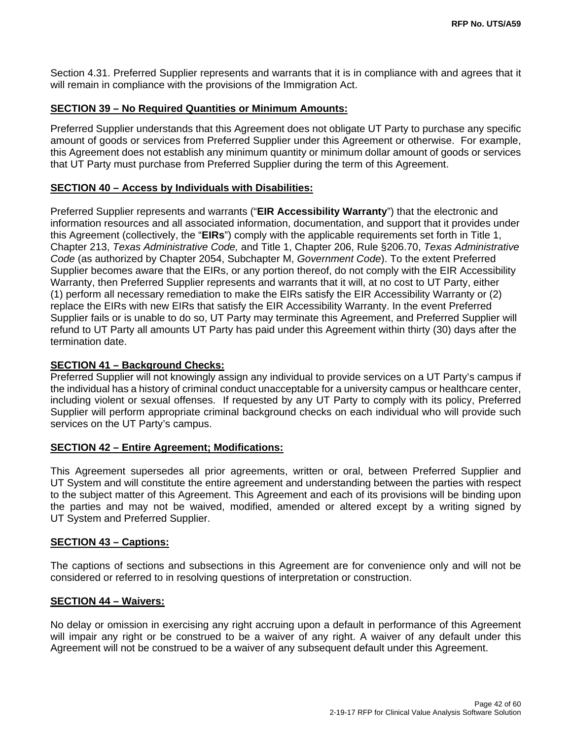Section 4.31. Preferred Supplier represents and warrants that it is in compliance with and agrees that it will remain in compliance with the provisions of the Immigration Act.

#### **SECTION 39 – No Required Quantities or Minimum Amounts:**

Preferred Supplier understands that this Agreement does not obligate UT Party to purchase any specific amount of goods or services from Preferred Supplier under this Agreement or otherwise. For example, this Agreement does not establish any minimum quantity or minimum dollar amount of goods or services that UT Party must purchase from Preferred Supplier during the term of this Agreement.

#### **SECTION 40 – Access by Individuals with Disabilities:**

Preferred Supplier represents and warrants ("**EIR Accessibility Warranty**") that the electronic and information resources and all associated information, documentation, and support that it provides under this Agreement (collectively, the "**EIRs**") comply with the applicable requirements set forth in Title 1, Chapter 213, *Texas Administrative Code,* and Title 1, Chapter 206, Rule §206.70, *Texas Administrative Code* (as authorized by Chapter 2054, Subchapter M, *Government Code*). To the extent Preferred Supplier becomes aware that the EIRs, or any portion thereof, do not comply with the EIR Accessibility Warranty, then Preferred Supplier represents and warrants that it will, at no cost to UT Party, either (1) perform all necessary remediation to make the EIRs satisfy the EIR Accessibility Warranty or (2) replace the EIRs with new EIRs that satisfy the EIR Accessibility Warranty. In the event Preferred Supplier fails or is unable to do so, UT Party may terminate this Agreement, and Preferred Supplier will refund to UT Party all amounts UT Party has paid under this Agreement within thirty (30) days after the termination date.

#### **SECTION 41 – Background Checks:**

Preferred Supplier will not knowingly assign any individual to provide services on a UT Party's campus if the individual has a history of criminal conduct unacceptable for a university campus or healthcare center, including violent or sexual offenses. If requested by any UT Party to comply with its policy, Preferred Supplier will perform appropriate criminal background checks on each individual who will provide such services on the UT Party's campus.

#### **SECTION 42 – Entire Agreement; Modifications:**

This Agreement supersedes all prior agreements, written or oral, between Preferred Supplier and UT System and will constitute the entire agreement and understanding between the parties with respect to the subject matter of this Agreement. This Agreement and each of its provisions will be binding upon the parties and may not be waived, modified, amended or altered except by a writing signed by UT System and Preferred Supplier.

#### **SECTION 43 – Captions:**

The captions of sections and subsections in this Agreement are for convenience only and will not be considered or referred to in resolving questions of interpretation or construction.

#### **SECTION 44 – Waivers:**

No delay or omission in exercising any right accruing upon a default in performance of this Agreement will impair any right or be construed to be a waiver of any right. A waiver of any default under this Agreement will not be construed to be a waiver of any subsequent default under this Agreement.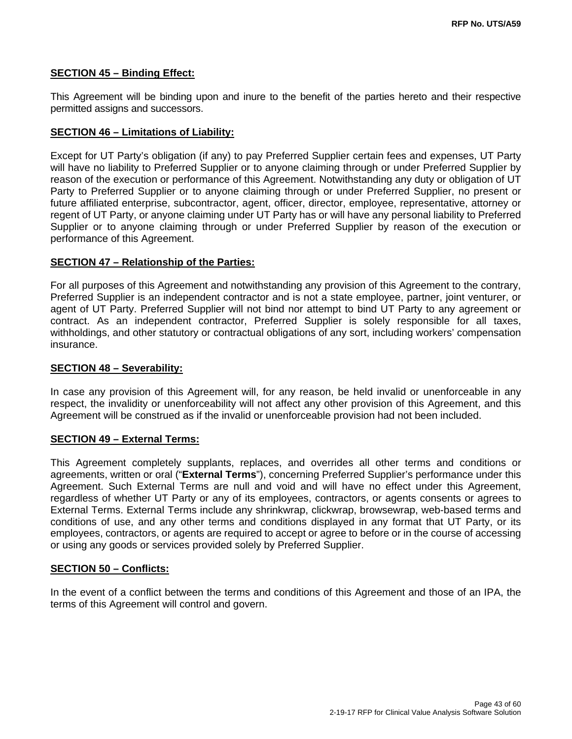#### **SECTION 45 – Binding Effect:**

This Agreement will be binding upon and inure to the benefit of the parties hereto and their respective permitted assigns and successors.

#### **SECTION 46 – Limitations of Liability:**

Except for UT Party's obligation (if any) to pay Preferred Supplier certain fees and expenses, UT Party will have no liability to Preferred Supplier or to anyone claiming through or under Preferred Supplier by reason of the execution or performance of this Agreement. Notwithstanding any duty or obligation of UT Party to Preferred Supplier or to anyone claiming through or under Preferred Supplier, no present or future affiliated enterprise, subcontractor, agent, officer, director, employee, representative, attorney or regent of UT Party, or anyone claiming under UT Party has or will have any personal liability to Preferred Supplier or to anyone claiming through or under Preferred Supplier by reason of the execution or performance of this Agreement.

#### **SECTION 47 – Relationship of the Parties:**

For all purposes of this Agreement and notwithstanding any provision of this Agreement to the contrary, Preferred Supplier is an independent contractor and is not a state employee, partner, joint venturer, or agent of UT Party. Preferred Supplier will not bind nor attempt to bind UT Party to any agreement or contract. As an independent contractor, Preferred Supplier is solely responsible for all taxes, withholdings, and other statutory or contractual obligations of any sort, including workers' compensation insurance.

#### **SECTION 48 – Severability:**

In case any provision of this Agreement will, for any reason, be held invalid or unenforceable in any respect, the invalidity or unenforceability will not affect any other provision of this Agreement, and this Agreement will be construed as if the invalid or unenforceable provision had not been included.

#### **SECTION 49 – External Terms:**

This Agreement completely supplants, replaces, and overrides all other terms and conditions or agreements, written or oral ("**External Terms**"), concerning Preferred Supplier's performance under this Agreement. Such External Terms are null and void and will have no effect under this Agreement, regardless of whether UT Party or any of its employees, contractors, or agents consents or agrees to External Terms. External Terms include any shrinkwrap, clickwrap, browsewrap, web-based terms and conditions of use, and any other terms and conditions displayed in any format that UT Party, or its employees, contractors, or agents are required to accept or agree to before or in the course of accessing or using any goods or services provided solely by Preferred Supplier.

#### **SECTION 50 – Conflicts:**

In the event of a conflict between the terms and conditions of this Agreement and those of an IPA, the terms of this Agreement will control and govern.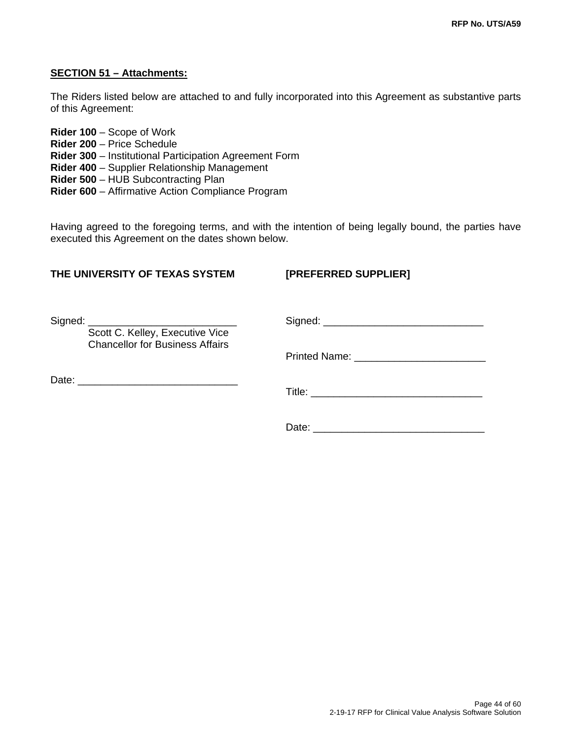#### **SECTION 51 – Attachments:**

The Riders listed below are attached to and fully incorporated into this Agreement as substantive parts of this Agreement:

**Rider 100** – Scope of Work **Rider 200** – Price Schedule **Rider 300** – Institutional Participation Agreement Form **Rider 400** – Supplier Relationship Management **Rider 500** – HUB Subcontracting Plan **Rider 600** – Affirmative Action Compliance Program

Having agreed to the foregoing terms, and with the intention of being legally bound, the parties have executed this Agreement on the dates shown below.

### **THE UNIVERSITY OF TEXAS SYSTEM [PREFERRED SUPPLIER]**

| Scott C. Kelley, Executive Vice<br><b>Chancellor for Business Affairs</b> |       |  |
|---------------------------------------------------------------------------|-------|--|
|                                                                           |       |  |
|                                                                           |       |  |
|                                                                           |       |  |
|                                                                           | Date: |  |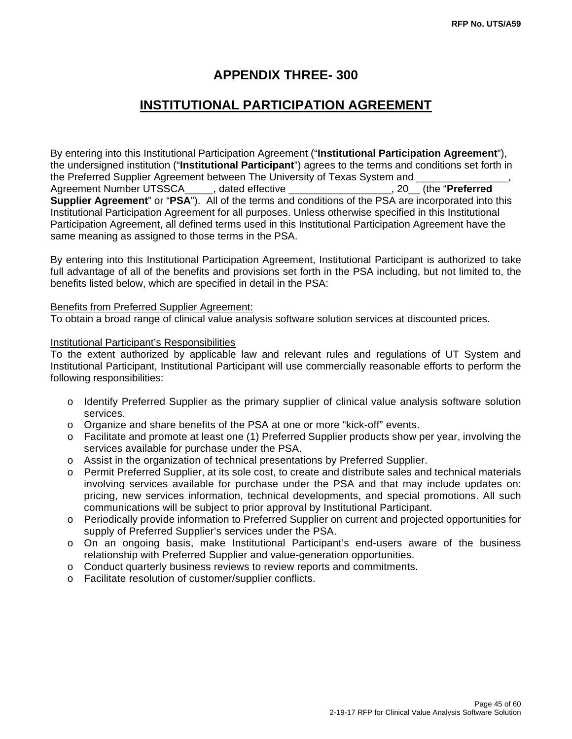## **APPENDIX THREE- 300**

## **INSTITUTIONAL PARTICIPATION AGREEMENT**

By entering into this Institutional Participation Agreement ("**Institutional Participation Agreement**"), the undersigned institution ("**Institutional Participant**") agrees to the terms and conditions set forth in the Preferred Supplier Agreement between The University of Texas System and Agreement Number UTSSCA\_\_\_\_\_, dated effective \_\_\_\_\_\_\_\_\_\_\_\_\_\_\_\_\_\_, 20\_\_ (the "**Preferred Supplier Agreement**" or "**PSA**"). All of the terms and conditions of the PSA are incorporated into this Institutional Participation Agreement for all purposes. Unless otherwise specified in this Institutional Participation Agreement, all defined terms used in this Institutional Participation Agreement have the same meaning as assigned to those terms in the PSA.

By entering into this Institutional Participation Agreement, Institutional Participant is authorized to take full advantage of all of the benefits and provisions set forth in the PSA including, but not limited to, the benefits listed below, which are specified in detail in the PSA:

#### Benefits from Preferred Supplier Agreement:

To obtain a broad range of clinical value analysis software solution services at discounted prices.

#### Institutional Participant's Responsibilities

To the extent authorized by applicable law and relevant rules and regulations of UT System and Institutional Participant, Institutional Participant will use commercially reasonable efforts to perform the following responsibilities:

- o Identify Preferred Supplier as the primary supplier of clinical value analysis software solution services.
- o Organize and share benefits of the PSA at one or more "kick-off" events.
- o Facilitate and promote at least one (1) Preferred Supplier products show per year, involving the services available for purchase under the PSA.
- o Assist in the organization of technical presentations by Preferred Supplier.
- o Permit Preferred Supplier, at its sole cost, to create and distribute sales and technical materials involving services available for purchase under the PSA and that may include updates on: pricing, new services information, technical developments, and special promotions. All such communications will be subject to prior approval by Institutional Participant.
- o Periodically provide information to Preferred Supplier on current and projected opportunities for supply of Preferred Supplier's services under the PSA.
- o On an ongoing basis, make Institutional Participant's end-users aware of the business relationship with Preferred Supplier and value-generation opportunities.
- o Conduct quarterly business reviews to review reports and commitments.
- o Facilitate resolution of customer/supplier conflicts.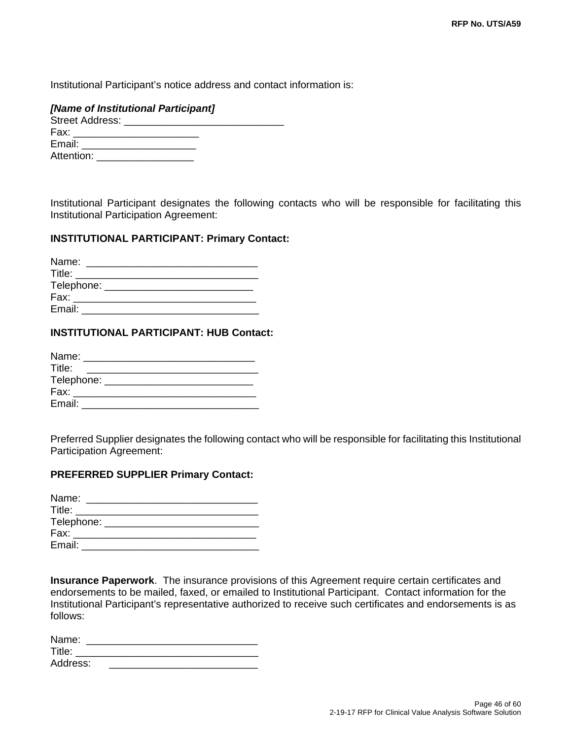Institutional Participant's notice address and contact information is:

#### *[Name of Institutional Participant]*

| Street Address: |  |
|-----------------|--|
| Fax:            |  |
| Email:          |  |
| Attention:      |  |

Institutional Participant designates the following contacts who will be responsible for facilitating this Institutional Participation Agreement:

#### **INSTITUTIONAL PARTICIPANT: Primary Contact:**

| Name:      |  |  |  |
|------------|--|--|--|
| Title:     |  |  |  |
| Telephone: |  |  |  |
| Fax:       |  |  |  |
| Email:     |  |  |  |

#### **INSTITUTIONAL PARTICIPANT: HUB Contact:**

| Name:  |  |                                       |  |
|--------|--|---------------------------------------|--|
| Title: |  |                                       |  |
|        |  | Telephone: __________________________ |  |
| Fax:   |  |                                       |  |
| Email: |  |                                       |  |

Preferred Supplier designates the following contact who will be responsible for facilitating this Institutional Participation Agreement:

#### **PREFERRED SUPPLIER Primary Contact:**

| Name:  |                                |  |
|--------|--------------------------------|--|
| Title: |                                |  |
|        | Telephone: ___________________ |  |
| Fax:   |                                |  |
| Email: |                                |  |

**Insurance Paperwork**. The insurance provisions of this Agreement require certain certificates and endorsements to be mailed, faxed, or emailed to Institutional Participant. Contact information for the Institutional Participant's representative authorized to receive such certificates and endorsements is as follows:

| Name:    |  |
|----------|--|
| Title:   |  |
| Address: |  |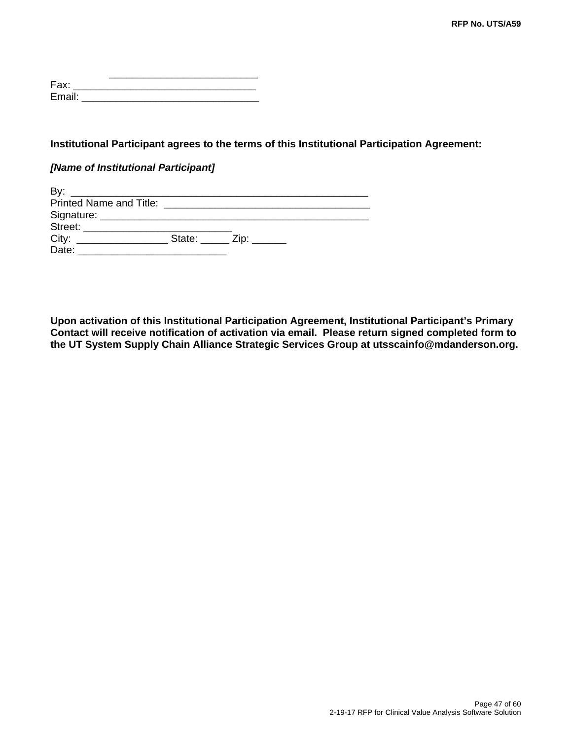| Fax:   |  |  |  |
|--------|--|--|--|
| Email: |  |  |  |

#### **Institutional Participant agrees to the terms of this Institutional Participation Agreement:**

#### *[Name of Institutional Participant]*

| By.                         |                                         |  |
|-----------------------------|-----------------------------------------|--|
|                             |                                         |  |
|                             |                                         |  |
| Street: <b>Example 2018</b> |                                         |  |
|                             | State: $\frac{1}{2}$ Zip: $\frac{1}{2}$ |  |
| Date:                       |                                         |  |

**Upon activation of this Institutional Participation Agreement, Institutional Participant's Primary Contact will receive notification of activation via email. Please return signed completed form to the UT System Supply Chain Alliance Strategic Services Group at utsscainfo@mdanderson.org.**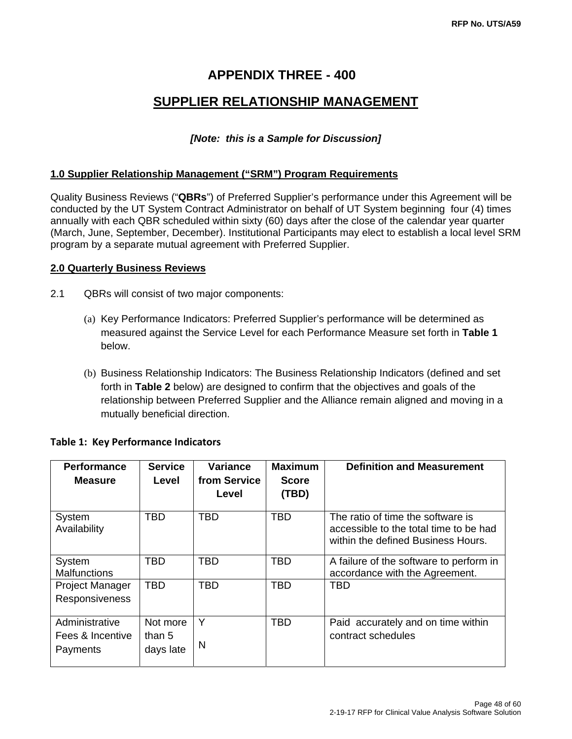## **APPENDIX THREE - 400**

## **SUPPLIER RELATIONSHIP MANAGEMENT**

#### *[Note: this is a Sample for Discussion]*

#### **1.0 Supplier Relationship Management ("SRM") Program Requirements**

Quality Business Reviews ("**QBRs**") of Preferred Supplier's performance under this Agreement will be conducted by the UT System Contract Administrator on behalf of UT System beginning four (4) times annually with each QBR scheduled within sixty (60) days after the close of the calendar year quarter (March, June, September, December). Institutional Participants may elect to establish a local level SRM program by a separate mutual agreement with Preferred Supplier.

#### **2.0 Quarterly Business Reviews**

- 2.1 QBRs will consist of two major components:
	- (a) Key Performance Indicators: Preferred Supplier's performance will be determined as measured against the Service Level for each Performance Measure set forth in **Table 1** below.
	- (b) Business Relationship Indicators: The Business Relationship Indicators (defined and set forth in **Table 2** below) are designed to confirm that the objectives and goals of the relationship between Preferred Supplier and the Alliance remain aligned and moving in a mutually beneficial direction.

| <b>Performance</b>                             | <b>Service</b>                  | Variance     | <b>Maximum</b> | <b>Definition and Measurement</b>                                                                                 |
|------------------------------------------------|---------------------------------|--------------|----------------|-------------------------------------------------------------------------------------------------------------------|
| <b>Measure</b>                                 | Level                           | from Service | <b>Score</b>   |                                                                                                                   |
|                                                |                                 | Level        | (TBD)          |                                                                                                                   |
| System<br>Availability                         | TBD                             | <b>TBD</b>   | <b>TBD</b>     | The ratio of time the software is<br>accessible to the total time to be had<br>within the defined Business Hours. |
| System<br><b>Malfunctions</b>                  | TBD                             | <b>TBD</b>   | <b>TBD</b>     | A failure of the software to perform in<br>accordance with the Agreement.                                         |
| Project Manager<br><b>Responsiveness</b>       | TBD                             | TBD          | TBD            | <b>TBD</b>                                                                                                        |
| Administrative<br>Fees & Incentive<br>Payments | Not more<br>than 5<br>days late | Υ<br>N       | TBD            | Paid accurately and on time within<br>contract schedules                                                          |

#### **Table 1: Key Performance Indicators**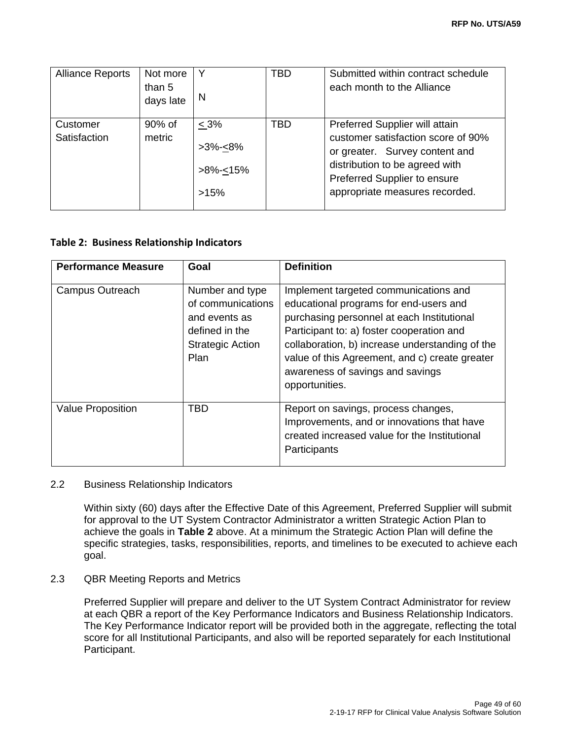| <b>Alliance Reports</b>  | Not more<br>than 5<br>days late | Y<br>N                                                  | TBD | Submitted within contract schedule<br>each month to the Alliance                                                                                                                                           |
|--------------------------|---------------------------------|---------------------------------------------------------|-----|------------------------------------------------------------------------------------------------------------------------------------------------------------------------------------------------------------|
| Customer<br>Satisfaction | 90% of<br>metric                | $< 3\%$<br>$>3\% < 8\%$<br>>8%- <u>&lt;</u> 15%<br>>15% | TBD | Preferred Supplier will attain<br>customer satisfaction score of 90%<br>or greater. Survey content and<br>distribution to be agreed with<br>Preferred Supplier to ensure<br>appropriate measures recorded. |

#### **Table 2: Business Relationship Indicators**

| <b>Performance Measure</b> | Goal                                                                                                       | <b>Definition</b>                                                                                                                                                                                                                                                                                                                     |
|----------------------------|------------------------------------------------------------------------------------------------------------|---------------------------------------------------------------------------------------------------------------------------------------------------------------------------------------------------------------------------------------------------------------------------------------------------------------------------------------|
| Campus Outreach            | Number and type<br>of communications<br>and events as<br>defined in the<br><b>Strategic Action</b><br>Plan | Implement targeted communications and<br>educational programs for end-users and<br>purchasing personnel at each Institutional<br>Participant to: a) foster cooperation and<br>collaboration, b) increase understanding of the<br>value of this Agreement, and c) create greater<br>awareness of savings and savings<br>opportunities. |
| Value Proposition          | <b>TBD</b>                                                                                                 | Report on savings, process changes,<br>Improvements, and or innovations that have<br>created increased value for the Institutional<br>Participants                                                                                                                                                                                    |

#### 2.2 Business Relationship Indicators

Within sixty (60) days after the Effective Date of this Agreement, Preferred Supplier will submit for approval to the UT System Contractor Administrator a written Strategic Action Plan to achieve the goals in **Table 2** above. At a minimum the Strategic Action Plan will define the specific strategies, tasks, responsibilities, reports, and timelines to be executed to achieve each goal.

#### 2.3 QBR Meeting Reports and Metrics

Preferred Supplier will prepare and deliver to the UT System Contract Administrator for review at each QBR a report of the Key Performance Indicators and Business Relationship Indicators. The Key Performance Indicator report will be provided both in the aggregate, reflecting the total score for all Institutional Participants, and also will be reported separately for each Institutional Participant.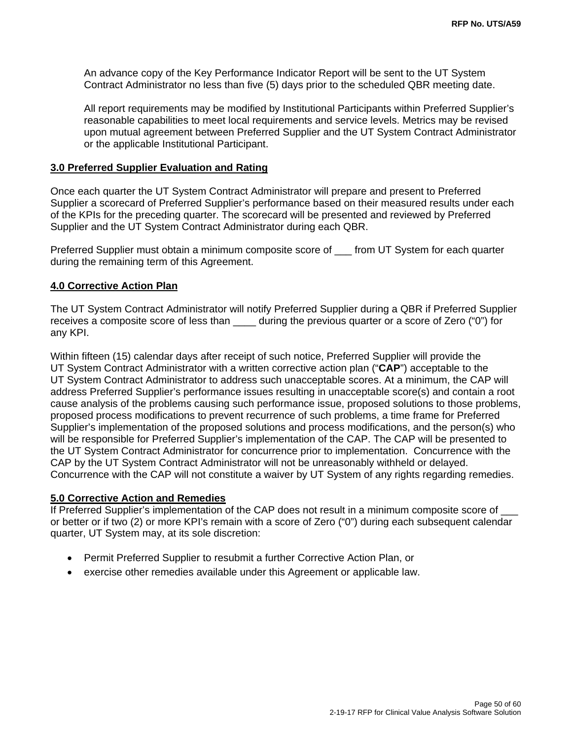An advance copy of the Key Performance Indicator Report will be sent to the UT System Contract Administrator no less than five (5) days prior to the scheduled QBR meeting date.

All report requirements may be modified by Institutional Participants within Preferred Supplier's reasonable capabilities to meet local requirements and service levels. Metrics may be revised upon mutual agreement between Preferred Supplier and the UT System Contract Administrator or the applicable Institutional Participant.

#### **3.0 Preferred Supplier Evaluation and Rating**

Once each quarter the UT System Contract Administrator will prepare and present to Preferred Supplier a scorecard of Preferred Supplier's performance based on their measured results under each of the KPIs for the preceding quarter. The scorecard will be presented and reviewed by Preferred Supplier and the UT System Contract Administrator during each QBR.

Preferred Supplier must obtain a minimum composite score of \_\_\_ from UT System for each quarter during the remaining term of this Agreement.

#### **4.0 Corrective Action Plan**

The UT System Contract Administrator will notify Preferred Supplier during a QBR if Preferred Supplier receives a composite score of less than during the previous quarter or a score of Zero ("0") for any KPI.

Within fifteen (15) calendar days after receipt of such notice, Preferred Supplier will provide the UT System Contract Administrator with a written corrective action plan ("**CAP**") acceptable to the UT System Contract Administrator to address such unacceptable scores. At a minimum, the CAP will address Preferred Supplier's performance issues resulting in unacceptable score(s) and contain a root cause analysis of the problems causing such performance issue, proposed solutions to those problems, proposed process modifications to prevent recurrence of such problems, a time frame for Preferred Supplier's implementation of the proposed solutions and process modifications, and the person(s) who will be responsible for Preferred Supplier's implementation of the CAP. The CAP will be presented to the UT System Contract Administrator for concurrence prior to implementation. Concurrence with the CAP by the UT System Contract Administrator will not be unreasonably withheld or delayed. Concurrence with the CAP will not constitute a waiver by UT System of any rights regarding remedies.

#### **5.0 Corrective Action and Remedies**

If Preferred Supplier's implementation of the CAP does not result in a minimum composite score of or better or if two (2) or more KPI's remain with a score of Zero ("0") during each subsequent calendar quarter, UT System may, at its sole discretion:

- Permit Preferred Supplier to resubmit a further Corrective Action Plan, or
- exercise other remedies available under this Agreement or applicable law.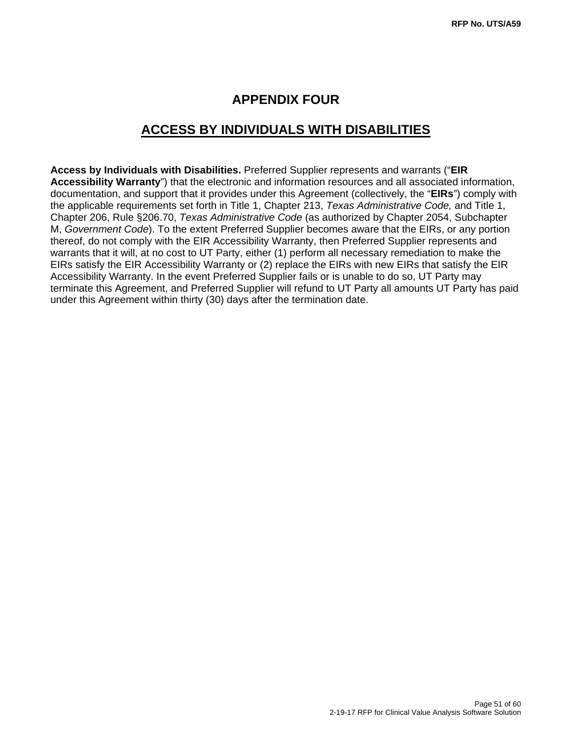## **APPENDIX FOUR**

## **ACCESS BY INDIVIDUALS WITH DISABILITIES**

**Access by Individuals with Disabilities.** Preferred Supplier represents and warrants ("**EIR Accessibility Warranty**") that the electronic and information resources and all associated information, documentation, and support that it provides under this Agreement (collectively, the "**EIRs**") comply with the applicable requirements set forth in Title 1, Chapter 213, *Texas Administrative Code,* and Title 1, Chapter 206, Rule §206.70, *Texas Administrative Code* (as authorized by Chapter 2054, Subchapter M, *Government Code*). To the extent Preferred Supplier becomes aware that the EIRs, or any portion thereof, do not comply with the EIR Accessibility Warranty, then Preferred Supplier represents and warrants that it will, at no cost to UT Party, either (1) perform all necessary remediation to make the EIRs satisfy the EIR Accessibility Warranty or (2) replace the EIRs with new EIRs that satisfy the EIR Accessibility Warranty. In the event Preferred Supplier fails or is unable to do so, UT Party may terminate this Agreement, and Preferred Supplier will refund to UT Party all amounts UT Party has paid under this Agreement within thirty (30) days after the termination date.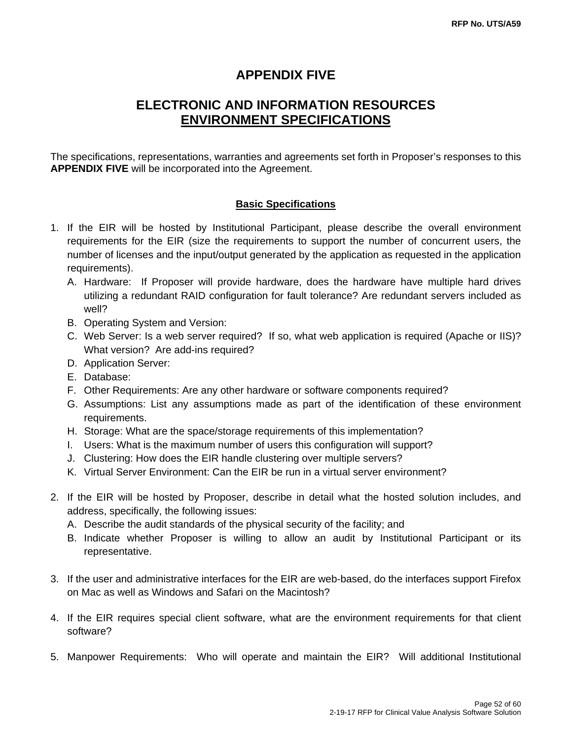## **APPENDIX FIVE**

## **ELECTRONIC AND INFORMATION RESOURCES ENVIRONMENT SPECIFICATIONS**

The specifications, representations, warranties and agreements set forth in Proposer's responses to this **APPENDIX FIVE** will be incorporated into the Agreement.

#### **Basic Specifications**

- 1. If the EIR will be hosted by Institutional Participant, please describe the overall environment requirements for the EIR (size the requirements to support the number of concurrent users, the number of licenses and the input/output generated by the application as requested in the application requirements).
	- A. Hardware: If Proposer will provide hardware, does the hardware have multiple hard drives utilizing a redundant RAID configuration for fault tolerance? Are redundant servers included as well?
	- B. Operating System and Version:
	- C. Web Server: Is a web server required? If so, what web application is required (Apache or IIS)? What version? Are add-ins required?
	- D. Application Server:
	- E. Database:
	- F. Other Requirements: Are any other hardware or software components required?
	- G. Assumptions: List any assumptions made as part of the identification of these environment requirements.
	- H. Storage: What are the space/storage requirements of this implementation?
	- I. Users: What is the maximum number of users this configuration will support?
	- J. Clustering: How does the EIR handle clustering over multiple servers?
	- K. Virtual Server Environment: Can the EIR be run in a virtual server environment?
- 2. If the EIR will be hosted by Proposer, describe in detail what the hosted solution includes, and address, specifically, the following issues:
	- A. Describe the audit standards of the physical security of the facility; and
	- B. Indicate whether Proposer is willing to allow an audit by Institutional Participant or its representative.
- 3. If the user and administrative interfaces for the EIR are web-based, do the interfaces support Firefox on Mac as well as Windows and Safari on the Macintosh?
- 4. If the EIR requires special client software, what are the environment requirements for that client software?
- 5. Manpower Requirements: Who will operate and maintain the EIR? Will additional Institutional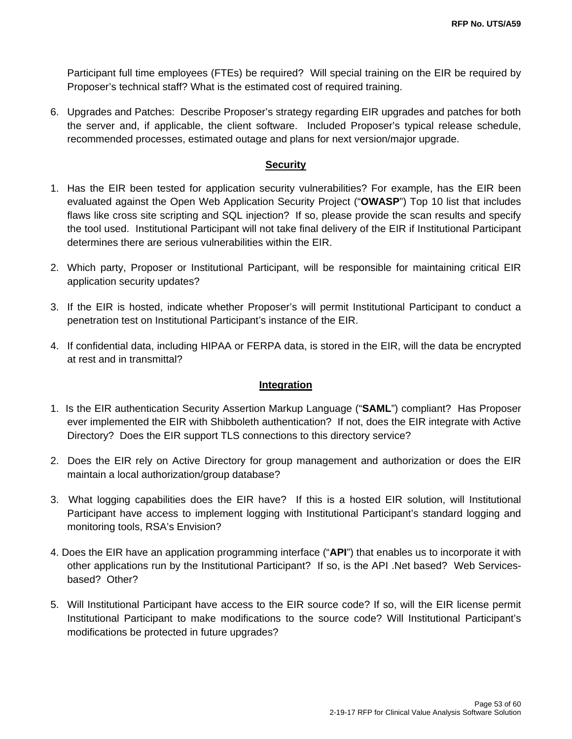Participant full time employees (FTEs) be required? Will special training on the EIR be required by Proposer's technical staff? What is the estimated cost of required training.

6. Upgrades and Patches: Describe Proposer's strategy regarding EIR upgrades and patches for both the server and, if applicable, the client software. Included Proposer's typical release schedule, recommended processes, estimated outage and plans for next version/major upgrade.

#### **Security**

- 1. Has the EIR been tested for application security vulnerabilities? For example, has the EIR been evaluated against the Open Web Application Security Project ("**OWASP**") Top 10 list that includes flaws like cross site scripting and SQL injection? If so, please provide the scan results and specify the tool used. Institutional Participant will not take final delivery of the EIR if Institutional Participant determines there are serious vulnerabilities within the EIR.
- 2. Which party, Proposer or Institutional Participant, will be responsible for maintaining critical EIR application security updates?
- 3. If the EIR is hosted, indicate whether Proposer's will permit Institutional Participant to conduct a penetration test on Institutional Participant's instance of the EIR.
- 4. If confidential data, including HIPAA or FERPA data, is stored in the EIR, will the data be encrypted at rest and in transmittal?

#### **Integration**

- 1. Is the EIR authentication Security Assertion Markup Language ("**SAML**") compliant? Has Proposer ever implemented the EIR with Shibboleth authentication? If not, does the EIR integrate with Active Directory? Does the EIR support TLS connections to this directory service?
- 2. Does the EIR rely on Active Directory for group management and authorization or does the EIR maintain a local authorization/group database?
- 3. What logging capabilities does the EIR have? If this is a hosted EIR solution, will Institutional Participant have access to implement logging with Institutional Participant's standard logging and monitoring tools, RSA's Envision?
- 4. Does the EIR have an application programming interface ("**API**") that enables us to incorporate it with other applications run by the Institutional Participant? If so, is the API .Net based? Web Servicesbased? Other?
- 5. Will Institutional Participant have access to the EIR source code? If so, will the EIR license permit Institutional Participant to make modifications to the source code? Will Institutional Participant's modifications be protected in future upgrades?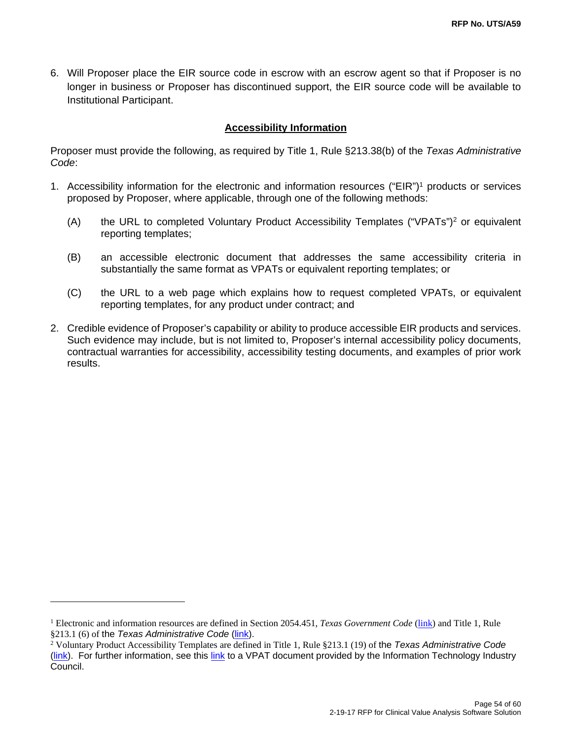6. Will Proposer place the EIR source code in escrow with an escrow agent so that if Proposer is no longer in business or Proposer has discontinued support, the EIR source code will be available to Institutional Participant.

#### **Accessibility Information**

Proposer must provide the following, as required by Title 1, Rule §213.38(b) of the *Texas Administrative Code*:

- 1. Accessibility information for the electronic and information resources ("EIR")1 products or services proposed by Proposer, where applicable, through one of the following methods:
	- (A) the URL to completed Voluntary Product Accessibility Templates ("VPATs")2 or equivalent reporting templates;
	- (B) an accessible electronic document that addresses the same accessibility criteria in substantially the same format as VPATs or equivalent reporting templates; or
	- (C) the URL to a web page which explains how to request completed VPATs, or equivalent reporting templates, for any product under contract; and
- 2. Credible evidence of Proposer's capability or ability to produce accessible EIR products and services. Such evidence may include, but is not limited to, Proposer's internal accessibility policy documents, contractual warranties for accessibility, accessibility testing documents, and examples of prior work results.

-

<sup>&</sup>lt;sup>1</sup> Electronic and information resources are defined in Section 2054.451, *Texas Government Code* (link) and Title 1, Rule §213.1 (6) of the *Texas Administrative Code* (link).

<sup>2</sup> Voluntary Product Accessibility Templates are defined in Title 1, Rule §213.1 (19) of the *Texas Administrative Code* (link). For further information, see this link to a VPAT document provided by the Information Technology Industry Council.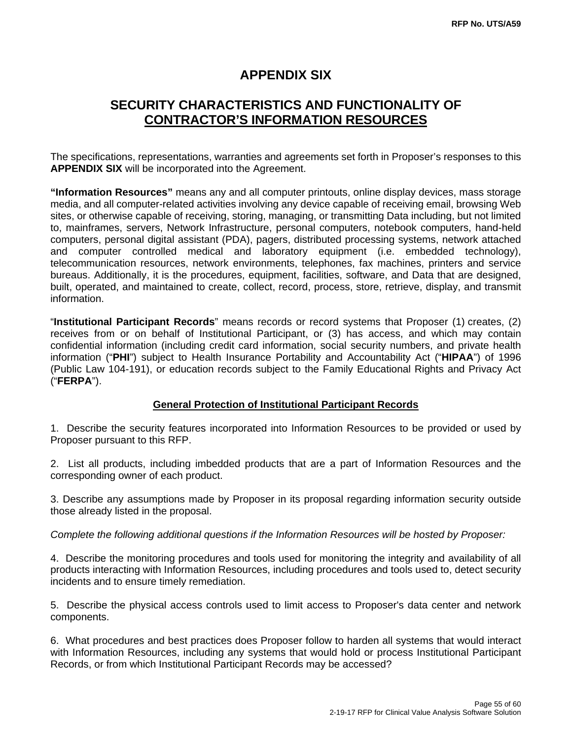## **APPENDIX SIX**

## **SECURITY CHARACTERISTICS AND FUNCTIONALITY OF CONTRACTOR'S INFORMATION RESOURCES**

The specifications, representations, warranties and agreements set forth in Proposer's responses to this **APPENDIX SIX** will be incorporated into the Agreement.

**"Information Resources"** means any and all computer printouts, online display devices, mass storage media, and all computer-related activities involving any device capable of receiving email, browsing Web sites, or otherwise capable of receiving, storing, managing, or transmitting Data including, but not limited to, mainframes, servers, Network Infrastructure, personal computers, notebook computers, hand-held computers, personal digital assistant (PDA), pagers, distributed processing systems, network attached and computer controlled medical and laboratory equipment (i.e. embedded technology), telecommunication resources, network environments, telephones, fax machines, printers and service bureaus. Additionally, it is the procedures, equipment, facilities, software, and Data that are designed, built, operated, and maintained to create, collect, record, process, store, retrieve, display, and transmit information.

"**Institutional Participant Records**" means records or record systems that Proposer (1) creates, (2) receives from or on behalf of Institutional Participant, or (3) has access, and which may contain confidential information (including credit card information, social security numbers, and private health information ("**PHI**") subject to Health Insurance Portability and Accountability Act ("**HIPAA**") of 1996 (Public Law 104-191), or education records subject to the Family Educational Rights and Privacy Act ("**FERPA**").

#### **General Protection of Institutional Participant Records**

1. Describe the security features incorporated into Information Resources to be provided or used by Proposer pursuant to this RFP.

2. List all products, including imbedded products that are a part of Information Resources and the corresponding owner of each product.

3. Describe any assumptions made by Proposer in its proposal regarding information security outside those already listed in the proposal.

#### *Complete the following additional questions if the Information Resources will be hosted by Proposer:*

4. Describe the monitoring procedures and tools used for monitoring the integrity and availability of all products interacting with Information Resources, including procedures and tools used to, detect security incidents and to ensure timely remediation.

5. Describe the physical access controls used to limit access to Proposer's data center and network components.

6. What procedures and best practices does Proposer follow to harden all systems that would interact with Information Resources, including any systems that would hold or process Institutional Participant Records, or from which Institutional Participant Records may be accessed?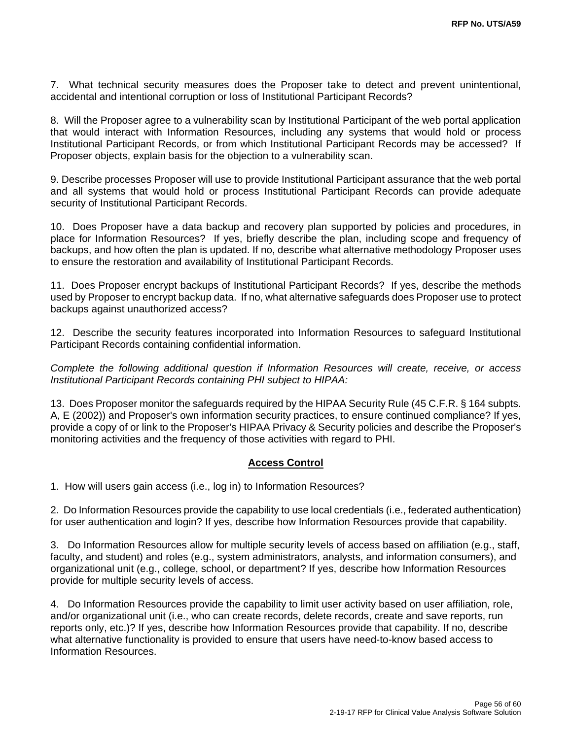7. What technical security measures does the Proposer take to detect and prevent unintentional, accidental and intentional corruption or loss of Institutional Participant Records?

8. Will the Proposer agree to a vulnerability scan by Institutional Participant of the web portal application that would interact with Information Resources, including any systems that would hold or process Institutional Participant Records, or from which Institutional Participant Records may be accessed? If Proposer objects, explain basis for the objection to a vulnerability scan.

9. Describe processes Proposer will use to provide Institutional Participant assurance that the web portal and all systems that would hold or process Institutional Participant Records can provide adequate security of Institutional Participant Records.

10. Does Proposer have a data backup and recovery plan supported by policies and procedures, in place for Information Resources? If yes, briefly describe the plan, including scope and frequency of backups, and how often the plan is updated. If no, describe what alternative methodology Proposer uses to ensure the restoration and availability of Institutional Participant Records.

11. Does Proposer encrypt backups of Institutional Participant Records? If yes, describe the methods used by Proposer to encrypt backup data. If no, what alternative safeguards does Proposer use to protect backups against unauthorized access?

12. Describe the security features incorporated into Information Resources to safeguard Institutional Participant Records containing confidential information.

*Complete the following additional question if Information Resources will create, receive, or access Institutional Participant Records containing PHI subject to HIPAA:* 

13. Does Proposer monitor the safeguards required by the HIPAA Security Rule (45 C.F.R. § 164 subpts. A, E (2002)) and Proposer's own information security practices, to ensure continued compliance? If yes, provide a copy of or link to the Proposer's HIPAA Privacy & Security policies and describe the Proposer's monitoring activities and the frequency of those activities with regard to PHI.

#### **Access Control**

1. How will users gain access (i.e., log in) to Information Resources?

2. Do Information Resources provide the capability to use local credentials (i.e., federated authentication) for user authentication and login? If yes, describe how Information Resources provide that capability.

3. Do Information Resources allow for multiple security levels of access based on affiliation (e.g., staff, faculty, and student) and roles (e.g., system administrators, analysts, and information consumers), and organizational unit (e.g., college, school, or department? If yes, describe how Information Resources provide for multiple security levels of access.

4. Do Information Resources provide the capability to limit user activity based on user affiliation, role, and/or organizational unit (i.e., who can create records, delete records, create and save reports, run reports only, etc.)? If yes, describe how Information Resources provide that capability. If no, describe what alternative functionality is provided to ensure that users have need-to-know based access to Information Resources.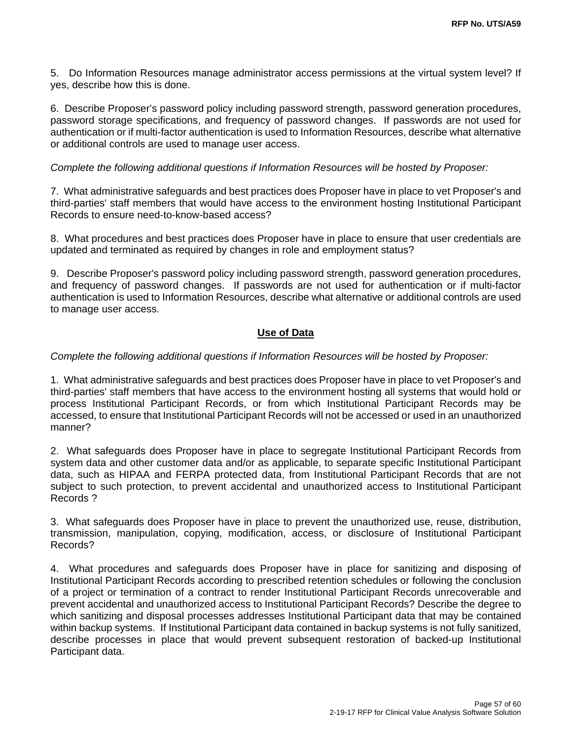5. Do Information Resources manage administrator access permissions at the virtual system level? If yes, describe how this is done.

6. Describe Proposer's password policy including password strength, password generation procedures, password storage specifications, and frequency of password changes. If passwords are not used for authentication or if multi-factor authentication is used to Information Resources, describe what alternative or additional controls are used to manage user access.

#### *Complete the following additional questions if Information Resources will be hosted by Proposer:*

7. What administrative safeguards and best practices does Proposer have in place to vet Proposer's and third-parties' staff members that would have access to the environment hosting Institutional Participant Records to ensure need-to-know-based access?

8. What procedures and best practices does Proposer have in place to ensure that user credentials are updated and terminated as required by changes in role and employment status?

9. Describe Proposer's password policy including password strength, password generation procedures, and frequency of password changes. If passwords are not used for authentication or if multi-factor authentication is used to Information Resources, describe what alternative or additional controls are used to manage user access.

#### **Use of Data**

#### *Complete the following additional questions if Information Resources will be hosted by Proposer:*

1. What administrative safeguards and best practices does Proposer have in place to vet Proposer's and third-parties' staff members that have access to the environment hosting all systems that would hold or process Institutional Participant Records, or from which Institutional Participant Records may be accessed, to ensure that Institutional Participant Records will not be accessed or used in an unauthorized manner?

2. What safeguards does Proposer have in place to segregate Institutional Participant Records from system data and other customer data and/or as applicable, to separate specific Institutional Participant data, such as HIPAA and FERPA protected data, from Institutional Participant Records that are not subject to such protection, to prevent accidental and unauthorized access to Institutional Participant Records ?

3. What safeguards does Proposer have in place to prevent the unauthorized use, reuse, distribution, transmission, manipulation, copying, modification, access, or disclosure of Institutional Participant Records?

4. What procedures and safeguards does Proposer have in place for sanitizing and disposing of Institutional Participant Records according to prescribed retention schedules or following the conclusion of a project or termination of a contract to render Institutional Participant Records unrecoverable and prevent accidental and unauthorized access to Institutional Participant Records? Describe the degree to which sanitizing and disposal processes addresses Institutional Participant data that may be contained within backup systems. If Institutional Participant data contained in backup systems is not fully sanitized, describe processes in place that would prevent subsequent restoration of backed-up Institutional Participant data.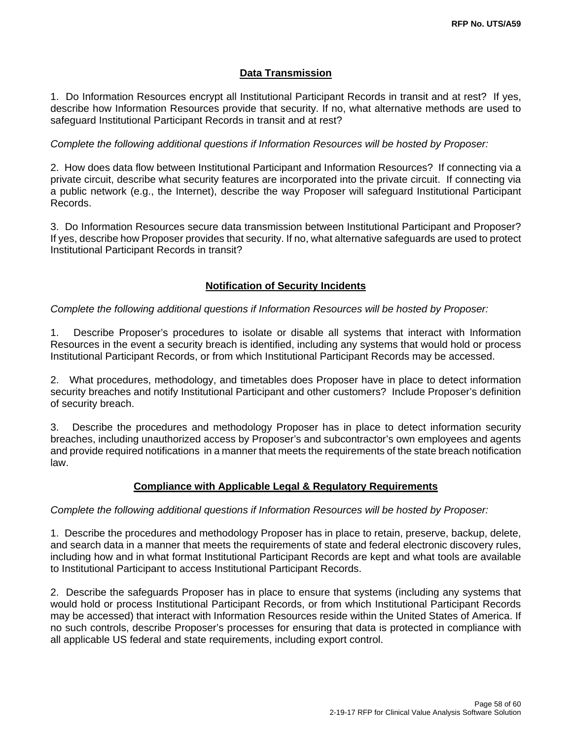#### **Data Transmission**

1. Do Information Resources encrypt all Institutional Participant Records in transit and at rest? If yes, describe how Information Resources provide that security. If no, what alternative methods are used to safeguard Institutional Participant Records in transit and at rest?

#### *Complete the following additional questions if Information Resources will be hosted by Proposer:*

2. How does data flow between Institutional Participant and Information Resources? If connecting via a private circuit, describe what security features are incorporated into the private circuit. If connecting via a public network (e.g., the Internet), describe the way Proposer will safeguard Institutional Participant Records.

3. Do Information Resources secure data transmission between Institutional Participant and Proposer? If yes, describe how Proposer provides that security. If no, what alternative safeguards are used to protect Institutional Participant Records in transit?

#### **Notification of Security Incidents**

#### *Complete the following additional questions if Information Resources will be hosted by Proposer:*

1. Describe Proposer's procedures to isolate or disable all systems that interact with Information Resources in the event a security breach is identified, including any systems that would hold or process Institutional Participant Records, or from which Institutional Participant Records may be accessed.

2. What procedures, methodology, and timetables does Proposer have in place to detect information security breaches and notify Institutional Participant and other customers? Include Proposer's definition of security breach.

3. Describe the procedures and methodology Proposer has in place to detect information security breaches, including unauthorized access by Proposer's and subcontractor's own employees and agents and provide required notifications in a manner that meets the requirements of the state breach notification law.

#### **Compliance with Applicable Legal & Regulatory Requirements**

#### *Complete the following additional questions if Information Resources will be hosted by Proposer:*

1. Describe the procedures and methodology Proposer has in place to retain, preserve, backup, delete, and search data in a manner that meets the requirements of state and federal electronic discovery rules, including how and in what format Institutional Participant Records are kept and what tools are available to Institutional Participant to access Institutional Participant Records.

2. Describe the safeguards Proposer has in place to ensure that systems (including any systems that would hold or process Institutional Participant Records, or from which Institutional Participant Records may be accessed) that interact with Information Resources reside within the United States of America. If no such controls, describe Proposer's processes for ensuring that data is protected in compliance with all applicable US federal and state requirements, including export control.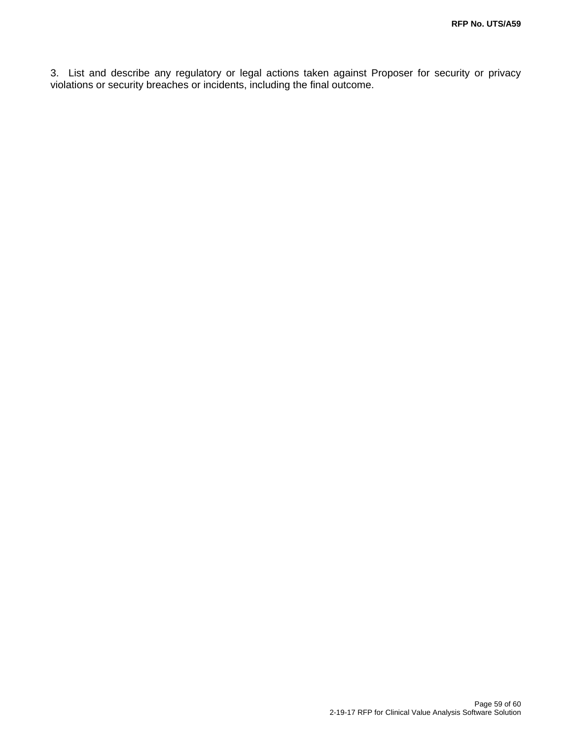3. List and describe any regulatory or legal actions taken against Proposer for security or privacy violations or security breaches or incidents, including the final outcome.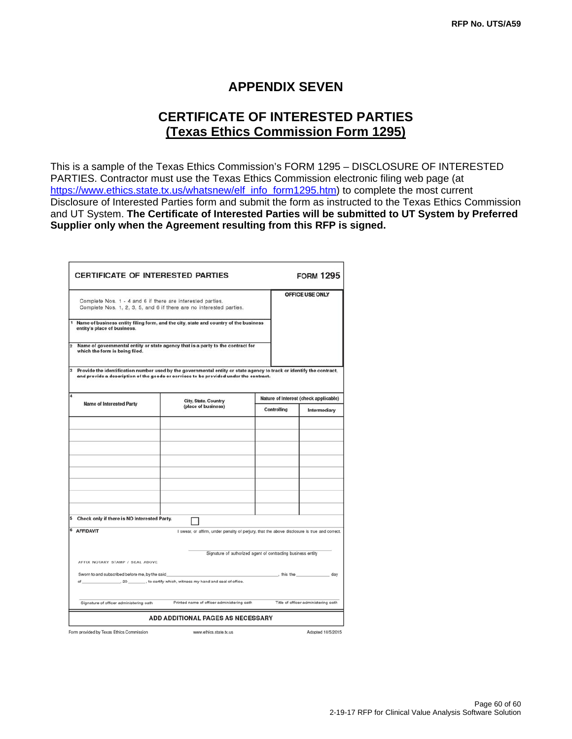## **APPENDIX SEVEN**

## **CERTIFICATE OF INTERESTED PARTIES (Texas Ethics Commission Form 1295)**

This is a sample of the Texas Ethics Commission's FORM 1295 – DISCLOSURE OF INTERESTED PARTIES. Contractor must use the Texas Ethics Commission electronic filing web page (at https://www.ethics.state.tx.us/whatsnew/elf\_info\_form1295.htm) to complete the most current Disclosure of Interested Parties form and submit the form as instructed to the Texas Ethics Commission and UT System. **The Certificate of Interested Parties will be submitted to UT System by Preferred Supplier only when the Agreement resulting from this RFP is signed.** 

| <b>CERTIFICATE OF INTERESTED PARTIES</b>                                                                         |                                                                                                                                                                                                               |                                                                                                     | <b>FORM 1295</b>                      |
|------------------------------------------------------------------------------------------------------------------|---------------------------------------------------------------------------------------------------------------------------------------------------------------------------------------------------------------|-----------------------------------------------------------------------------------------------------|---------------------------------------|
| Complete Nos. 1 - 4 and 6 if there are interested parties.                                                       | Complete Nos. 1, 2, 3, 5, and 6 if there are no interested parties.                                                                                                                                           |                                                                                                     | OFFICE USE ONLY                       |
| 1<br>entity's place of business.                                                                                 | Name of business entity filing form, and the city, state and country of the business                                                                                                                          |                                                                                                     |                                       |
| $\overline{2}$<br>which the form is being filed.                                                                 | Name of governmental entity or state agency that is a party to the contract for                                                                                                                               |                                                                                                     |                                       |
|                                                                                                                  | Provide the identification number used by the governmental entity or state agency to track or identify the contract,<br>and provide a description of the goods or services to be provided under the contract. |                                                                                                     |                                       |
| 4                                                                                                                | City, State, Country                                                                                                                                                                                          |                                                                                                     | Nature of Interest (check applicable) |
| Name of Interested Party                                                                                         | (place of business)                                                                                                                                                                                           | Controlling                                                                                         | Intermediary                          |
|                                                                                                                  |                                                                                                                                                                                                               |                                                                                                     |                                       |
| Check only if there is NO Interested Party.                                                                      |                                                                                                                                                                                                               |                                                                                                     |                                       |
| 6<br><b>AFFIDAVIT</b><br>AFFIX NOTARY STAMP / SEAL ABOVE<br>Sworn to and subscribed before me, by the said<br>οf | I swear, or affirm, under penalty of perjury, that the above disclosure is true and correct.<br>., 20 ________, to certify which, witness my hand and seal of office.                                         | Signature of authorized agent of contracting business entity<br>$\overline{\phantom{a}}$ , this the | day                                   |
| Signature of officer administering oath                                                                          | Printed name of officer administering oath                                                                                                                                                                    |                                                                                                     | Title of officer administering oath   |
|                                                                                                                  | <b>ADD ADDITIONAL PAGES AS NECESSARY</b>                                                                                                                                                                      |                                                                                                     |                                       |
| Form provided by Texas Ethics Commission                                                                         | www.ethics.state.tx.us                                                                                                                                                                                        |                                                                                                     | Adopted 10/5/2015                     |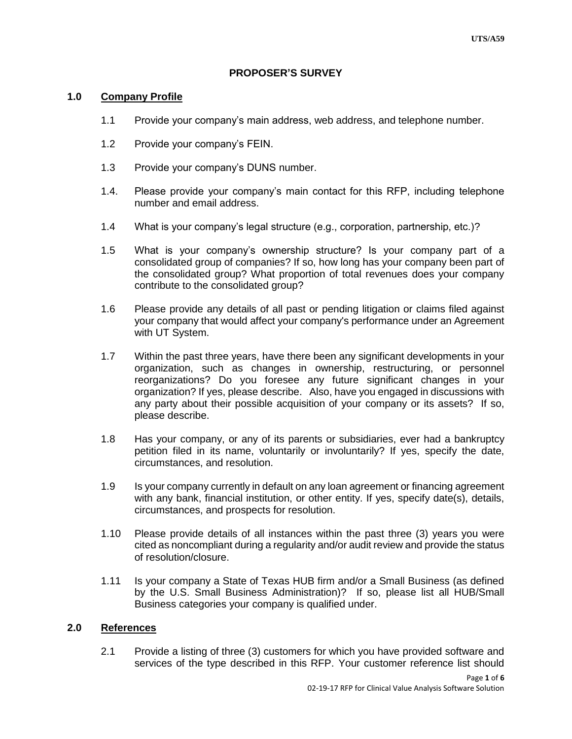#### **PROPOSER'S SURVEY**

#### **1.0 Company Profile**

- 1.1 Provide your company's main address, web address, and telephone number.
- 1.2 Provide your company's FEIN.
- 1.3 Provide your company's DUNS number.
- 1.4. Please provide your company's main contact for this RFP, including telephone number and email address.
- 1.4 What is your company's legal structure (e.g., corporation, partnership, etc.)?
- 1.5 What is your company's ownership structure? Is your company part of a consolidated group of companies? If so, how long has your company been part of the consolidated group? What proportion of total revenues does your company contribute to the consolidated group?
- 1.6 Please provide any details of all past or pending litigation or claims filed against your company that would affect your company's performance under an Agreement with UT System.
- 1.7 Within the past three years, have there been any significant developments in your organization, such as changes in ownership, restructuring, or personnel reorganizations? Do you foresee any future significant changes in your organization? If yes, please describe. Also, have you engaged in discussions with any party about their possible acquisition of your company or its assets? If so, please describe.
- 1.8 Has your company, or any of its parents or subsidiaries, ever had a bankruptcy petition filed in its name, voluntarily or involuntarily? If yes, specify the date, circumstances, and resolution.
- 1.9 Is your company currently in default on any loan agreement or financing agreement with any bank, financial institution, or other entity. If yes, specify date(s), details, circumstances, and prospects for resolution.
- 1.10 Please provide details of all instances within the past three (3) years you were cited as noncompliant during a regularity and/or audit review and provide the status of resolution/closure.
- 1.11 Is your company a State of Texas HUB firm and/or a Small Business (as defined by the U.S. Small Business Administration)? If so, please list all HUB/Small Business categories your company is qualified under.

#### **2.0 References**

2.1 Provide a listing of three (3) customers for which you have provided software and services of the type described in this RFP. Your customer reference list should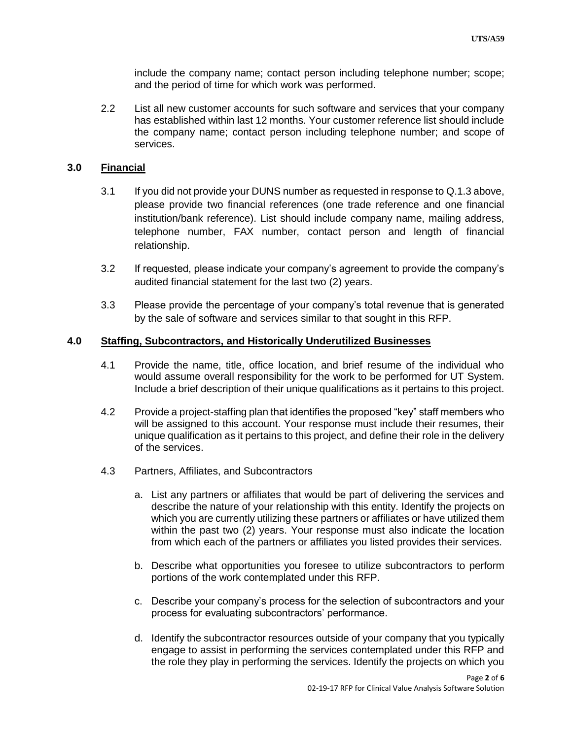include the company name; contact person including telephone number; scope; and the period of time for which work was performed.

2.2 List all new customer accounts for such software and services that your company has established within last 12 months. Your customer reference list should include the company name; contact person including telephone number; and scope of services.

#### **3.0 Financial**

- 3.1 If you did not provide your DUNS number as requested in response to Q.1.3 above, please provide two financial references (one trade reference and one financial institution/bank reference). List should include company name, mailing address, telephone number, FAX number, contact person and length of financial relationship.
- 3.2 If requested, please indicate your company's agreement to provide the company's audited financial statement for the last two (2) years.
- 3.3 Please provide the percentage of your company's total revenue that is generated by the sale of software and services similar to that sought in this RFP.

#### **4.0 Staffing, Subcontractors, and Historically Underutilized Businesses**

- 4.1 Provide the name, title, office location, and brief resume of the individual who would assume overall responsibility for the work to be performed for UT System. Include a brief description of their unique qualifications as it pertains to this project.
- 4.2 Provide a project-staffing plan that identifies the proposed "key" staff members who will be assigned to this account. Your response must include their resumes, their unique qualification as it pertains to this project, and define their role in the delivery of the services.
- 4.3 Partners, Affiliates, and Subcontractors
	- a. List any partners or affiliates that would be part of delivering the services and describe the nature of your relationship with this entity. Identify the projects on which you are currently utilizing these partners or affiliates or have utilized them within the past two (2) years. Your response must also indicate the location from which each of the partners or affiliates you listed provides their services.
	- b. Describe what opportunities you foresee to utilize subcontractors to perform portions of the work contemplated under this RFP.
	- c. Describe your company's process for the selection of subcontractors and your process for evaluating subcontractors' performance.
	- d. Identify the subcontractor resources outside of your company that you typically engage to assist in performing the services contemplated under this RFP and the role they play in performing the services. Identify the projects on which you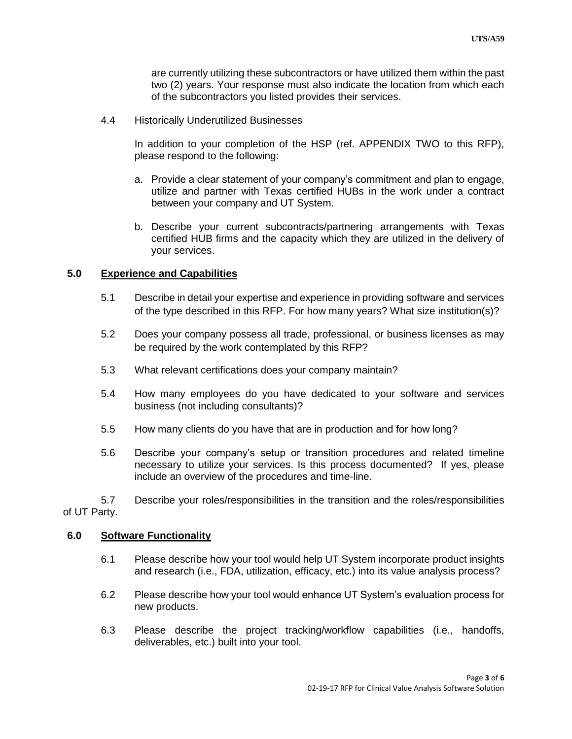are currently utilizing these subcontractors or have utilized them within the past two (2) years. Your response must also indicate the location from which each of the subcontractors you listed provides their services.

4.4 Historically Underutilized Businesses

In addition to your completion of the HSP (ref. APPENDIX TWO to this RFP), please respond to the following:

- a. Provide a clear statement of your company's commitment and plan to engage, utilize and partner with Texas certified HUBs in the work under a contract between your company and UT System.
- b. Describe your current subcontracts/partnering arrangements with Texas certified HUB firms and the capacity which they are utilized in the delivery of your services.

#### **5.0 Experience and Capabilities**

- 5.1 Describe in detail your expertise and experience in providing software and services of the type described in this RFP. For how many years? What size institution(s)?
- 5.2 Does your company possess all trade, professional, or business licenses as may be required by the work contemplated by this RFP?
- 5.3 What relevant certifications does your company maintain?
- 5.4 How many employees do you have dedicated to your software and services business (not including consultants)?
- 5.5 How many clients do you have that are in production and for how long?
- 5.6 Describe your company's setup or transition procedures and related timeline necessary to utilize your services. Is this process documented? If yes, please include an overview of the procedures and time-line.

5.7 Describe your roles/responsibilities in the transition and the roles/responsibilities of UT Party.

#### **6.0 Software Functionality**

- 6.1 Please describe how your tool would help UT System incorporate product insights and research (i.e., FDA, utilization, efficacy, etc.) into its value analysis process?
- 6.2 Please describe how your tool would enhance UT System's evaluation process for new products.
- 6.3 Please describe the project tracking/workflow capabilities (i.e., handoffs, deliverables, etc.) built into your tool.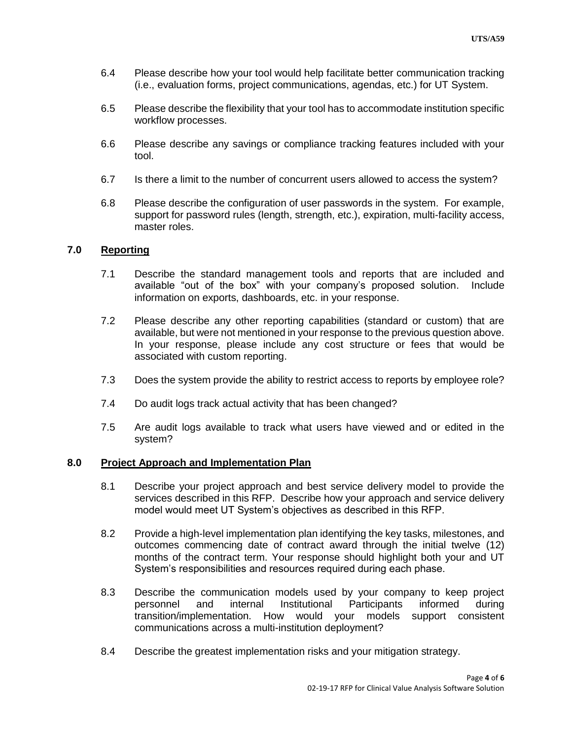- 6.4 Please describe how your tool would help facilitate better communication tracking (i.e., evaluation forms, project communications, agendas, etc.) for UT System.
- 6.5 Please describe the flexibility that your tool has to accommodate institution specific workflow processes.
- 6.6 Please describe any savings or compliance tracking features included with your tool.
- 6.7 Is there a limit to the number of concurrent users allowed to access the system?
- 6.8 Please describe the configuration of user passwords in the system. For example, support for password rules (length, strength, etc.), expiration, multi-facility access, master roles.

#### **7.0 Reporting**

- 7.1 Describe the standard management tools and reports that are included and available "out of the box" with your company's proposed solution. Include information on exports, dashboards, etc. in your response.
- 7.2 Please describe any other reporting capabilities (standard or custom) that are available, but were not mentioned in your response to the previous question above. In your response, please include any cost structure or fees that would be associated with custom reporting.
- 7.3 Does the system provide the ability to restrict access to reports by employee role?
- 7.4 Do audit logs track actual activity that has been changed?
- 7.5 Are audit logs available to track what users have viewed and or edited in the system?

#### **8.0 Project Approach and Implementation Plan**

- 8.1 Describe your project approach and best service delivery model to provide the services described in this RFP. Describe how your approach and service delivery model would meet UT System's objectives as described in this RFP.
- 8.2 Provide a high-level implementation plan identifying the key tasks, milestones, and outcomes commencing date of contract award through the initial twelve (12) months of the contract term. Your response should highlight both your and UT System's responsibilities and resources required during each phase.
- 8.3 Describe the communication models used by your company to keep project personnel and internal Institutional Participants informed during transition/implementation. How would your models support consistent communications across a multi-institution deployment?
- 8.4 Describe the greatest implementation risks and your mitigation strategy.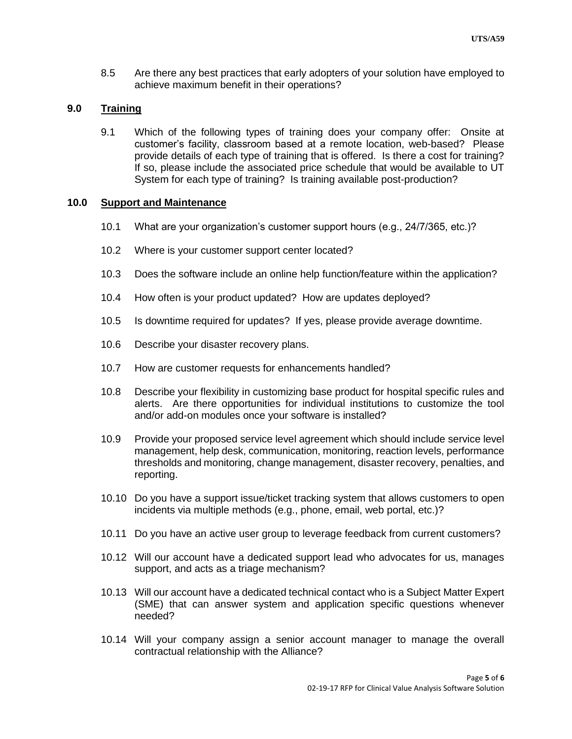8.5 Are there any best practices that early adopters of your solution have employed to achieve maximum benefit in their operations?

#### **9.0 Training**

9.1 Which of the following types of training does your company offer: Onsite at customer's facility, classroom based at a remote location, web-based? Please provide details of each type of training that is offered. Is there a cost for training? If so, please include the associated price schedule that would be available to UT System for each type of training? Is training available post-production?

#### **10.0 Support and Maintenance**

- 10.1 What are your organization's customer support hours (e.g., 24/7/365, etc.)?
- 10.2 Where is your customer support center located?
- 10.3 Does the software include an online help function/feature within the application?
- 10.4 How often is your product updated? How are updates deployed?
- 10.5 Is downtime required for updates? If yes, please provide average downtime.
- 10.6 Describe your disaster recovery plans.
- 10.7 How are customer requests for enhancements handled?
- 10.8 Describe your flexibility in customizing base product for hospital specific rules and alerts. Are there opportunities for individual institutions to customize the tool and/or add-on modules once your software is installed?
- 10.9 Provide your proposed service level agreement which should include service level management, help desk, communication, monitoring, reaction levels, performance thresholds and monitoring, change management, disaster recovery, penalties, and reporting.
- 10.10 Do you have a support issue/ticket tracking system that allows customers to open incidents via multiple methods (e.g., phone, email, web portal, etc.)?
- 10.11 Do you have an active user group to leverage feedback from current customers?
- 10.12 Will our account have a dedicated support lead who advocates for us, manages support, and acts as a triage mechanism?
- 10.13 Will our account have a dedicated technical contact who is a Subject Matter Expert (SME) that can answer system and application specific questions whenever needed?
- 10.14 Will your company assign a senior account manager to manage the overall contractual relationship with the Alliance?